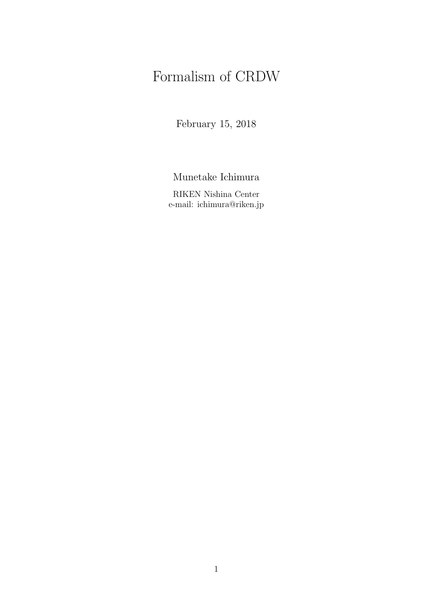# Formalism of CRDW

February 15, 2018

Munetake Ichimura

RIKEN Nishina Center e-mail: ichimura@riken.jp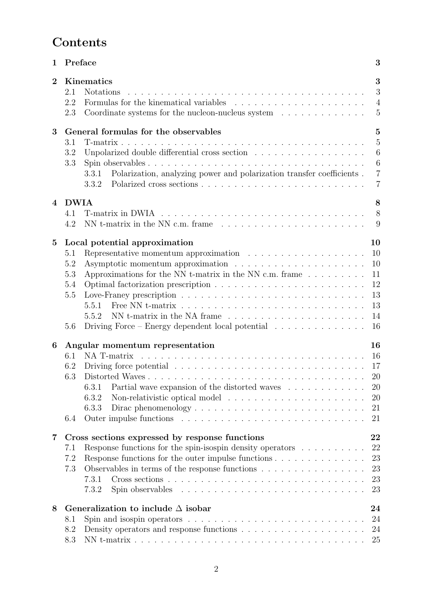# **Contents**

| 1                       | Preface                                                                                                                                                                                                                                                                                                                                                                                                                            | 3                                                                          |
|-------------------------|------------------------------------------------------------------------------------------------------------------------------------------------------------------------------------------------------------------------------------------------------------------------------------------------------------------------------------------------------------------------------------------------------------------------------------|----------------------------------------------------------------------------|
| $\overline{2}$          | Kinematics<br>2.1<br><b>Notations</b><br>2.2<br>Coordinate systems for the nucleon-nucleus system<br>$\hfill\ldots\ldots\ldots\ldots\ldots\ldots$<br>2.3                                                                                                                                                                                                                                                                           | 3<br>3<br>$\overline{4}$<br>5                                              |
| 3                       | General formulas for the observables                                                                                                                                                                                                                                                                                                                                                                                               | $\overline{5}$                                                             |
|                         | 3.1<br>Unpolarized double differential cross section<br>$\hfill\ldots$ $\hfill\ldots$ $\hfill\ldots$<br>$\hfill\ldots$ $\hfill\ldots$ $\hfill\ldots$ $\hfill\ldots$<br>3.2<br>3.3<br>Polarization, analyzing power and polarization transfer coefficients.<br>3.3.1<br>3.3.2                                                                                                                                                       | $\overline{5}$<br>6<br>$6\phantom{.}6$<br>$\overline{7}$<br>$\overline{7}$ |
| 4                       | <b>DWIA</b>                                                                                                                                                                                                                                                                                                                                                                                                                        | 8                                                                          |
|                         | 4.1<br>4.2                                                                                                                                                                                                                                                                                                                                                                                                                         | 8<br>9                                                                     |
| $\bf{5}$                | Local potential approximation<br>Representative momentum approximation $\dots \dots \dots \dots \dots \dots$<br>5.1<br>5.2<br>Approximations for the NN t-matrix in the NN c.m. frame $\dots \dots$<br>5.3<br>5.4<br>5.5<br>5.5.1<br>NN t-matrix in the NA frame $\ldots$ , $\ldots$ , $\ldots$ , $\ldots$ , $\ldots$ , $\ldots$<br>5.5.2<br>Driving Force – Energy dependent local potential $\ldots \ldots \ldots \ldots$<br>5.6 | 10<br>10<br>10<br>11<br>12<br>13<br>13<br>14<br>16                         |
| 6                       | Angular momentum representation                                                                                                                                                                                                                                                                                                                                                                                                    | 16                                                                         |
|                         | NA T-matrix<br>6.1<br>Driving force potential $\ldots \ldots \ldots \ldots \ldots \ldots \ldots \ldots \ldots$<br>6.2<br>6.3<br>Partial wave expansion of the distorted waves<br>6.3.1<br>6.3.2<br>Non-relativistic optical model<br>6.3.3<br>Dirac phenomenology $\dots \dots \dots \dots \dots \dots \dots \dots \dots \dots$<br>6.4                                                                                             | 16<br>17<br>20<br>20<br>20<br>21<br>21                                     |
| $\overline{\mathbf{7}}$ | Cross sections expressed by response functions                                                                                                                                                                                                                                                                                                                                                                                     | 22                                                                         |
|                         | Response functions for the spin-isospin density operators $\dots \dots \dots$<br>7.1<br>7.2<br>Observables in terms of the response functions $\dots \dots \dots \dots \dots$<br>7.3<br>7.3.1<br>Cross sections $\ldots \ldots \ldots \ldots \ldots \ldots \ldots \ldots \ldots \ldots$<br>7.3.2                                                                                                                                   | 22<br>23<br>23<br>23<br>23                                                 |
| 8                       | Generalization to include $\Delta$ isobar                                                                                                                                                                                                                                                                                                                                                                                          | 24                                                                         |
|                         | Spin and isospin operators $\dots \dots \dots \dots \dots \dots \dots \dots \dots \dots \dots$<br>8.1<br>8.2<br>8.3                                                                                                                                                                                                                                                                                                                | 24<br>24<br>25                                                             |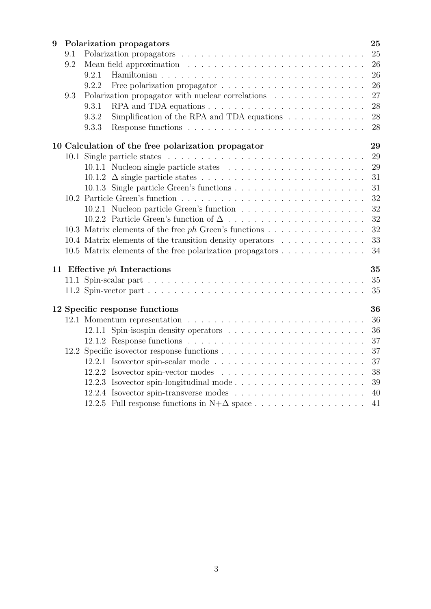| 9 |     | Polarization propagators                                                       | 25 |
|---|-----|--------------------------------------------------------------------------------|----|
|   | 9.1 |                                                                                | 25 |
|   | 9.2 |                                                                                | 26 |
|   |     | 9.2.1                                                                          | 26 |
|   |     | 9.2.2                                                                          | 26 |
|   | 9.3 | Polarization propagator with nuclear correlations                              | 27 |
|   |     | 9.3.1                                                                          | 28 |
|   |     | Simplification of the RPA and TDA equations $\dots \dots \dots \dots$<br>9.3.2 | 28 |
|   |     | 9.3.3                                                                          | 28 |
|   |     | 10 Calculation of the free polarization propagator                             | 29 |
|   |     |                                                                                | 29 |
|   |     |                                                                                | 29 |
|   |     |                                                                                | 31 |
|   |     |                                                                                | 31 |
|   |     |                                                                                | 32 |
|   |     |                                                                                | 32 |
|   |     |                                                                                | 32 |
|   |     | 10.3 Matrix elements of the free ph Green's functions                          | 32 |
|   |     | 10.4 Matrix elements of the transition density operators                       | 33 |
|   |     | 10.5 Matrix elements of the free polarization propagators                      | 34 |
|   |     | 11 Effective $ph$ Interactions                                                 | 35 |
|   |     |                                                                                | 35 |
|   |     |                                                                                | 35 |
|   |     | 12 Specific response functions                                                 | 36 |
|   |     |                                                                                | 36 |
|   |     |                                                                                | 36 |
|   |     |                                                                                | 37 |
|   |     |                                                                                | 37 |
|   |     |                                                                                | 37 |
|   |     |                                                                                | 38 |
|   |     | 12.2.3 Isovector spin-longitudinal mode                                        | 39 |
|   |     |                                                                                | 40 |
|   |     | 12.2.5 Full response functions in $N+\Delta$ space                             | 41 |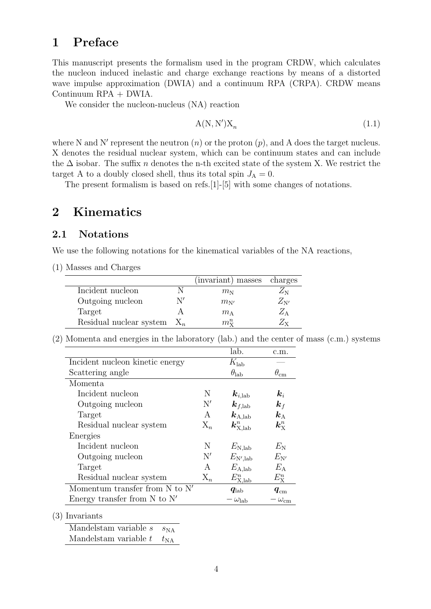## **1 Preface**

This manuscript presents the formalism used in the program CRDW, which calculates the nucleon induced inelastic and charge exchange reactions by means of a distorted wave impulse approximation (DWIA) and a continuum RPA (CRPA). CRDW means Continuum RPA + DWIA.

We consider the nucleon-nucleus  $(NA)$  reaction

$$
A(N, N')X_n \tag{1.1}
$$

where N and N' represent the neutron  $(n)$  or the proton  $(p)$ , and A does the target nucleus. X denotes the residual nuclear system, which can be continuum states and can include the ∆ isobar. The suffix *n* denotes the n-th excited state of the system X. We restrict the target A to a doubly closed shell, thus its total spin  $J_A = 0$ .

The present formalism is based on refs.[1]-[5] with some changes of notations.

## **2 Kinematics**

### **2.1 Notations**

We use the following notations for the kinematical variables of the NA reactions,

(1) Masses and Charges

|                         |    | (invariant) masses | charges      |
|-------------------------|----|--------------------|--------------|
| Incident nucleon        |    | $m_{\rm N}$        | $\angle N$   |
| Outgoing nucleon        | N′ | $m_{\rm N'}$       | $Z_{\rm N'}$ |
| Target                  |    | $m_A$              | $\angle$ A   |
| Residual nuclear system |    | $m_{\rm v}^n$      | ŹΥ           |

(2) Momenta and energies in the laboratory (lab.) and the center of mass (c.m.) systems

|                                    |       | lab.                                | c.m.                    |
|------------------------------------|-------|-------------------------------------|-------------------------|
| Incident nucleon kinetic energy    |       | $K_{\rm lab}$                       |                         |
| Scattering angle                   |       | $\theta_{\rm lab}$                  | $\theta_{\rm cm}$       |
| Momenta                            |       |                                     |                         |
| Incident nucleon                   | N     | $\bm{k}_{i,\mathrm{lab}}$           | $\boldsymbol{k}_i$      |
| Outgoing nucleon                   | N'    | $\bm{k}_{f,\text{lab}}$             | $\bm{k}_f$              |
| Target                             | A     | $\boldsymbol{k}_\mathrm{A,lab}$     | $\bm{k}_{\rm A}$        |
| Residual nuclear system            | $X_n$ | $\boldsymbol{k}^n_{\mathrm{X,lab}}$ | $\bm{k}^n_{\mathrm{x}}$ |
| Energies                           |       |                                     |                         |
| Incident nucleon                   | N     | $E_{\rm N,lab}$                     | $E_{\rm N}$             |
| Outgoing nucleon                   | N'    | $E_{\rm N',lab}$                    | $E_{N'}$                |
| Target                             | A     | $E_{\rm A,lab}$                     | $E_{\rm A}$             |
| Residual nuclear system            | $X_n$ | $E_{\text{X,} \text{lab}}^n$        | $E_{\rm X}^n$           |
| Momentum transfer from $N$ to $N'$ |       | $\boldsymbol{q_\text{lab}}$         | $\bm{q}_{\text{cm}}$    |
| Energy transfer from $N$ to $N'$   |       | $-\omega_{\rm lab}$                 | – $\omega_{\rm cm}$     |

(3) Invariants

Mandelstam variable *s*  $s_{NA}$ Mandelstam variable  $t$   $t_{NA}$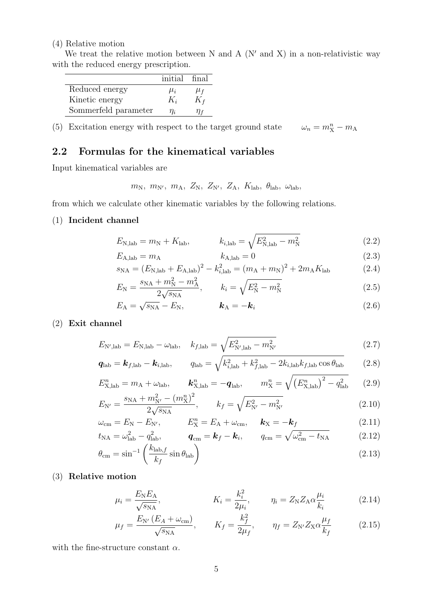#### (4) Relative motion

We treat the relative motion between N and A  $(N'$  and X) in a non-relativistic way with the reduced energy prescription.

|                      | initial final |         |
|----------------------|---------------|---------|
| Reduced energy       | $\mu_i$       | $\mu_f$ |
| Kinetic energy       | $K_i$         | $K_f$   |
| Sommerfeld parameter | $\eta_i$      | 'I I f  |

(5) Excitation energy with respect to the target ground state  $\omega_n = m_X^n - m_A$ 

## **2.2 Formulas for the kinematical variables**

Input kinematical variables are

 $m_N$ ,  $m_{N'}$ ,  $m_A$ ,  $Z_N$ ,  $Z_{N'}$ ,  $Z_A$ ,  $K_{\text{lab}}$ ,  $\theta_{\text{lab}}$ ,  $\omega_{\text{lab}}$ 

from which we calculate other kinematic variables by the following relations.

#### (1) **Incident channel**

$$
E_{\rm N,lab} = m_{\rm N} + K_{\rm lab}, \qquad k_{i,\rm lab} = \sqrt{E_{\rm N,lab}^2 - m_{\rm N}^2} \tag{2.2}
$$

$$
E_{\rm A,lab} = m_{\rm A} \qquad k_{\rm A,lab} = 0 \tag{2.3}
$$

$$
s_{\rm NA} = (E_{\rm N,lab} + E_{\rm A,lab})^2 - k_{i,\rm lab}^2 = (m_{\rm A} + m_{\rm N})^2 + 2m_{\rm A}K_{\rm lab} \tag{2.4}
$$

$$
E_{\rm N} = \frac{s_{\rm NA} + m_{\rm N}^2 - m_{\rm A}^2}{2\sqrt{s_{\rm NA}}}, \qquad k_i = \sqrt{E_{\rm N}^2 - m_{\rm N}^2} \tag{2.5}
$$

$$
E_{\rm A} = \sqrt{s_{\rm NA}} - E_{\rm N}, \qquad \mathbf{k}_{\rm A} = -\mathbf{k}_i \tag{2.6}
$$

## (2) **Exit channel**

$$
E_{\rm N',lab} = E_{\rm N,lab} - \omega_{\rm lab}, \quad k_{f,\rm lab} = \sqrt{E_{\rm N',lab}^2 - m_{\rm N'}^2} \tag{2.7}
$$

$$
\boldsymbol{q}_{\text{lab}} = \boldsymbol{k}_{f,\text{lab}} - \boldsymbol{k}_{i,\text{lab}}, \qquad q_{\text{lab}} = \sqrt{k_{i,\text{lab}}^2 + k_{f,\text{lab}}^2 - 2k_{i,\text{lab}}k_{f,\text{lab}}\cos\theta_{\text{lab}}}
$$
(2.8)

$$
E_{\text{X,lab}}^n = m_A + \omega_{\text{lab}}, \qquad \mathbf{k}_{\text{X,lab}}^n = -\mathbf{q}_{\text{lab}}, \qquad m_{\text{X}}^n = \sqrt{\left(E_{\text{X,lab}}^n\right)^2 - q_{\text{lab}}^2} \tag{2.9}
$$

$$
E_{N'} = \frac{s_{\text{NA}} + m_{N'}^2 - (m_{\text{X}}^n)^2}{2\sqrt{s_{\text{NA}}}}, \qquad k_f = \sqrt{E_{N'}^2 - m_{N'}^2}
$$
 (2.10)

$$
\omega_{\rm cm} = E_{\rm N} - E_{\rm N'}, \qquad E_{\rm X}^{n} = E_{\rm A} + \omega_{\rm cm}, \qquad \mathbf{k}_{\rm X} = -\mathbf{k}_{f} \tag{2.11}
$$
\n
$$
\mathbf{t}_{\rm NA} = \omega_{\rm A}^{2}, \qquad \mathbf{q} = \mathbf{k}_{f} - \mathbf{k}; \qquad q_{\rm cm} = \sqrt{\omega^{2} - t_{\rm NA}} \tag{2.12}
$$

$$
t_{\rm NA} = \omega_{\rm lab}^2 - q_{\rm lab}^2, \qquad \mathbf{q}_{\rm cm} = \mathbf{k}_f - \mathbf{k}_i, \qquad q_{\rm cm} = \sqrt{\omega_{\rm cm}^2 - t_{\rm NA}} \tag{2.12}
$$

$$
\theta_{\rm cm} = \sin^{-1} \left( \frac{k_{\rm lab, f}}{k_f} \sin \theta_{\rm lab} \right) \tag{2.13}
$$

#### (3) **Relative motion**

$$
\mu_i = \frac{E_{\rm N} E_{\rm A}}{\sqrt{s_{\rm N} A}}, \qquad K_i = \frac{k_i^2}{2\mu_i}, \qquad \eta_i = Z_{\rm N} Z_{\rm A} \alpha \frac{\mu_i}{k_i} \qquad (2.14)
$$

$$
\mu_f = \frac{E_{\rm N'}(E_A + \omega_{\rm cm})}{\sqrt{s_{\rm NA}}}, \qquad K_f = \frac{k_f^2}{2\mu_f}, \qquad \eta_f = Z_{\rm N'} Z_{\rm X} \alpha \frac{\mu_f}{k_f} \tag{2.15}
$$

with the fine-structure constant *α*.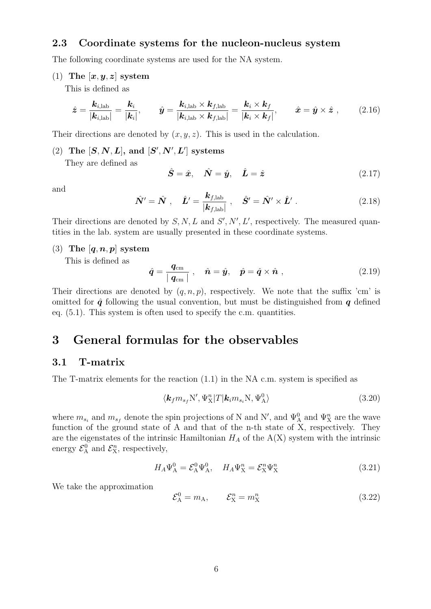## **2.3 Coordinate systems for the nucleon-nucleus system**

The following coordinate systems are used for the NA system.

 $(1)$  **The**  $[x, y, z]$  system

This is defined as

$$
\hat{\mathbf{z}} = \frac{\mathbf{k}_{i,\text{lab}}}{|\mathbf{k}_{i,\text{lab}}|} = \frac{\mathbf{k}_i}{|\mathbf{k}_i|}, \qquad \hat{\mathbf{y}} = \frac{\mathbf{k}_{i,\text{lab}} \times \mathbf{k}_{f,\text{lab}}}{|\mathbf{k}_{i,\text{lab}} \times \mathbf{k}_{f,\text{lab}}|} = \frac{\mathbf{k}_i \times \mathbf{k}_f}{|\mathbf{k}_i \times \mathbf{k}_f|}, \qquad \hat{\mathbf{x}} = \hat{\mathbf{y}} \times \hat{\mathbf{z}} \tag{2.16}
$$

Their directions are denoted by  $(x, y, z)$ . This is used in the calculation.

 $(2)$  The  $[S, N, L]$ , and  $[S', N', L']$  systems

They are defined as

$$
\hat{\mathbf{S}} = \hat{\mathbf{x}}, \quad \hat{\mathbf{N}} = \hat{\mathbf{y}}, \quad \hat{\mathbf{L}} = \hat{\mathbf{z}} \tag{2.17}
$$

and

$$
\hat{\mathbf{N}}' = \hat{\mathbf{N}} \ , \quad \hat{\mathbf{L}}' = \frac{\mathbf{k}_{f,\text{lab}}}{|\mathbf{k}_{f,\text{lab}}|} \ , \quad \hat{\mathbf{S}}' = \hat{\mathbf{N}}' \times \hat{\mathbf{L}}' \ . \tag{2.18}
$$

Their directions are denoted by  $S, N, L$  and  $S', N', L'$ , respectively. The measured quantities in the lab. system are usually presented in these coordinate systems.

#### (3) **The** [*q, n, p*] **system**

This is defined as

$$
\hat{\boldsymbol{q}} = \frac{\boldsymbol{q}_{\rm cm}}{|\boldsymbol{q}_{\rm cm}|} \ , \quad \hat{\boldsymbol{n}} = \hat{\boldsymbol{y}}, \quad \hat{\boldsymbol{p}} = \hat{\boldsymbol{q}} \times \hat{\boldsymbol{n}} \ , \tag{2.19}
$$

Their directions are denoted by  $(q, n, p)$ , respectively. We note that the suffix 'cm' is omitted for  $\hat{q}$  following the usual convention, but must be distinguished from  $q$  defined eq. (5.1). This system is often used to specify the c.m. quantities.

## **3 General formulas for the observables**

### **3.1 T-matrix**

The T-matrix elements for the reaction (1.1) in the NA c.m. system is specified as

$$
\langle \mathbf{k}_f m_{s_f} N', \Psi_X^n | T | \mathbf{k}_i m_{s_i} N, \Psi_\mathbf{A}^0 \rangle \tag{3.20}
$$

where  $m_{s_i}$  and  $m_{s_f}$  denote the spin projections of N and N', and  $\Psi_{\rm A}^0$  and  $\Psi_{\rm X}^n$  are the wave function of the ground state of A and that of the n-th state of X, respectively. They are the eigenstates of the intrinsic Hamiltonian  $H_A$  of the  $A(X)$  system with the intrinsic energy  $\mathcal{E}_{\rm A}^0$  and  $\mathcal{E}_{\rm X}^n$ , respectively,

$$
H_A \Psi_A^0 = \mathcal{E}_A^0 \Psi_A^0, \quad H_A \Psi_X^n = \mathcal{E}_X^n \Psi_X^n \tag{3.21}
$$

We take the approximation

$$
\mathcal{E}_{\mathbf{A}}^0 = m_{\mathbf{A}}, \qquad \mathcal{E}_{\mathbf{X}}^n = m_{\mathbf{X}}^n \tag{3.22}
$$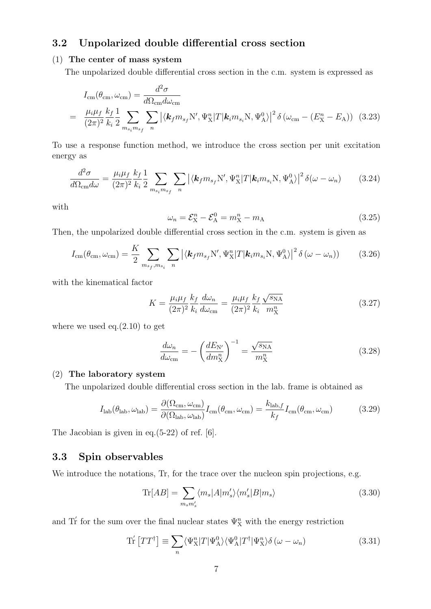## **3.2 Unpolarized double differential cross section**

### (1) **The center of mass system**

The unpolarized double differential cross section in the c.m. system is expressed as

$$
I_{\rm cm}(\theta_{\rm cm}, \omega_{\rm cm}) = \frac{d^2 \sigma}{d\Omega_{\rm cm} d\omega_{\rm cm}}
$$
  
= 
$$
\frac{\mu_i \mu_f}{(2\pi)^2} \frac{k_f}{k_i} \frac{1}{2} \sum_{m_{s_i} m_{s_f}} \sum_n |\langle \mathbf{k}_f m_{s_f} N', \Psi_X^n | T | \mathbf{k}_i m_{s_i} N, \Psi_A^0 \rangle|^2 \delta(\omega_{\rm cm} - (E_X^n - E_A))
$$
 (3.23)

To use a response function method, we introduce the cross section per unit excitation energy as

$$
\frac{d^2\sigma}{d\Omega_{\rm cm}d\omega} = \frac{\mu_i\mu_f}{(2\pi)^2} \frac{k_f}{k_i} \frac{1}{2} \sum_{m_{s_i}m_{s_f}} \sum_n |\langle \mathbf{k}_f m_{s_f} \mathbf{N}', \Psi_{\rm X}^n | T | \mathbf{k}_i m_{s_i} \mathbf{N}, \Psi_{\rm A}^0 \rangle|^2 \delta(\omega - \omega_n) \tag{3.24}
$$

with

$$
\omega_n = \mathcal{E}_X^n - \mathcal{E}_A^0 = m_X^n - m_A \tag{3.25}
$$

Then, the unpolarized double differential cross section in the c.m. system is given as

$$
I_{\rm cm}(\theta_{\rm cm}, \omega_{\rm cm}) = \frac{K}{2} \sum_{m_{s_f}, m_{s_i}} \sum_n \left| \langle \mathbf{k}_f m_{s_f} N', \Psi_X^n | T | \mathbf{k}_i m_{s_i} N, \Psi_A^0 \rangle \right|^2 \delta(\omega - \omega_n)) \tag{3.26}
$$

with the kinematical factor

$$
K = \frac{\mu_i \mu_f}{(2\pi)^2} \frac{k_f}{k_i} \frac{d\omega_n}{d\omega_{\rm cm}} = \frac{\mu_i \mu_f}{(2\pi)^2} \frac{k_f}{k_i} \frac{\sqrt{s_{\rm NA}}}{m_{\rm X}^n}
$$
(3.27)

where we used eq. $(2.10)$  to get

$$
\frac{d\omega_n}{d\omega_{\rm cm}} = -\left(\frac{dE_{\rm N'}}{dm_{\rm X}^n}\right)^{-1} = \frac{\sqrt{s_{\rm NA}}}{m_{\rm X}^n} \tag{3.28}
$$

#### (2) **The laboratory system**

The unpolarized double differential cross section in the lab. frame is obtained as

$$
I_{\rm lab}(\theta_{\rm lab}, \omega_{\rm lab}) = \frac{\partial(\Omega_{\rm cm}, \omega_{\rm cm})}{\partial(\Omega_{\rm lab}, \omega_{\rm lab})} I_{\rm cm}(\theta_{\rm cm}, \omega_{\rm cm}) = \frac{k_{\rm lab, f}}{k_f} I_{\rm cm}(\theta_{\rm cm}, \omega_{\rm cm})
$$
(3.29)

The Jacobian is given in eq.(5-22) of ref. [6].

## **3.3 Spin observables**

We introduce the notations, Tr, for the trace over the nucleon spin projections, e.g.

$$
\text{Tr}[AB] = \sum_{m_s m'_s} \langle m_s | A | m'_s \rangle \langle m'_s | B | m_s \rangle \tag{3.30}
$$

and Tr<sup>'</sup> for the sum over the final nuclear states  $\Psi_X^n$  with the energy restriction

$$
\text{Tr}\left[TT^{\dagger}\right] \equiv \sum_{n} \langle \Psi_{\text{X}}^{n} | T | \Psi_{\text{A}}^{0} \rangle \langle \Psi_{\text{A}}^{0} | T^{\dagger} | \Psi_{\text{X}}^{n} \rangle \delta\left(\omega - \omega_{n}\right) \tag{3.31}
$$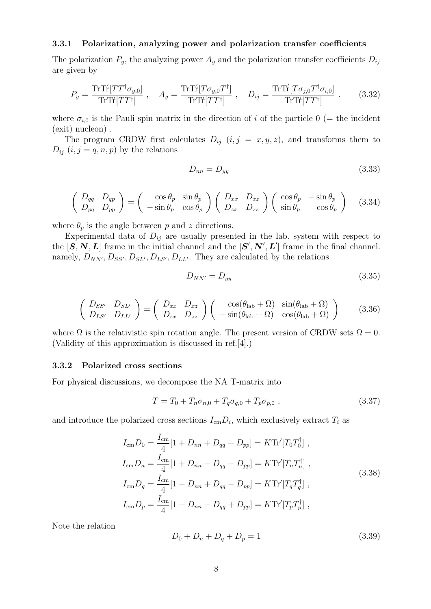#### **3.3.1 Polarization, analyzing power and polarization transfer coefficients**

The polarization  $P_y$ , the analyzing power  $A_y$  and the polarization transfer coefficients  $D_{ij}$ are given by

$$
P_y = \frac{\text{Tr}\text{Tr}[TT^{\dagger}\sigma_{y,0}]}{\text{Tr}\text{Tr}[TT^{\dagger}]}, \quad A_y = \frac{\text{Tr}\text{Tr}[T\sigma_{y,0}T^{\dagger}]}{\text{Tr}\text{Tr}[TT^{\dagger}]}, \quad D_{ij} = \frac{\text{Tr}\text{Tr}[T\sigma_{j,0}T^{\dagger}\sigma_{i,0}]}{\text{Tr}\text{Tr}[TT^{\dagger}]}.
$$
(3.32)

where  $\sigma_{i,0}$  is the Pauli spin matrix in the direction of *i* of the particle 0 (= the incident (exit) nucleon) .

The program CRDW first calculates  $D_{ij}$   $(i, j = x, y, z)$ , and transforms them to  $D_{ij}$   $(i, j = q, n, p)$  by the relations

$$
D_{nn} = D_{yy} \tag{3.33}
$$

$$
\begin{pmatrix}\nD_{qq} & D_{qp} \\
D_{pq} & D_{pp}\n\end{pmatrix} = \begin{pmatrix}\n\cos \theta_p & \sin \theta_p \\
-\sin \theta_p & \cos \theta_p\n\end{pmatrix} \begin{pmatrix}\nD_{xx} & D_{xz} \\
D_{zx} & D_{zz}\n\end{pmatrix} \begin{pmatrix}\n\cos \theta_p & -\sin \theta_p \\
\sin \theta_p & \cos \theta_p\n\end{pmatrix}
$$
\n(3.34)

where  $\theta_p$  is the angle between *p* and *z* directions.

Experimental data of  $D_{ij}$  are usually presented in the lab. system with respect to the  $[S, N, L]$  frame in the initial channel and the  $[S', N', L']$  frame in the final channel. namely,  $D_{NN'}$ ,  $D_{SS'}$ ,  $D_{SL'}$ ,  $D_{LS'}$ ,  $D_{LL'}$ . They are calculated by the relations

$$
D_{NN'} = D_{yy} \tag{3.35}
$$

$$
\begin{pmatrix}\nD_{SS'} & D_{SL'} \\
D_{LS'} & D_{LL'}\n\end{pmatrix} = \begin{pmatrix}\nD_{xx} & D_{xz} \\
D_{zx} & D_{zz}\n\end{pmatrix} \begin{pmatrix}\n\cos(\theta_{\text{lab}} + \Omega) & \sin(\theta_{\text{lab}} + \Omega) \\
-\sin(\theta_{\text{lab}} + \Omega) & \cos(\theta_{\text{lab}} + \Omega)\n\end{pmatrix}
$$
\n(3.36)

where  $\Omega$  is the relativistic spin rotation angle. The present version of CRDW sets  $\Omega = 0$ . (Validity of this approximation is discussed in ref.[4].)

#### **3.3.2 Polarized cross sections**

For physical discussions, we decompose the NA T-matrix into

$$
T = T_0 + T_n \sigma_{n,0} + T_q \sigma_{q,0} + T_p \sigma_{p,0} , \qquad (3.37)
$$

and introduce the polarized cross sections  $I_{\rm cm}D_i$ , which exclusively extract  $T_i$  as

$$
I_{\rm cm}D_0 = \frac{I_{\rm cm}}{4} [1 + D_{nn} + D_{qq} + D_{pp}] = K \text{Tr}'[T_0 T_0^{\dagger}],
$$
  
\n
$$
I_{\rm cm}D_n = \frac{I_{\rm cm}}{4} [1 + D_{nn} - D_{qq} - D_{pp}] = K \text{Tr}'[T_n T_n^{\dagger}],
$$
  
\n
$$
I_{\rm cm}D_q = \frac{I_{\rm cm}}{4} [1 - D_{nn} + D_{qq} - D_{pp}] = K \text{Tr}'[T_q T_q^{\dagger}],
$$
  
\n
$$
I_{\rm cm}D_p = \frac{I_{\rm cm}}{4} [1 - D_{nn} - D_{qq} + D_{pp}] = K \text{Tr}'[T_p T_p^{\dagger}],
$$
\n(3.38)

Note the relation

$$
D_0 + D_n + D_q + D_p = 1 \tag{3.39}
$$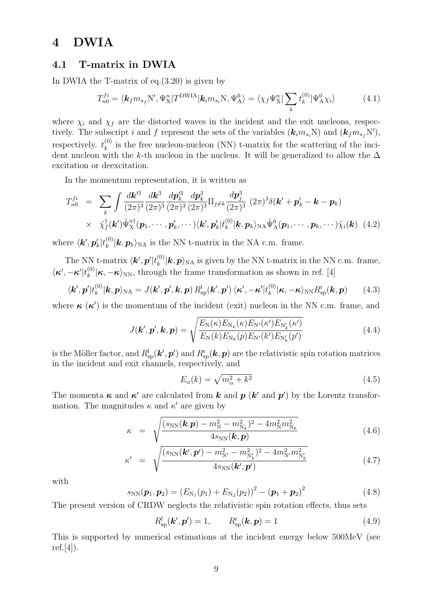## **4 DWIA**

### **4.1 T-matrix in DWIA**

In DWIA the T-matrix of eq.(3.20) is given by

$$
T_{n0}^{fi} = \langle \mathbf{k}_f m_{s_f} N', \Psi_{\mathbf{X}}^n | T^{\text{DWIA}} | \mathbf{k}_i m_{s_i} N, \Psi_{\mathbf{A}}^0 \rangle = \langle \chi_f \Psi_{\mathbf{X}}^n | \sum_k t_k^{(0)} | \Psi_{\mathbf{A}}^0 \chi_i \rangle \tag{4.1}
$$

where  $\chi_i$  and  $\chi_f$  are the distorted waves in the incident and the exit nucleons, respectively. The subscript *i* and *f* represent the sets of the variables  $(k_i m_{s_i} N)$  and  $(k_f m_{s_f} N')$ , respectively.  $t_k^{(0)}$  $k_k^{(0)}$  is the free nucleon-nucleon (NN) t-matrix for the scattering of the incident nucleon with the *k*-th nucleon in the nucleus. It will be generalized to allow the  $\Delta$ excitation or deexcitation.

In the momentum representation, it is written as

$$
T_{n0}^{fi} = \sum_{k} \int \frac{d\boldsymbol{k}'^{3}}{(2\pi)^{3}} \frac{d\boldsymbol{p}_{k}^{3}}{(2\pi)^{3}} \frac{d\boldsymbol{p}_{k}^{3}}{(2\pi)^{3}} \frac{d\boldsymbol{p}_{k}^{3}}{(2\pi)^{3}} \Pi_{j \neq k} \frac{d\boldsymbol{p}_{j}^{3}}{(2\pi)^{3}} (2\pi)^{3} \delta(\boldsymbol{k}' + \boldsymbol{p}_{k}' - \boldsymbol{k} - \boldsymbol{p}_{k})
$$
  
  $\times \tilde{\chi}_{f}^{\dagger}(\boldsymbol{k}') \tilde{\Psi}_{X}^{n\dagger}(\boldsymbol{p}_{1}, \cdots, \boldsymbol{p}_{k}', \cdots) \langle \boldsymbol{k}', \boldsymbol{p}_{k}' | t_{k}^{(0)} | \boldsymbol{k}, \boldsymbol{p}_{k} \rangle_{NA} \tilde{\Psi}_{A}^{0}(\boldsymbol{p}_{1}, \cdots, \boldsymbol{p}_{k}, \cdots) \tilde{\chi}_{i}(\boldsymbol{k}) \tag{4.2}$ 

where  $\langle k', \boldsymbol{p}'_k | t_k^{(0)} \rangle$  $k_k^{(0)}$  **|k**,  $p_k$   $\rangle$ <sub>NA</sub> is the NN t-matrix in the NA c.m. frame.

The NN t-matrix  $\langle{\boldsymbol k'},{\boldsymbol p'}|t_k^{(0)}\rangle$  $k_k^{(0)}$  **|***k*, *p* $\rangle$ <sub>NA</sub> is given by the NN t-matrix in the NN c.m. frame,  $\langle \boldsymbol{\kappa}',-\boldsymbol{\kappa}'|t_k^{(0)}\rangle$  $\binom{0}{k}$  **|***κ*,  $-\kappa$  $\rangle$ <sub>NN</sub>, through the frame transformation as shown in ref. [4]

$$
\langle \mathbf{k}', \mathbf{p}' | t_k^{(0)} | \mathbf{k}, \mathbf{p} \rangle_{\text{NA}} = J(\mathbf{k}', \mathbf{p}', \mathbf{k}, \mathbf{p}) R_{\text{sp}}^{\text{l}}(\mathbf{k}', \mathbf{p}') \langle \mathbf{\kappa}', -\mathbf{\kappa}' | t_k^{(0)} | \mathbf{\kappa}, -\mathbf{\kappa} \rangle_{\text{NN}} R_{\text{sp}}^{\text{r}}(\mathbf{k}, \mathbf{p}) \qquad (4.3)
$$

where  $\kappa(\kappa')$  is the momentum of the incident (exit) nucleon in the NN c.m. frame, and

$$
J(\mathbf{k}', \mathbf{p}', \mathbf{k}, \mathbf{p}) = \sqrt{\frac{E_{\rm N}(\kappa) E_{\rm N_k}(\kappa) E_{\rm N'}(\kappa') E_{\rm N'_k}(\kappa')}{E_{\rm N}(k) E_{\rm N_k}(p) E_{\rm N'}(k') E_{\rm N'_k}(p')}} \tag{4.4}
$$

is the Möller factor, and  $R_{\text{sp}}^{\text{l}}(\bm{k}',\bm{p}')$  and  $R_{\text{sp}}^{\text{r}}(\bm{k},\bm{p})$  are the relativistic spin rotation matrices in the incident and exit channels, respectively, and

$$
E_{\alpha}(k) = \sqrt{m_{\alpha}^2 + k^2} \tag{4.5}
$$

The momenta  $\kappa$  and  $\kappa'$  are calculated from  $k$  and  $p$  ( $k'$  and  $p'$ ) by the Lorentz transformation. The magnitudes  $\kappa$  and  $\kappa'$  are given by

$$
\kappa = \sqrt{\frac{(s_{\rm NN}(\mathbf{k}.\mathbf{p}) - m_{\rm N}^2 - m_{\rm N_k}^2)^2 - 4m_{\rm N}^2 m_{\rm N_k}^2}{4s_{\rm NN}(\mathbf{k}, \mathbf{p})}}
$$
(4.6)

$$
\kappa' = \sqrt{\frac{(s_{NN}(\mathbf{k}', \mathbf{p}') - m_{N'}^2 - m_{N'_k}^2)^2 - 4m_{N'}^2 m_{N'_k}^2}{4s_{NN}(\mathbf{k}', \mathbf{p}')}}
$$
(4.7)

with

*κ*

$$
s_{NN}(\boldsymbol{p}_1, \boldsymbol{p}_2) = (E_{N_1}(p_1) + E_{N_2}(p_2))^2 - (\boldsymbol{p}_1 + \boldsymbol{p}_2)^2
$$
\n(4.8)

The present version of CRDW neglects the relativistic spin rotation effects, thus sets

$$
R_{\rm sp}^{\rm l}(\boldsymbol{k}',\boldsymbol{p}')=1, \qquad R_{\rm sp}^{\rm r}(\boldsymbol{k},\boldsymbol{p})=1 \tag{4.9}
$$

This is supported by numerical estimations at the incident energy below 500MeV (see  $ref.[4]).$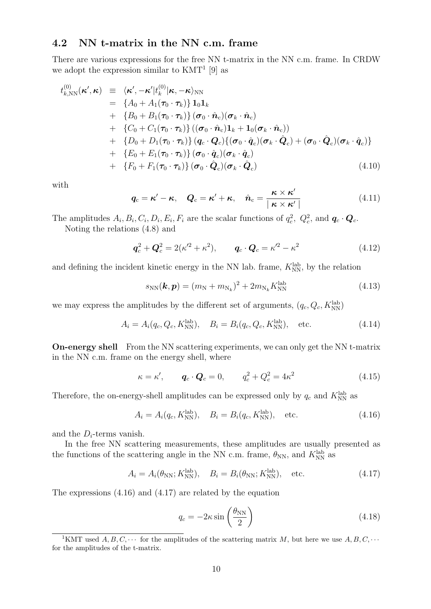### **4.2 NN t-matrix in the NN c.m. frame**

There are various expressions for the free NN t-matrix in the NN c.m. frame. In CRDW we adopt the expression similar to  $KMT<sup>1</sup>$  [9] as

$$
t_{k,\text{NN}}^{(0)}(\kappa',\kappa) \equiv \langle \kappa', -\kappa' | t_k^{(0)} | \kappa, -\kappa \rangle_{\text{NN}} \n= \{A_0 + A_1(\tau_0 \cdot \tau_k)\} \mathbf{1}_0 \mathbf{1}_k \n+ \{B_0 + B_1(\tau_0 \cdot \tau_k)\} (\sigma_0 \cdot \hat{\mathbf{n}}_c) (\sigma_k \cdot \hat{\mathbf{n}}_c) \n+ \{C_0 + C_1(\tau_0 \cdot \tau_k)\} ((\sigma_0 \cdot \hat{\mathbf{n}}_c) \mathbf{1}_k + \mathbf{1}_0 (\sigma_k \cdot \hat{\mathbf{n}}_c)) \n+ \{D_0 + D_1(\tau_0 \cdot \tau_k)\} (\mathbf{q}_c \cdot \mathbf{Q}_c) \{ (\sigma_0 \cdot \hat{\mathbf{q}}_c) (\sigma_k \cdot \hat{\mathbf{Q}}_c) + (\sigma_0 \cdot \hat{\mathbf{Q}}_c) (\sigma_k \cdot \hat{\mathbf{q}}_c) \} \n+ \{E_0 + E_1(\tau_0 \cdot \tau_k)\} (\sigma_0 \cdot \hat{\mathbf{q}}_c) (\sigma_k \cdot \hat{\mathbf{q}}_c) \n+ \{F_0 + F_1(\tau_0 \cdot \tau_k)\} (\sigma_0 \cdot \hat{\mathbf{Q}}_c) (\sigma_k \cdot \hat{\mathbf{Q}}_c)
$$
\n(4.10)

with

$$
\boldsymbol{q}_{\rm c} = \boldsymbol{\kappa}' - \boldsymbol{\kappa}, \quad \boldsymbol{Q}_{\rm c} = \boldsymbol{\kappa}' + \boldsymbol{\kappa}, \quad \hat{\boldsymbol{n}}_{\rm c} = \frac{\boldsymbol{\kappa} \times \boldsymbol{\kappa}'}{|\boldsymbol{\kappa} \times \boldsymbol{\kappa}'|}
$$
(4.11)

The amplitudes  $A_i, B_i, C_i, D_i, E_i, F_i$  are the scalar functions of  $q_c^2, Q_c^2$ , and  $\boldsymbol{q}_c \cdot \boldsymbol{Q}_c$ .

Noting the relations (4.8) and

$$
q_c^2 + Q_c^2 = 2(\kappa'^2 + \kappa^2), \qquad q_c \cdot Q_c = \kappa'^2 - \kappa^2 \tag{4.12}
$$

and defining the incident kinetic energy in the NN lab. frame,  $K_{\text{NN}}^{\text{lab}}$ , by the relation

$$
s_{NN}(\mathbf{k}, \mathbf{p}) = (m_N + m_{N_k})^2 + 2m_{N_k} K_{NN}^{\text{lab}}
$$
\n(4.13)

we may express the amplitudes by the different set of arguments,  $(q_c, Q_c, K_{NN}^{\text{lab}})$ 

$$
A_i = A_i(q_c, Q_c, K_{NN}^{lab}), \quad B_i = B_i(q_c, Q_c, K_{NN}^{lab}), \quad \text{etc.}
$$
 (4.14)

**On-energy shell** From the NN scattering experiments, we can only get the NN t-matrix in the NN c.m. frame on the energy shell, where

$$
\kappa = \kappa', \qquad \boldsymbol{q}_c \cdot \boldsymbol{Q}_c = 0, \qquad q_c^2 + Q_c^2 = 4\kappa^2 \tag{4.15}
$$

Therefore, the on-energy-shell amplitudes can be expressed only by  $q_c$  and  $K_{\text{NN}}^{\text{lab}}$  as

$$
A_i = A_i(q_c, K_{NN}^{lab}), \quad B_i = B_i(q_c, K_{NN}^{lab}), \quad \text{etc.}
$$
 (4.16)

and the *Di*-terms vanish.

In the free NN scattering measurements, these amplitudes are usually presented as the functions of the scattering angle in the NN c.m. frame,  $\theta_{NN}$ , and  $K_{NN}^{\text{lab}}$  as

$$
A_i = A_i(\theta_{NN}; K_{NN}^{\text{lab}}), \quad B_i = B_i(\theta_{NN}; K_{NN}^{\text{lab}}), \quad \text{etc.}
$$
 (4.17)

The expressions (4.16) and (4.17) are related by the equation

$$
q_c = -2\kappa \sin\left(\frac{\theta_{\rm NN}}{2}\right) \tag{4.18}
$$

<sup>&</sup>lt;sup>1</sup>KMT used *A, B, C,*  $\cdots$  for the amplitudes of the scattering matrix *M*, but here we use  $A, B, C, \cdots$ for the amplitudes of the t-matrix.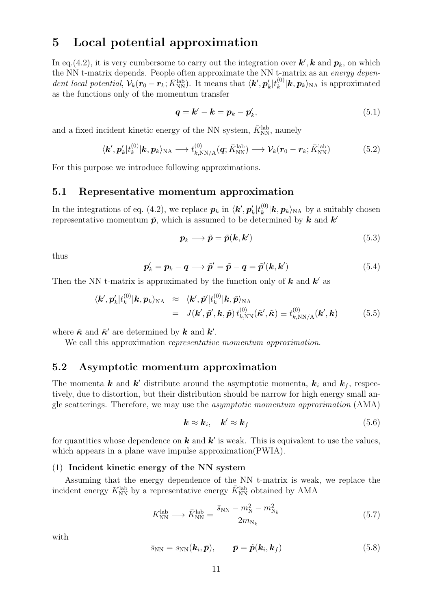## **5 Local potential approximation**

In eq.(4.2), it is very cumbersome to carry out the integration over  $k'$ ,  $k$  and  $p_k$ , on which the NN t-matrix depends. People often approximate the NN t-matrix as an *energy dependent local potential*,  $V_k(\mathbf{r}_0 - \mathbf{r}_k; \bar{K}_{\text{NN}}^{\text{lab}})$ . It means that  $\langle \mathbf{k}', \mathbf{p}'_k | t_k^{(0)} \rangle$  $\binom{[0]}{k}$  *k*,  $p_k$   $\rangle$ <sub>NA</sub> is approximated as the functions only of the momentum transfer

$$
\boldsymbol{q} = \boldsymbol{k}' - \boldsymbol{k} = \boldsymbol{p}_k - \boldsymbol{p}'_k,\tag{5.1}
$$

and a fixed incident kinetic energy of the NN system,  $\bar{K}_{\mathrm{NN}}^{\mathrm{lab}},$  namely

$$
\langle \mathbf{k}', \mathbf{p}'_k | t_k^{(0)} | \mathbf{k}, \mathbf{p}_k \rangle_{\text{NA}} \longrightarrow t_{k,\text{NN/A}}^{(0)}(\mathbf{q}; \bar{K}_{\text{NN}}^{\text{lab}}) \longrightarrow \mathcal{V}_k(\mathbf{r}_0 - \mathbf{r}_k; \bar{K}_{\text{NN}}^{\text{lab}})
$$
(5.2)

For this purpose we introduce following approximations.

#### **5.1 Representative momentum approximation**

In the integrations of eq. (4.2), we replace  $p_k$  in  $\langle k', p'_k | t_k^{(0)} \rangle$  $\binom{10}{k}$  *k*,  $p_k$   $\rangle$ <sub>NA</sub> by a suitably chosen representative momentum  $\tilde{p}$ , which is assumed to be determined by  $k$  and  $k'$ 

$$
p_k \longrightarrow \tilde{p} = \tilde{p}(k, k') \tag{5.3}
$$

thus

$$
\boldsymbol{p}'_k = \boldsymbol{p}_k - \boldsymbol{q} \longrightarrow \tilde{\boldsymbol{p}}' = \tilde{\boldsymbol{p}} - \boldsymbol{q} = \tilde{\boldsymbol{p}}'(\boldsymbol{k}, \boldsymbol{k}')
$$
\n(5.4)

Then the NN t-matrix is approximated by the function only of *k* and *k ′* as

$$
\langle \boldsymbol{k}', \boldsymbol{p}'_k | t_k^{(0)} | \boldsymbol{k}, \boldsymbol{p}_k \rangle_{\text{NA}} \approx \langle \boldsymbol{k}', \tilde{\boldsymbol{p}}' | t_k^{(0)} | \boldsymbol{k}, \tilde{\boldsymbol{p}} \rangle_{\text{NA}} \n= J(\boldsymbol{k}', \tilde{\boldsymbol{p}}', \boldsymbol{k}, \tilde{\boldsymbol{p}}) t_{k,\text{NN}}^{(0)} (\tilde{\boldsymbol{\kappa}}', \tilde{\boldsymbol{\kappa}}) \equiv t_{k,\text{NN/A}}^{(0)} (\boldsymbol{k}', \boldsymbol{k})
$$
\n(5.5)

where  $\tilde{\kappa}$  and  $\tilde{\kappa}'$  are determined by  $\boldsymbol{k}$  and  $\boldsymbol{k}'$ .

We call this approximation *representative momentum approximation*.

#### **5.2 Asymptotic momentum approximation**

The momenta  $\boldsymbol{k}$  and  $\boldsymbol{k}'$  distribute around the asymptotic momenta,  $\boldsymbol{k}_i$  and  $\boldsymbol{k}_f$ , respectively, due to distortion, but their distribution should be narrow for high energy small angle scatterings. Therefore, we may use the *asymptotic momentum approximation* (AMA)

$$
\mathbf{k} \approx \mathbf{k}_i, \quad \mathbf{k}' \approx \mathbf{k}_f \tag{5.6}
$$

for quantities whose dependence on  $k$  and  $k'$  is weak. This is equivalent to use the values, which appears in a plane wave impulse approximation(PWIA).

#### (1) **Incident kinetic energy of the NN system**

Assuming that the energy dependence of the NN t-matrix is weak, we replace the incident energy  $K_{\text{NN}}^{\text{lab}}$  by a representative energy  $\bar{K}_{\text{NN}}^{\text{lab}}$  obtained by AMA

$$
K_{\rm NN}^{\rm lab} \longrightarrow \bar{K}_{\rm NN}^{\rm lab} = \frac{\bar{s}_{\rm NN} - m_{\rm N}^2 - m_{\rm N_k}^2}{2m_{\rm N_k}}\tag{5.7}
$$

with

$$
\bar{s}_{\rm NN} = s_{\rm NN}(\boldsymbol{k}_i, \bar{\boldsymbol{p}}), \qquad \bar{\boldsymbol{p}} = \tilde{\boldsymbol{p}}(\boldsymbol{k}_i, \boldsymbol{k}_f) \tag{5.8}
$$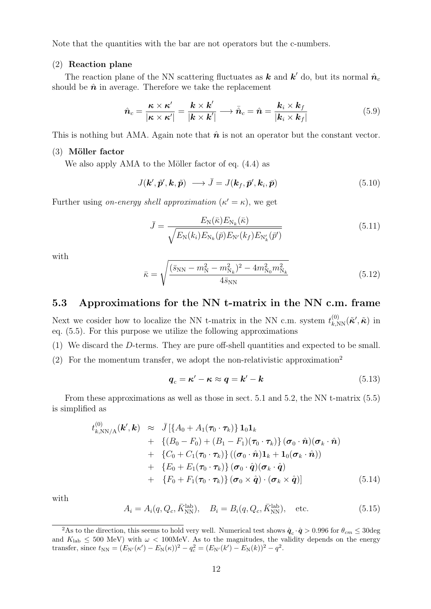Note that the quantities with the bar are not operators but the c-numbers.

#### (2) **Reaction plane**

The reaction plane of the NN scattering fluctuates as  $k$  and  $k'$  do, but its normal  $\hat{n}_c$ should be  $\hat{\boldsymbol{n}}$  in average. Therefore we take the replacement

$$
\hat{n}_c = \frac{\kappa \times \kappa'}{|\kappa \times \kappa'|} = \frac{k \times k'}{|\boldsymbol{k} \times \boldsymbol{k}'|} \longrightarrow \bar{\hat{n}}_c = \hat{n} = \frac{k_i \times k_f}{|\boldsymbol{k}_i \times \boldsymbol{k}_f|}
$$
(5.9)

This is nothing but AMA. Again note that  $\hat{\boldsymbol{n}}$  is not an operator but the constant vector.

#### (3) **M¨oller factor**

We also apply AMA to the Möller factor of eq.  $(4.4)$  as

$$
J(\mathbf{k}', \tilde{\mathbf{p}}', \mathbf{k}, \tilde{\mathbf{p}}) \longrightarrow \bar{J} = J(\mathbf{k}_f, \bar{\mathbf{p}}', \mathbf{k}_i, \bar{\mathbf{p}})
$$
(5.10)

Further using *on-energy shell approximation*  $(\kappa' = \kappa)$ , we get

$$
\bar{J} = \frac{E_{\rm N}(\bar{\kappa}) E_{\rm N_k}(\bar{\kappa})}{\sqrt{E_{\rm N}(k_i) E_{\rm N_k}(\bar{p}) E_{\rm N'}(k_f) E_{\rm N'_k}(\bar{p}')}}
$$
(5.11)

with

$$
\bar{\kappa} = \sqrt{\frac{(\bar{s}_{\rm NN} - m_{\rm N}^2 - m_{\rm N_k}^2)^2 - 4m_{\rm N_0}^2 m_{\rm N_k}^2}{4\bar{s}_{\rm NN}}} \tag{5.12}
$$

#### **5.3 Approximations for the NN t-matrix in the NN c.m. frame**

Next we cosider how to localize the NN t-matrix in the NN c.m. system  $t_{k,NN}^{(0)}(\tilde{\kappa}',\tilde{\kappa})$  in eq. (5.5). For this purpose we utilize the following approximations

(1) We discard the *D*-terms. They are pure off-shell quantities and expected to be small.

(2) For the momentum transfer, we adopt the non-relativistic approximation<sup>2</sup>

$$
q_c = \kappa' - \kappa \approx q = k' - k \tag{5.13}
$$

From these approximations as well as those in sect. 5.1 and 5.2, the NN t-matrix (5.5) is simplified as

$$
t_{k,\text{NN/A}}^{(0)}(\boldsymbol{k}',\boldsymbol{k}) \approx \bar{J} \left[ \{ A_0 + A_1(\boldsymbol{\tau}_0 \cdot \boldsymbol{\tau}_k) \} \mathbf{1}_0 \mathbf{1}_k \right. + \left\{ (B_0 - F_0) + (B_1 - F_1)(\boldsymbol{\tau}_0 \cdot \boldsymbol{\tau}_k) \} (\boldsymbol{\sigma}_0 \cdot \hat{\boldsymbol{n}}) (\boldsymbol{\sigma}_k \cdot \hat{\boldsymbol{n}}) + \left\{ C_0 + C_1(\boldsymbol{\tau}_0 \cdot \boldsymbol{\tau}_k) \right\} ((\boldsymbol{\sigma}_0 \cdot \hat{\boldsymbol{n}}) \mathbf{1}_k + \mathbf{1}_0 (\boldsymbol{\sigma}_k \cdot \hat{\boldsymbol{n}})) + \left\{ E_0 + E_1(\boldsymbol{\tau}_0 \cdot \boldsymbol{\tau}_k) \right\} (\boldsymbol{\sigma}_0 \cdot \hat{\boldsymbol{q}}) (\boldsymbol{\sigma}_k \cdot \hat{\boldsymbol{q}}) + \left\{ F_0 + F_1(\boldsymbol{\tau}_0 \cdot \boldsymbol{\tau}_k) \right\} (\boldsymbol{\sigma}_0 \times \hat{\boldsymbol{q}}) \cdot (\boldsymbol{\sigma}_k \times \hat{\boldsymbol{q}}) \right]
$$
(5.14)

with

$$
A_i = A_i(q, Q_c, \bar{K}_{\text{NN}}^{\text{lab}}), \quad B_i = B_i(q, Q_c, \bar{K}_{\text{NN}}^{\text{lab}}), \quad \text{etc.}
$$
\n
$$
(5.15)
$$

<sup>&</sup>lt;sup>2</sup>As to the direction, this seems to hold very well. Numerical test shows  $\hat{q}_c \cdot \hat{q} > 0.996$  for  $\theta_{cm} \leq 30$ deg and  $K_{\text{lab}} \leq 500$  MeV) with  $\omega < 100$ MeV. As to the magnitudes, the validity depends on the energy transfer, since  $t_{NN} = (E_{N'}(\kappa') - E_{N}(\kappa))^2 - q_c^2 = (E_{N'}(k') - E_{N}(k))^2 - q^2$ .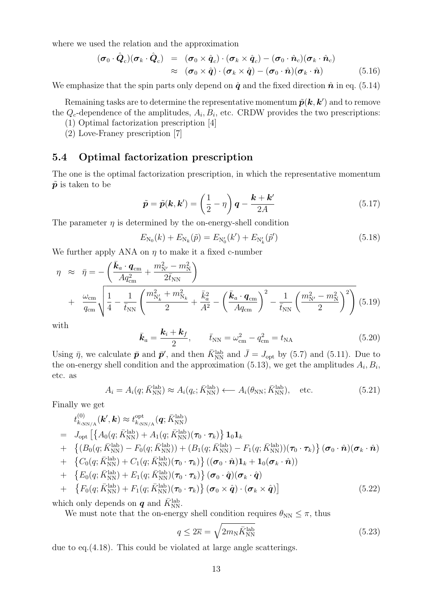where we used the relation and the approximation

$$
(\boldsymbol{\sigma}_0 \cdot \hat{\boldsymbol{Q}}_c)(\boldsymbol{\sigma}_k \cdot \hat{\boldsymbol{Q}}_c) = (\boldsymbol{\sigma}_0 \times \hat{\boldsymbol{q}}_c) \cdot (\boldsymbol{\sigma}_k \times \hat{\boldsymbol{q}}_c) - (\boldsymbol{\sigma}_0 \cdot \hat{\boldsymbol{n}}_c)(\boldsymbol{\sigma}_k \cdot \hat{\boldsymbol{n}}_c) \n\approx (\boldsymbol{\sigma}_0 \times \hat{\boldsymbol{q}}) \cdot (\boldsymbol{\sigma}_k \times \hat{\boldsymbol{q}}) - (\boldsymbol{\sigma}_0 \cdot \hat{\boldsymbol{n}})(\boldsymbol{\sigma}_k \cdot \hat{\boldsymbol{n}})
$$
\n(5.16)

We emphasize that the spin parts only depend on  $\hat{q}$  and the fixed direction  $\hat{n}$  in eq. (5.14)

Remaining tasks are to determine the representative momentum  $\tilde{p}(\boldsymbol{k},\boldsymbol{k}')$  and to remove the  $Q_c$ -dependence of the amplitudes,  $A_i, B_i$ , etc. CRDW provides the two prescriptions:

- (1) Optimal factorization prescription [4]
- (2) Love-Franey prescription [7]

#### **5.4 Optimal factorization prescription**

The one is the optimal factorization prescription, in which the representative momentum  $\tilde{p}$  is taken to be

$$
\tilde{\boldsymbol{p}} = \tilde{\boldsymbol{p}}(\boldsymbol{k}, \boldsymbol{k}') = \left(\frac{1}{2} - \eta\right) \boldsymbol{q} - \frac{\boldsymbol{k} + \boldsymbol{k}'}{2A} \tag{5.17}
$$

The parameter  $\eta$  is determined by the on-energy-shell condition

$$
E_{N_0}(k) + E_{N_k}(\tilde{p}) = E_{N'_0}(k') + E_{N'_k}(\tilde{p}') \tag{5.18}
$$

We further apply ANA on  $\eta$  to make it a fixed c-number

$$
\eta \approx \bar{\eta} = -\left(\frac{\bar{k}_a \cdot \mathbf{q}_{\rm cm}}{A q_{\rm cm}^2} + \frac{m_{\rm N'}^2 - m_{\rm N}^2}{2 \bar{t}_{\rm NN}}\right) \n+ \frac{\omega_{\rm cm}}{q_{\rm cm}} \sqrt{\frac{1}{4} - \frac{1}{\bar{t}_{\rm NN}} \left(\frac{m_{\rm N'_k}^2 + m_{\rm N_k}^2}{2} + \frac{\bar{k}_a^2}{A^2} - \left(\frac{\bar{k}_a \cdot \mathbf{q}_{\rm cm}}{A q_{\rm cm}}\right)^2 - \frac{1}{\bar{t}_{\rm NN}} \left(\frac{m_{\rm N'}^2 - m_{\rm N}^2}{2}\right)^2\right)}
$$
(5.19)

with

$$
\bar{k}_a = \frac{k_i + k_f}{2}, \qquad \bar{t}_{\rm NN} = \omega_{\rm cm}^2 - q_{\rm cm}^2 = t_{\rm NA}
$$
 (5.20)

Using  $\bar{\eta}$ , we calculate  $\bar{\mathbf{p}}$  and  $\bar{\mathbf{p}}'$ , and then  $\bar{K}_{\text{NN}}^{\text{lab}}$  and  $\bar{J} = J_{\text{opt}}$  by (5.7) and (5.11). Due to the on-energy shell condition and the approximation  $(5.13)$ , we get the amplitudes  $A_i, B_i$ , etc. as

$$
A_i = A_i(q; \bar{K}_{\text{NN}}^{\text{lab}}) \approx A_i(q_c; \bar{K}_{\text{NN}}^{\text{lab}}) \longleftarrow A_i(\theta_{\text{NN}}; \bar{K}_{\text{NN}}^{\text{lab}}), \text{ etc.}
$$
 (5.21)

Finally we get

$$
t_{k,\text{NN/A}}^{(0)}(\boldsymbol{k}',\boldsymbol{k}) \approx t_{k,\text{NN/A}}^{\text{opt}}(\boldsymbol{q};\bar{K}_{\text{NN}}^{\text{lab}})
$$
  
\n
$$
= J_{\text{opt}}\left[\left\{A_0(q;\bar{K}_{\text{NN}}^{\text{lab}}) + A_1(q;\bar{K}_{\text{NN}}^{\text{lab}})(\boldsymbol{\tau}_0 \cdot \boldsymbol{\tau}_k)\right\} \mathbf{1}_0 \mathbf{1}_k + \left\{(B_0(q;\bar{K}_{\text{NN}}^{\text{lab}}) - F_0(q;\bar{K}_{\text{NN}}^{\text{lab}})) + (B_1(q;\bar{K}_{\text{NN}}^{\text{lab}}) - F_1(q;\bar{K}_{\text{NN}}^{\text{lab}})(\boldsymbol{\tau}_0 \cdot \boldsymbol{\tau}_k)\right\} (\boldsymbol{\sigma}_0 \cdot \hat{\boldsymbol{n}})(\boldsymbol{\sigma}_k \cdot \hat{\boldsymbol{n}})
$$
  
\n+ 
$$
\left\{C_0(q;\bar{K}_{\text{NN}}^{\text{lab}}) + C_1(q;\bar{K}_{\text{NN}}^{\text{lab}})(\boldsymbol{\tau}_0 \cdot \boldsymbol{\tau}_k)\right\} ((\boldsymbol{\sigma}_0 \cdot \hat{\boldsymbol{n}}) \mathbf{1}_k + \mathbf{1}_0(\boldsymbol{\sigma}_k \cdot \hat{\boldsymbol{n}}))
$$
  
\n+ 
$$
\left\{E_0(q;\bar{K}_{\text{NN}}^{\text{lab}}) + E_1(q;\bar{K}_{\text{NN}}^{\text{lab}})(\boldsymbol{\tau}_0 \cdot \boldsymbol{\tau}_k)\right\} (\boldsymbol{\sigma}_0 \cdot \hat{\boldsymbol{q}})(\boldsymbol{\sigma}_k \cdot \hat{\boldsymbol{q}})
$$
  
\n+ 
$$
\left\{F_0(q;\bar{K}_{\text{NN}}^{\text{lab}}) + F_1(q;\bar{K}_{\text{NN}}^{\text{lab}})(\boldsymbol{\tau}_0 \cdot \boldsymbol{\tau}_k)\right\} (\boldsymbol{\sigma}_0 \times \hat{\boldsymbol{q}}) \cdot (\boldsymbol{\sigma}_k \times \hat{\boldsymbol{q}})] \tag{5.22}
$$

which only depends on  $\boldsymbol{q}$  and  $\bar{K}_{\mathrm{NN}}^{\mathrm{lab}}$ 

We must note that the on-energy shell condition requires  $\theta_{NN} \leq \pi$ , thus

$$
q \leq 2\overline{\kappa} = \sqrt{2m_{\rm N}\bar{K}_{\rm NN}^{\rm lab}}\tag{5.23}
$$

due to eq.(4.18). This could be violated at large angle scatterings.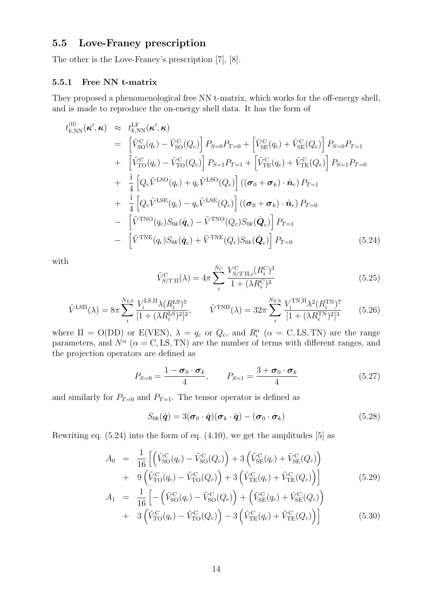## **5.5 Love-Franey prescription**

The other is the Love-Franey's prescription [7], [8].

#### **5.5.1 Free NN t-matrix**

They proposed a phenomenological free NN t-matrix, which works for the off-energy shell, and is made to reproduce the on-energy shell data. It has the form of

$$
t_{k,\text{NN}}^{(0)}(\kappa',\kappa) \approx t_{k,\text{NN}}^{\text{LF}}(\kappa',\kappa)
$$
  
\n
$$
= \left[\tilde{V}_{\text{SO}}^{\text{C}}(q_{\text{c}}) - \tilde{V}_{\text{SO}}^{\text{C}}(Q_{\text{c}})\right] P_{S=0} P_{T=0} + \left[\tilde{V}_{\text{SE}}^{\text{C}}(q_{\text{c}}) + \tilde{V}_{\text{SE}}^{\text{C}}(Q_{\text{c}})\right] P_{S=0} P_{T=1}
$$
  
\n
$$
+ \left[\tilde{V}_{\text{TO}}^{\text{C}}(q_{\text{c}}) - \tilde{V}_{\text{TO}}^{\text{C}}(Q_{\text{c}})\right] P_{S=1} P_{T=1} + \left[\tilde{V}_{\text{TE}}^{\text{C}}(q_{\text{c}}) + \tilde{V}_{\text{TE}}^{\text{C}}(Q_{\text{c}})\right] P_{S=1} P_{T=0}
$$
  
\n
$$
+ \frac{i}{4} \left[Q_{\text{c}} \tilde{V}^{\text{LSO}}(q_{\text{c}}) + q_{\text{c}} \tilde{V}^{\text{LSO}}(Q_{\text{c}})\right] ((\sigma_{0} + \sigma_{k}) \cdot \hat{n}_{\text{c}}) P_{T=1}
$$
  
\n
$$
- \left[\tilde{V}^{\text{TNO}}(q_{\text{c}}) S_{0k}(\hat{q}_{\text{c}}) - \tilde{V}^{\text{TNO}}(Q_{\text{c}}) S_{0k}(\hat{Q}_{\text{c}})\right] P_{T=1}
$$
  
\n
$$
- \left[\tilde{V}^{\text{TNE}}(q_{\text{c}}) S_{0k}(\hat{q}_{\text{c}}) + \tilde{V}^{\text{TNE}}(Q_{\text{c}}) S_{0k}(\hat{Q}_{\text{c}})\right] P_{T=0}
$$
  
\n(5.24)

with

$$
\tilde{V}_{S/T\,\Pi}^{\text{C}}(\lambda) = 4\pi \sum_{i}^{N_C} \frac{V_{S/T\,\Pi,i}^{\text{C}}(R_i^{\text{C}})^3}{1 + (\lambda R_i^{\text{C}})^2}
$$
\n(5.25)

$$
\tilde{V}^{\text{LSII}}(\lambda) = 8\pi \sum_{i}^{N_{LS}} \frac{V_i^{\text{LS},\text{II}} \lambda(R_i^{\text{LS}})^5}{[1 + (\lambda R_i^{\text{LS}})^2]^2}, \qquad \tilde{V}^{\text{TNII}}(\lambda) = 32\pi \sum_{i}^{N_{TN}} \frac{V_i^{\text{TN},\text{II}} \lambda^2(R_i^{\text{TN}})^7}{[1 + (\lambda R_i^{\text{TN}})^2]^3}
$$
(5.26)

where  $\Pi = O(DD)$  or  $E(VEN)$ ,  $\lambda = q_c$  or  $Q_c$ , and  $R_i^{\alpha}$  ( $\alpha = C, LS, TN$ ) are the range parameters, and  $N^{\alpha}$  ( $\alpha = \text{C, LS, TN}$ ) are the number of terms with different ranges, and the projection operators are defined as

$$
P_{S=0} = \frac{1 - \sigma_0 \cdot \sigma_k}{4}, \qquad P_{S=1} = \frac{3 + \sigma_0 \cdot \sigma_k}{4}
$$
 (5.27)

and similarly for  $P_{T=0}$  and  $P_{T=1}$ . The tensor operator is defined as

$$
S_{0k}(\hat{\boldsymbol{q}}) = 3(\boldsymbol{\sigma}_0 \cdot \hat{\boldsymbol{q}})(\boldsymbol{\sigma}_k \cdot \hat{\boldsymbol{q}}) - (\boldsymbol{\sigma}_0 \cdot \boldsymbol{\sigma}_k)
$$
(5.28)

Rewriting eq. (5.24) into the form of eq. (4.10), we get the amplitudes [5] as

$$
A_0 = \frac{1}{16} \left[ \left( \tilde{V}_{SO}^{C}(q_c) - \tilde{V}_{SO}^{C}(Q_c) \right) + 3 \left( \tilde{V}_{SE}^{C}(q_c) + \tilde{V}_{SE}^{C}(Q_c) \right) \right. \\ \left. + 9 \left( \tilde{V}_{TO}^{C}(q_c) - \tilde{V}_{TO}^{C}(Q_c) \right) + 3 \left( \tilde{V}_{TE}^{C}(q_c) + \tilde{V}_{TE}^{C}(Q_c) \right) \right] \tag{5.29}
$$
\n
$$
A_1 = \frac{1}{16} \left[ - \left( \tilde{V}_{SO}^{C}(q_c) - \tilde{V}_{SO}^{C}(Q_c) \right) + \left( \tilde{V}_{SE}^{C}(q_c) + \tilde{V}_{SE}^{C}(Q_c) \right) \right] \tag{5.29}
$$

+ 
$$
3\left(\tilde{V}_{\text{TO}}^{\text{C}}(q_c) - \tilde{V}_{\text{TO}}^{\text{C}}(Q_c)\right) - 3\left(\tilde{V}_{\text{TE}}^{\text{C}}(q_c) + \tilde{V}_{\text{TE}}^{\text{C}}(Q_c)\right)
$$
 (5.30)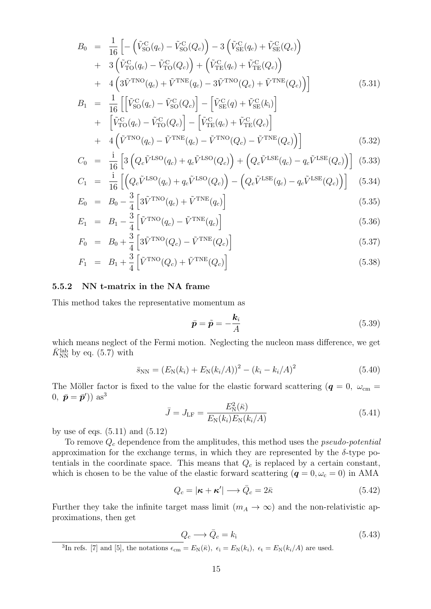$$
B_0 = \frac{1}{16} \left[ -\left(\tilde{V}_{\text{SO}}^{\text{C}}(q_c) - \tilde{V}_{\text{SO}}^{\text{C}}(Q_c)\right) - 3\left(\tilde{V}_{\text{SE}}^{\text{C}}(q_c) + \tilde{V}_{\text{SE}}^{\text{C}}(Q_c)\right) \right] + 3\left(\tilde{V}_{\text{TO}}^{\text{C}}(q_c) - \tilde{V}_{\text{TO}}^{\text{C}}(Q_c)\right) + \left(\tilde{V}_{\text{TE}}^{\text{C}}(q_c) + \tilde{V}_{\text{TE}}^{\text{C}}(Q_c)\right) + 4\left(3\tilde{V}^{\text{TNO}}(q_c) + \tilde{V}^{\text{TNE}}(q_c) - 3\tilde{V}^{\text{TNO}}(Q_c) + \tilde{V}^{\text{TNE}}(Q_c)\right) B = \frac{1}{2} \left[ \left[\tilde{V}_{\text{CC}}^{\text{C}}(q_c) - \tilde{V}_{\text{CC}}^{\text{C}}(Q_c)\right] - \left[\tilde{V}_{\text{CC}}^{\text{C}}(q_c) + \tilde{V}_{\text{CC}}^{\text{C}}(l_c)\right] \right]
$$
(5.31)

$$
B_1 = \frac{1}{16} \left[ \left[ \tilde{V}_{\text{SO}}^{\text{C}}(q_c) - \tilde{V}_{\text{SO}}^{\text{C}}(Q_c) \right] - \left[ \tilde{V}_{\text{SE}}^{\text{C}}(q) + \tilde{V}_{\text{SE}}^{\text{C}}(k_i) \right] + \left[ \tilde{V}_{\text{TO}}^{\text{C}}(q_c) - \tilde{V}_{\text{TO}}^{\text{C}}(Q_c) \right] - \left[ \tilde{V}_{\text{TE}}^{\text{C}}(q_c) + \tilde{V}_{\text{TE}}^{\text{C}}(Q_c) \right] + 4 \left( \tilde{V}_{\text{TNO}}^{\text{TNO}}(q_c) - \tilde{V}_{\text{TNC}}^{\text{TNO}}(q_c) - \tilde{V}_{\text{TNO}}^{\text{TNO}}(Q_c) - \tilde{V}_{\text{TNC}}^{\text{TNO}}(Q_c) \right)
$$
\n(5.32)

$$
C_0 = \frac{1}{16} \left[ 3 \left( Q_c \tilde{V}^{\text{LSO}}(q_c) + q_c \tilde{V}^{\text{LSO}}(Q_c) \right) + \left( Q_c \tilde{V}^{\text{LSE}}(q_c) - q_c \tilde{V}^{\text{LSE}}(Q_c) \right) \right] (5.33)
$$

$$
C_1 = \frac{1}{16} \left[ \left( Q_c \tilde{V}^{\text{LSO}}(q_c) + q_c \tilde{V}^{\text{LSO}}(Q_c) \right) - \left( Q_c \tilde{V}^{\text{LSE}}(q_c) - q_c \tilde{V}^{\text{LSE}}(Q_c) \right) \right]
$$
(5.34)

$$
E_0 = B_0 - \frac{3}{4} \left[ 3\tilde{V}^{\text{TNO}}(q_c) + \tilde{V}^{\text{TNE}}(q_c) \right]
$$
\n(5.35)

$$
E_1 = B_1 - \frac{3}{4} \left[ \tilde{V}^{\text{TNO}}(q_c) - \tilde{V}^{\text{TNE}}(q_c) \right]
$$
\n
$$
(5.36)
$$

$$
F_0 = B_0 + \frac{3}{4} \left[ 3\tilde{V}^{\text{TNO}}(Q_c) - \tilde{V}^{\text{TNE}}(Q_c) \right]
$$
\n(5.37)

$$
F_1 = B_1 + \frac{3}{4} \left[ \tilde{V}^{\text{TNO}}(Q_c) + \tilde{V}^{\text{TNE}}(Q_c) \right]
$$
\n
$$
(5.38)
$$

#### **5.5.2 NN t-matrix in the NA frame**

This method takes the representative momentum as

$$
\bar{p} = \tilde{p} = -\frac{k_i}{A} \tag{5.39}
$$

which means neglect of the Fermi motion. Neglecting the nucleon mass difference, we get  $\bar{K}_{\mathrm{NN}}^{\mathrm{lab}}$  by eq. (5.7) with

$$
\bar{s}_{NN} = (E_N(k_i) + E_N(k_i/A))^2 - (k_i - k_i/A)^2
$$
\n(5.40)

The Möller factor is fixed to the value for the elastic forward scattering ( $q = 0$ ,  $\omega_{\rm cm} =$  $(0, \bar{p} = \bar{p}$ <sup>'</sup> $))$  as<sup>3</sup>

$$
\bar{J} = J_{\rm LF} = \frac{E_{\rm N}^2(\bar{\kappa})}{E_{\rm N}(k_i)E_{\rm N}(k_i/A)}
$$
(5.41)

by use of eqs.  $(5.11)$  and  $(5.12)$ 

To remove *Q<sup>c</sup>* dependence from the amplitudes, this method uses the *pseudo-potential* approximation for the exchange terms, in which they are represented by the  $\delta$ -type potentials in the coordinate space. This means that *Q<sup>c</sup>* is replaced by a certain constant, which is chosen to be the value of the elastic forward scattering ( $q = 0, \omega_c = 0$ ) in AMA

$$
Q_c = |\boldsymbol{\kappa} + \boldsymbol{\kappa}'| \longrightarrow \bar{Q}_c = 2\bar{\kappa}
$$
\n(5.42)

Further they take the infinite target mass limit  $(m_A \to \infty)$  and the non-relativistic approximations, then get

$$
Q_c \longrightarrow \bar{Q}_c = k_i \tag{5.43}
$$

<sup>&</sup>lt;sup>3</sup>In refs. [7] and [5], the notations  $\epsilon_{\text{cm}} = E_N(\bar{\kappa})$ ,  $\epsilon_i = E_N(k_i)$ ,  $\epsilon_t = E_N(k_i/A)$  are used.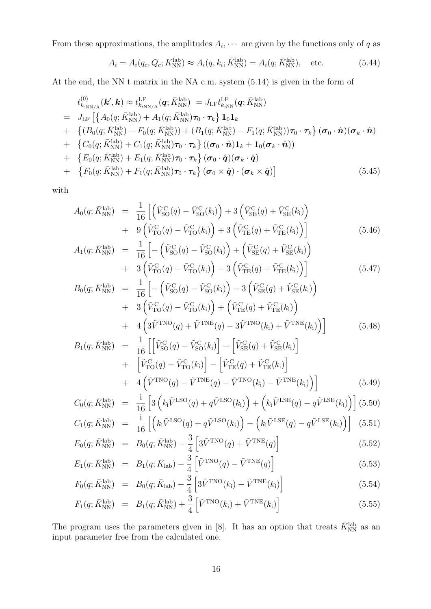From these approximations, the amplitudes  $A_i, \cdots$  are given by the functions only of *q* as

$$
A_i = A_i(q_c, Q_c; K_{\text{NN}}^{\text{lab}}) \approx A_i(q, k_i; \bar{K}_{\text{NN}}^{\text{lab}}) = A_i(q; \bar{K}_{\text{NN}}^{\text{lab}}), \text{ etc.}
$$
 (5.44)

At the end, the NN t matrix in the NA c.m. system (5.14) is given in the form of

$$
t_{k,\text{NN/A}}^{(0)}(\boldsymbol{k}',\boldsymbol{k}) \approx t_{k,\text{NN/A}}^{\text{LF}}(\boldsymbol{q};\bar{K}_{\text{NN}}^{\text{lab}}) = J_{\text{LF}}t_{k,\text{NN}}^{\text{LF}}(\boldsymbol{q};\bar{K}_{\text{NN}}^{\text{lab}})
$$
  
\n
$$
= J_{\text{LF}}\left[\left\{A_{0}(q;\bar{K}_{\text{NN}}^{\text{lab}}) + A_{1}(q;\bar{K}_{\text{NN}}^{\text{lab}})\boldsymbol{\tau}_{0} \cdot \boldsymbol{\tau}_{k}\right\}\mathbf{1}_{0}\mathbf{1}_{k} + \left\{(B_{0}(q;\bar{K}_{\text{NN}}^{\text{lab}}) - F_{0}(q;\bar{K}_{\text{NN}}^{\text{lab}})) + (B_{1}(q;\bar{K}_{\text{NN}}^{\text{lab}}) - F_{1}(q;\bar{K}_{\text{NN}}^{\text{lab}}))\boldsymbol{\tau}_{0} \cdot \boldsymbol{\tau}_{k}\right\}(\boldsymbol{\sigma}_{0} \cdot \hat{\boldsymbol{n}})(\boldsymbol{\sigma}_{k} \cdot \hat{\boldsymbol{n}})
$$
  
\n+ 
$$
\left\{C_{0}(q;\bar{K}_{\text{NN}}^{\text{lab}}) + C_{1}(q;\bar{K}_{\text{NN}}^{\text{lab}})\boldsymbol{\tau}_{0} \cdot \boldsymbol{\tau}_{k}\right\}((\boldsymbol{\sigma}_{0} \cdot \hat{\boldsymbol{n}})\mathbf{1}_{k} + \mathbf{1}_{0}(\boldsymbol{\sigma}_{k} \cdot \hat{\boldsymbol{n}}))
$$
  
\n+ 
$$
\left\{E_{0}(q;\bar{K}_{\text{NN}}^{\text{lab}}) + E_{1}(q;\bar{K}_{\text{NN}}^{\text{lab}})\boldsymbol{\tau}_{0} \cdot \boldsymbol{\tau}_{k}\right\}(\boldsymbol{\sigma}_{0} \cdot \hat{\boldsymbol{q}})(\boldsymbol{\sigma}_{k} \cdot \hat{\boldsymbol{q}})
$$
  
\n+ 
$$
\left\{F_{0}(q;\bar{K}_{\text{NN}}^{\text{lab}}) + F_{1}(q;\bar{K}_{\text{NN}}^{\text{lab}})\boldsymbol{\tau}_{0} \cdot \boldsymbol{\tau}_{k}\right\}(\boldsymbol{\sigma}_{0} \times \hat{\boldsymbol{q}}) \cdot (\boldsymbol{\sigma}_{k} \times \hat{\boldsymbol{q}})\right]
$$
(5.45)

with

$$
A_0(q; \bar{K}_{\text{NN}}^{\text{lab}}) = \frac{1}{16} \left[ \left( \tilde{V}_{\text{SO}}^{\text{C}}(q) - \tilde{V}_{\text{SO}}^{\text{C}}(k_i) \right) + 3 \left( \tilde{V}_{\text{SE}}^{\text{C}}(q) + \tilde{V}_{\text{SE}}^{\text{C}}(k_i) \right) + 9 \left( \tilde{V}_{\text{TO}}^{\text{C}}(q) - \tilde{V}_{\text{TO}}^{\text{C}}(k_i) \right) + 3 \left( \tilde{V}_{\text{TE}}^{\text{C}}(q) + \tilde{V}_{\text{TE}}^{\text{C}}(k_i) \right) \right]
$$
(5.46)

$$
A_1(q; \bar{K}_{\text{NN}}^{\text{lab}}) = \frac{1}{16} \left[ -\left(\tilde{V}_{\text{SO}}^{\text{C}}(q) - \tilde{V}_{\text{SO}}^{\text{C}}(k_1)\right) + \left(\tilde{V}_{\text{SE}}^{\text{C}}(q) + \tilde{V}_{\text{SE}}^{\text{C}}(k_1)\right) + 3\left(\tilde{V}_{\text{TO}}^{\text{C}}(q) - \tilde{V}_{\text{TO}}^{\text{C}}(k_1)\right) - 3\left(\tilde{V}_{\text{TE}}^{\text{C}}(q) + \tilde{V}_{\text{TE}}^{\text{C}}(k_1)\right) \right]
$$
(5.47)

$$
B_0(q; \bar{K}_{\text{NN}}^{\text{lab}}) = \frac{1}{16} \left[ -\left(\tilde{V}_{\text{SO}}^{\text{C}}(q) - \tilde{V}_{\text{SO}}^{\text{C}}(k_i)\right) - 3\left(\tilde{V}_{\text{SE}}^{\text{C}}(q) + \tilde{V}_{\text{SE}}^{\text{C}}(k_i)\right) + 3\left(\tilde{V}_{\text{TO}}^{\text{C}}(q) - \tilde{V}_{\text{TO}}^{\text{C}}(k_i)\right) + \left(\tilde{V}_{\text{TE}}^{\text{C}}(q) + \tilde{V}_{\text{TE}}^{\text{C}}(k_i)\right) + 4\left(3\tilde{V}^{\text{TNO}}(q) + \tilde{V}^{\text{TNE}}(q) - 3\tilde{V}^{\text{TNO}}(k_i) + \tilde{V}^{\text{TNE}}(k_i)\right) \right]
$$
(5.48)

$$
B_{1}(q; \bar{K}_{\text{NN}}^{\text{lab}}) = \frac{1}{16} \left[ \left[ \tilde{V}_{\text{SO}}^{\text{C}}(q) - \tilde{V}_{\text{SO}}^{\text{C}}(k_{i}) \right] - \left[ \tilde{V}_{\text{SE}}^{\text{C}}(q) + \tilde{V}_{\text{SE}}^{\text{C}}(k_{i}) \right] + \left[ \tilde{V}_{\text{TO}}^{\text{C}}(q) - \tilde{V}_{\text{TO}}^{\text{C}}(k_{i}) \right] - \left[ \tilde{V}_{\text{TE}}^{\text{C}}(q) + \tilde{V}_{\text{TE}}^{\text{C}}(k_{i}) \right] + 4 \left( \tilde{V}_{\text{TNO}}^{\text{TNO}}(q) - \tilde{V}_{\text{TNE}}^{\text{TNE}}(q) - \tilde{V}_{\text{TNO}}^{\text{TNO}}(k_{i}) - \tilde{V}_{\text{TNE}}^{\text{TNE}}(k_{i}) \right)
$$
\n(5.49)

$$
C_0(q; \bar{K}_{\text{NN}}^{\text{lab}}) = \frac{1}{16} \left[ 3 \left( k_i \tilde{V}^{\text{LSO}}(q) + q \tilde{V}^{\text{LSO}}(k_i) \right) + \left( k_i \tilde{V}^{\text{LSE}}(q) - q \tilde{V}^{\text{LSE}}(k_i) \right) \right] (5.50)
$$

$$
C_1(q; \bar{K}_{\text{NN}}^{\text{lab}}) = \frac{\mathrm{i}}{16} \left[ \left( k_i \tilde{V}^{\text{LSO}}(q) + q \tilde{V}^{\text{LSO}}(k_i) \right) - \left( k_i \tilde{V}^{\text{LSE}}(q) - q \tilde{V}^{\text{LSE}}(k_i) \right) \right] (5.51)
$$

$$
E_0(q; \bar{K}_{\text{NN}}^{\text{lab}}) = B_0(q; \bar{K}_{\text{NN}}^{\text{lab}}) - \frac{3}{4} \left[ 3\tilde{V}^{\text{TNO}}(q) + \tilde{V}^{\text{TNE}}(q) \right]
$$
(5.52)

$$
E_1(q; \bar{K}_{\rm NN}^{\rm lab}) = B_1(q; \bar{K}_{\rm lab}) - \frac{3}{4} \left[ \tilde{V}^{\rm TNO}(q) - \tilde{V}^{\rm TNE}(q) \right]
$$
(5.53)

$$
F_0(q; \bar{K}_{\rm NN}^{\rm lab}) = B_0(q; \bar{K}_{\rm lab}) + \frac{3}{4} \left[ 3\tilde{V}^{\rm TNO}(k_i) - \tilde{V}^{\rm TNE}(k_i) \right]
$$
(5.54)

$$
F_1(q; \bar{K}_{\rm NN}^{\rm lab}) = B_1(q; \bar{K}_{\rm NN}^{\rm lab}) + \frac{3}{4} \left[ \tilde{V}^{\rm TNO}(k_1) + \tilde{V}^{\rm TNE}(k_1) \right]
$$
(5.55)

The program uses the parameters given in [8]. It has an option that treats  $\bar{K}_{NN}^{\text{lab}}$  as an input parameter free from the calculated one.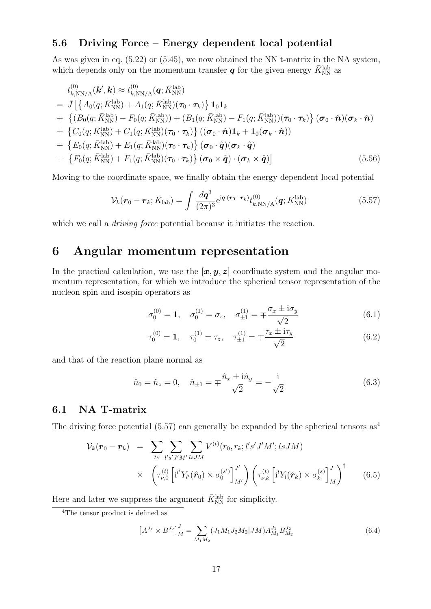## **5.6 Driving Force – Energy dependent local potential**

As was given in eq. (5.22) or (5.45), we now obtained the NN t-matrix in the NA system, which depends only on the momentum transfer  $q$  for the given energy  $\bar{K}_{\mathrm{NN}}^{\mathrm{lab}}$  as

$$
t_{k,\text{NN/A}}^{(0)}(\boldsymbol{k}',\boldsymbol{k}) \approx t_{k,\text{NN/A}}^{(0)}(\boldsymbol{q};\bar{K}_{\text{NN}}^{\text{lab}})
$$
  
\n
$$
= \bar{J}\left[\left\{A_0(q;\bar{K}_{\text{NN}}^{\text{lab}}) + A_1(q;\bar{K}_{\text{NN}}^{\text{lab}})(\boldsymbol{\tau}_0 \cdot \boldsymbol{\tau}_k)\right\}\mathbf{1}_0\mathbf{1}_k
$$
  
\n
$$
+ \left\{(B_0(q;\bar{K}_{\text{NN}}^{\text{lab}}) - F_0(q;\bar{K}_{\text{NN}}^{\text{lab}})) + (B_1(q;\bar{K}_{\text{NN}}^{\text{lab}}) - F_1(q;\bar{K}_{\text{NN}}^{\text{lab}}))(\boldsymbol{\tau}_0 \cdot \boldsymbol{\tau}_k)\right\}(\boldsymbol{\sigma}_0 \cdot \hat{\boldsymbol{n}})(\boldsymbol{\sigma}_k \cdot \hat{\boldsymbol{n}})
$$
  
\n
$$
+ \left\{C_0(q;\bar{K}_{\text{NN}}^{\text{lab}}) + C_1(q;\bar{K}_{\text{NN}}^{\text{lab}})(\boldsymbol{\tau}_0 \cdot \boldsymbol{\tau}_k)\right\}((\boldsymbol{\sigma}_0 \cdot \hat{\boldsymbol{n}})\mathbf{1}_k + \mathbf{1}_0(\boldsymbol{\sigma}_k \cdot \hat{\boldsymbol{n}}))
$$
  
\n
$$
+ \left\{E_0(q;\bar{K}_{\text{NN}}^{\text{lab}}) + E_1(q;\bar{K}_{\text{NN}}^{\text{lab}})(\boldsymbol{\tau}_0 \cdot \boldsymbol{\tau}_k)\right\}(\boldsymbol{\sigma}_0 \cdot \hat{\boldsymbol{q}})(\boldsymbol{\sigma}_k \cdot \hat{\boldsymbol{q}})
$$
  
\n
$$
+ \left\{F_0(q;\bar{K}_{\text{NN}}^{\text{lab}}) + F_1(q;\bar{K}_{\text{NN}}^{\text{lab}})(\boldsymbol{\tau}_0 \cdot \boldsymbol{\tau}_k)\right\}(\boldsymbol{\sigma}_0 \times \hat{\boldsymbol{q}}) \cdot (\boldsymbol{\sigma}_k \times \hat{\boldsymbol{q}})]
$$
  
\n(5.56)

Moving to the coordinate space, we finally obtain the energy dependent local potential

$$
\mathcal{V}_{k}(\boldsymbol{r}_{0}-\boldsymbol{r}_{k};\bar{K}_{\mathrm{lab}})=\int\frac{d\boldsymbol{q}^{3}}{(2\pi)^{3}}e^{i\boldsymbol{q}\cdot(\boldsymbol{r}_{0}-\boldsymbol{r}_{k})}t_{k,\mathrm{NN/A}}^{(0)}(\boldsymbol{q};\bar{K}_{\mathrm{NN}}^{\mathrm{lab}})
$$
(5.57)

which we call a *driving force* potential because it initiates the reaction.

## **6 Angular momentum representation**

In the practical calculation, we use the  $[\mathbf{x}, \mathbf{y}, \mathbf{z}]$  coordinate system and the angular momentum representation, for which we introduce the spherical tensor representation of the nucleon spin and isospin operators as

$$
\sigma_0^{(0)} = \mathbf{1}, \quad \sigma_0^{(1)} = \sigma_z, \quad \sigma_{\pm 1}^{(1)} = \mp \frac{\sigma_x \pm i \sigma_y}{\sqrt{2}} \tag{6.1}
$$

$$
\tau_0^{(0)} = \mathbf{1}, \quad \tau_0^{(1)} = \tau_z, \quad \tau_{\pm 1}^{(1)} = \mp \frac{\tau_x \pm i\tau_y}{\sqrt{2}} \tag{6.2}
$$

and that of the reaction plane normal as

$$
\hat{n}_0 = \hat{n}_z = 0, \quad \hat{n}_{\pm 1} = \pm \frac{\hat{n}_x \pm i \hat{n}_y}{\sqrt{2}} = -\frac{i}{\sqrt{2}} \tag{6.3}
$$

## **6.1 NA T-matrix**

The driving force potential (5.57) can generally be expanded by the spherical tensors as<sup>4</sup>

$$
\mathcal{V}_{k}(\boldsymbol{r}_{0} - \boldsymbol{r}_{k}) = \sum_{t\nu} \sum_{l's'J'M'} \sum_{l sJM} V^{(t)}(r_{0}, r_{k}; l's'J'M'; l sJM) \times \left( \tau_{\nu,0}^{(t)} \left[ i^{l'} Y_{l'}(\hat{\boldsymbol{r}}_{0}) \times \sigma_{0}^{(s')} \right]_{M'}^{J'} \right) \left( \tau_{\nu,k}^{(t)} \left[ i^{l} Y_{l}(\hat{\boldsymbol{r}}_{k}) \times \sigma_{k}^{(s)} \right]_{M}^{J} \right)^{\dagger} \tag{6.5}
$$

Here and later we suppress the argument  $\bar{K}_{\mathrm{NN}}^{\mathrm{lab}}$  for simplicity.

$$
\left[A^{J_1} \times B^{J_2}\right]_M^J = \sum_{M_1 M_2} (J_1 M_1 J_2 M_2 | J M) A_{M_1}^{J_1} B_{M_2}^{J_2}
$$
\n(6.4)

<sup>4</sup>The tensor product is defined as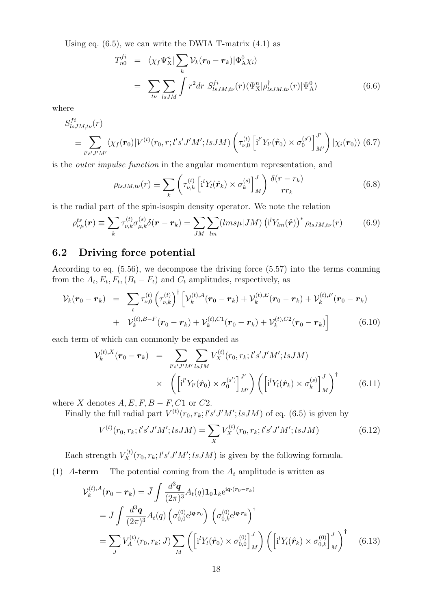Using eq.  $(6.5)$ , we can write the DWIA T-matrix  $(4.1)$  as

$$
T_{n0}^{fi} = \langle \chi_f \Psi_{\rm X}^n | \sum_k \mathcal{V}_k (\mathbf{r}_0 - \mathbf{r}_k) | \Phi_{\rm A}^0 \chi_i \rangle
$$
  
= 
$$
\sum_{t\nu} \sum_{lsJM} \int r^2 dr \ S_{lsJM,t\nu}^{fi}(r) \langle \Psi_{\rm X}^n | \rho_{lsJM,t\nu}^\dagger (r) | \Psi_{\rm A}^0 \rangle
$$
 (6.6)

where

$$
S_{lsJM,t\nu}^{fi}(r)
$$
\n
$$
\equiv \sum_{l's'J'M'} \langle \chi_f(\mathbf{r}_0) | V^{(t)}(\mathbf{r}_0, r; l's'J'M'; l s J M) \left( \tau_{\nu,0}^{(t)} \left[ i'' Y_{l'}(\hat{\mathbf{r}}_0) \times \sigma_0^{(s')} \right]_{M'}^{J'} \right) | \chi_i(\mathbf{r}_0) \rangle \tag{6.7}
$$

is the *outer impulse function* in the angular momentum representation, and

$$
\rho_{lsJM,t\nu}(r) \equiv \sum_{k} \left( \tau_{\nu,k}^{(t)} \left[ i^l Y_l(\hat{\boldsymbol{r}}_k) \times \sigma_k^{(s)} \right]_{M}^{J} \right) \frac{\delta(r - r_k)}{r r_k} \tag{6.8}
$$

is the radial part of the spin-isospin density operator. We note the relation

$$
\rho_{\nu\mu}^{ts}(\mathbf{r}) \equiv \sum_{k} \tau_{\nu,k}^{(t)} \sigma_{\mu,k}^{(s)} \delta(\mathbf{r} - \mathbf{r}_{k}) = \sum_{JM} \sum_{lm} (lms\mu|JM) \left(\mathbf{i}^{l} Y_{lm}(\hat{\mathbf{r}})\right)^{*} \rho_{lsJM,t\nu}(r) \tag{6.9}
$$

## **6.2 Driving force potential**

According to eq. (5.56), we decompose the driving force (5.57) into the terms comming from the  $A_t$ ,  $E_t$ ,  $F_t$ ,  $(B_t - F_t)$  and  $C_t$  amplitudes, respectively, as

$$
\mathcal{V}_k(\boldsymbol{r}_0 - \boldsymbol{r}_k) = \sum_t \tau_{\nu,0}^{(t)} \left( \tau_{\nu,k}^{(t)} \right)^{\dagger} \left[ \mathcal{V}_k^{(t),A}(\boldsymbol{r}_0 - \boldsymbol{r}_k) + \mathcal{V}_k^{(t),E}(\boldsymbol{r}_0 - \boldsymbol{r}_k) + \mathcal{V}_k^{(t),F}(\boldsymbol{r}_0 - \boldsymbol{r}_k) \right] + \mathcal{V}_k^{(t),B-F}(\boldsymbol{r}_0 - \boldsymbol{r}_k) + \mathcal{V}_k^{(t),C1}(\boldsymbol{r}_0 - \boldsymbol{r}_k) + \mathcal{V}_k^{(t),C2}(\boldsymbol{r}_0 - \boldsymbol{r}_k) \right]
$$
(6.10)

each term of which can commonly be expanded as

$$
\mathcal{V}_k^{(t),X}(\mathbf{r}_0 - \mathbf{r}_k) = \sum_{l's'J'M' \text{ is } JM} V_X^{(t)}(r_0, r_k; l's'J'M'; \text{ is } JM)
$$

$$
\times \left( \left[ i'' Y_{l'}(\hat{\mathbf{r}}_0) \times \sigma_0^{(s')} \right]_{M'}^{J'} \right) \left( \left[ i' Y_l(\hat{\mathbf{r}}_k) \times \sigma_k^{(s)} \right]_{M}^{J} \right)^{\dagger} \tag{6.11}
$$

where *X* denotes  $A, E, F, B - F, C1$  or  $C2$ .

Finally the full radial part  $V^{(t)}(r_0, r_k; l's'J'M'; l s J M)$  of eq. (6.5) is given by

$$
V^{(t)}(r_0, r_k; l's'J'M'; l s J M) = \sum_{X} V_X^{(t)}(r_0, r_k; l's'J'M'; l s J M)
$$
(6.12)

Each strength  $V_X^{(t)}(r_0, r_k; l's'J'M'; l s J M)$  is given by the following formula.

(1)  $A$ **-term** The potential coming from the  $A_t$  amplitude is written as

$$
\mathcal{V}_{k}^{(t),A}(\mathbf{r}_{0} - \mathbf{r}_{k}) = \bar{J} \int \frac{d^{3} \mathbf{q}}{(2\pi)^{3}} A_{t}(q) \mathbf{1}_{0} \mathbf{1}_{k} e^{i\mathbf{q} \cdot (\mathbf{r}_{0} - \mathbf{r}_{k})}
$$
\n
$$
= \bar{J} \int \frac{d^{3} \mathbf{q}}{(2\pi)^{3}} A_{t}(q) \left( \sigma_{0,0}^{(0)} e^{i\mathbf{q} \cdot \mathbf{r}_{0}} \right) \left( \sigma_{0,k}^{(0)} e^{i\mathbf{q} \cdot \mathbf{r}_{k}} \right)^{\dagger}
$$
\n
$$
= \sum_{J} V_{A}^{(t)}(\mathbf{r}_{0}, \mathbf{r}_{k}; J) \sum_{M} \left( \left[ i^{l} Y_{l}(\hat{\mathbf{r}}_{0}) \times \sigma_{0,0}^{(0)} \right]_{M}^{J} \right) \left( \left[ i^{l} Y_{l}(\hat{\mathbf{r}}_{k}) \times \sigma_{0,k}^{(0)} \right]_{M}^{J} \right)^{\dagger} \tag{6.13}
$$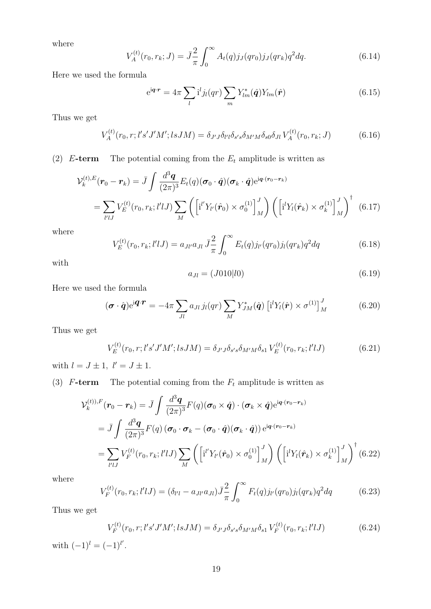where

$$
V_A^{(t)}(r_0, r_k; J) = \bar{J}\frac{2}{\pi} \int_0^\infty A_t(q) j_J(qr_0) j_J(qr_k) q^2 dq.
$$
 (6.14)

Here we used the formula

$$
e^{i\boldsymbol{q}\cdot\boldsymbol{r}} = 4\pi \sum_{l} i^{l} j_{l}(qr) \sum_{m} Y_{lm}^{*}(\hat{\boldsymbol{q}}) Y_{lm}(\hat{\boldsymbol{r}})
$$
(6.15)

Thus we get

$$
V_A^{(t)}(r_0, r; l's'J'M'; l s J M) = \delta_{J'J}\delta_{l'l}\delta_{s's}\delta_{M'M}\delta_{s0}\delta_{Jl} V_A^{(t)}(r_0, r_k; J)
$$
(6.16)

(2)  $E$ **-term** The potential coming from the  $E_t$  amplitude is written as

$$
\mathcal{V}_k^{(t),E}(\mathbf{r}_0 - \mathbf{r}_k) = \bar{J} \int \frac{d^3 \mathbf{q}}{(2\pi)^3} E_t(q) (\boldsymbol{\sigma}_0 \cdot \hat{\mathbf{q}}) (\boldsymbol{\sigma}_k \cdot \hat{\mathbf{q}}) e^{i\mathbf{q} \cdot (\mathbf{r}_0 - \mathbf{r}_k)}
$$
  
= 
$$
\sum_{l'lJ} V_E^{(t)}(r_0, r_k; l'lJ) \sum_M \left( \left[ i^l Y_{l'}(\hat{\mathbf{r}}_0) \times \sigma_0^{(1)} \right]_M^J \right) \left( \left[ i^l Y_l(\hat{\mathbf{r}}_k) \times \sigma_k^{(1)} \right]_M^J \right)^{\dagger} (6.17)
$$

where

$$
V_E^{(t)}(r_0, r_k; l'lJ) = a_{Jl'}a_{Jl} \bar{J}_{\pi}^2 \int_0^{\infty} E_t(q) j_{l'}(qr_0) j_l(qr_k) q^2 dq \qquad (6.18)
$$

with

$$
a_{Jl} = (J010|l0) \tag{6.19}
$$

Here we used the formula

$$
(\boldsymbol{\sigma} \cdot \hat{\boldsymbol{q}}) e^{i \boldsymbol{q} \cdot \boldsymbol{r}} = -4\pi \sum_{Jl} a_{Jl} j_l(qr) \sum_{M} Y_{JM}^* (\hat{\boldsymbol{q}}) \left[ i^l Y_l(\hat{\boldsymbol{r}}) \times \sigma^{(1)} \right]_{M}^J \tag{6.20}
$$

Thus we get

$$
V_E^{(t)}(r_0, r; l's'J'M'; l s J M) = \delta_{J'J} \delta_{s's} \delta_{M'M} \delta_{s1} V_E^{(t)}(r_0, r_k; l' l J)
$$
(6.21)

with  $l = J \pm 1$ ,  $l' = J \pm 1$ .

(3)  $F$ **-term** The potential coming from the  $F_t$  amplitude is written as

$$
\mathcal{V}_k^{(t),F}(\mathbf{r}_0 - \mathbf{r}_k) = \bar{J} \int \frac{d^3 \mathbf{q}}{(2\pi)^3} F(q) (\boldsymbol{\sigma}_0 \times \hat{\mathbf{q}}) \cdot (\boldsymbol{\sigma}_k \times \hat{\mathbf{q}}) e^{i\mathbf{q} \cdot (\mathbf{r}_0 - \mathbf{r}_k)}
$$
  
\n
$$
= \bar{J} \int \frac{d^3 \mathbf{q}}{(2\pi)^3} F(q) (\boldsymbol{\sigma}_0 \cdot \boldsymbol{\sigma}_k - (\boldsymbol{\sigma}_0 \cdot \hat{\mathbf{q}}) (\boldsymbol{\sigma}_k \cdot \hat{\mathbf{q}})) e^{i\mathbf{q} \cdot (\mathbf{r}_0 - \mathbf{r}_k)}
$$
  
\n
$$
= \sum_{l'lJ} V_F^{(t)}(r_0, r_k; l'lJ) \sum_{M} \left( \left[ i^l Y_{l'}(\hat{\mathbf{r}}_0) \times \sigma_0^{(1)} \right]_{M}^J \right) \left( \left[ i^l Y_l(\hat{\mathbf{r}}_k) \times \sigma_k^{(1)} \right]_{M}^J \right)^{\dagger} (6.22)
$$

where

$$
V_F^{(t)}(r_0, r_k; l'lJ) = (\delta_{l'l} - a_{Jl'}a_{Jl})\bar{J}\frac{2}{\pi} \int_0^\infty F_t(q)j_{l'}(qr_0)j_l(qr_k)q^2dq \qquad (6.23)
$$

Thus we get

$$
V_F^{(t)}(r_0, r; l's'J'M'; l s J M) = \delta_{J'J} \delta_{s's} \delta_{M'M} \delta_{s1} V_F^{(t)}(r_0, r_k; l' l J)
$$
(6.24)

with  $(-1)^l = (-1)^{l'}$ .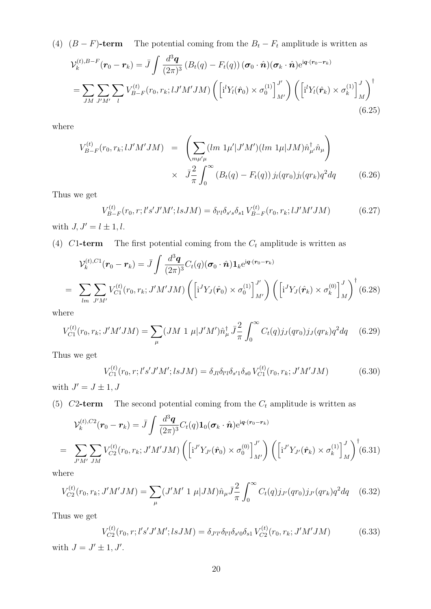(4)  $(B - F)$ **-term** The potential coming from the  $B_t - F_t$  amplitude is written as

$$
\mathcal{V}_k^{(t),B-F}(\mathbf{r}_0 - \mathbf{r}_k) = \bar{J} \int \frac{d^3 \mathbf{q}}{(2\pi)^3} \left( B_t(q) - F_t(q) \right) (\boldsymbol{\sigma}_0 \cdot \hat{\mathbf{n}}) (\boldsymbol{\sigma}_k \cdot \hat{\mathbf{n}}) e^{i\mathbf{q} \cdot (\mathbf{r}_0 - \mathbf{r}_k)}
$$
  
= 
$$
\sum_{JM} \sum_{J'M'} \sum_l V_{B-F}^{(t)}(r_0, r_k; lJ'M'JM) \left( \left[ i^l Y_l(\hat{\mathbf{r}}_0) \times \sigma_0^{(1)} \right]_{M'}^{J'} \right) \left( \left[ i^l Y_l(\hat{\mathbf{r}}_k) \times \sigma_k^{(1)} \right]_{M}^{J} \right)^{\dagger}
$$
  
(6.25)

where

$$
V_{B-F}^{(t)}(r_0, r_k; lJ'M'JM) = \left(\sum_{m\mu'\mu} (lm \ 1\mu'|J'M')(lm \ 1\mu|JM)\hat{n}_{\mu'}^{\dagger}\hat{n}_{\mu}\right) \times \ \ \bar{J}^2_{\pi} \int_0^{\infty} (B_t(q) - F_t(q)) \ j_l(qr_0)j_l(qr_k)q^2dq \tag{6.26}
$$

Thus we get

$$
V_{B-F}^{(t)}(r_0, r; l's'J'M'; l s J M) = \delta_{l'l}\delta_{s's}\delta_{s1} V_{B-F}^{(t)}(r_0, r_k; lJ'M' J M)
$$
(6.27)

with  $J, J' = l \pm 1, l$ .

(4)  $C1$ **-term** The first potential coming from the  $C_t$  amplitude is written as

$$
\mathcal{V}_{k}^{(t),C1}(\boldsymbol{r}_{0}-\boldsymbol{r}_{k}) = \bar{J} \int \frac{d^{3} \boldsymbol{q}}{(2\pi)^{3}} C_{t}(q) (\boldsymbol{\sigma}_{0} \cdot \hat{\boldsymbol{n}}) \mathbf{1}_{k} e^{i \boldsymbol{q} \cdot (\boldsymbol{r}_{0}-\boldsymbol{r}_{k})}
$$
\n
$$
= \sum_{lm} \sum_{J'M'} V_{C1}^{(t)}(r_{0}, r_{k}; J'M'JM) \left( \left[ i^{J} Y_{J}(\hat{\boldsymbol{r}}_{0}) \times \sigma_{0}^{(1)} \right]_{M'}^{J'} \right) \left( \left[ i^{J} Y_{J}(\hat{\boldsymbol{r}}_{k}) \times \sigma_{k}^{(0)} \right]_{M}^{J} \right)^{\dagger} (6.28)
$$

where

$$
V_{C1}^{(t)}(r_0, r_k; J'M'JM) = \sum_{\mu} (JM \ 1 \ \mu | J'M') \hat{n}_{\mu}^{\dagger} \ \bar{J}^{\frac{2}{\pi}} \int_0^{\infty} C_t(q) j_J(qr_0) j_J(qr_k) q^2 dq \quad (6.29)
$$

Thus we get

$$
V_{C1}^{(t)}(r_0, r; l's'J'M'; l s J M) = \delta_{Jl} \delta_{l'l} \delta_{s'l} \delta_{s0} V_{C1}^{(t)}(r_0, r_k; J'M' J M)
$$
(6.30)

with  $J' = J \pm 1, J$ 

(5) *C*2**-term** The second potential coming from the *C<sup>t</sup>* amplitude is written as

$$
\mathcal{V}_k^{(t),C2}(\mathbf{r}_0 - \mathbf{r}_k) = \bar{J} \int \frac{d^3 \mathbf{q}}{(2\pi)^3} C_t(q) \mathbf{1}_0(\boldsymbol{\sigma}_k \cdot \hat{\mathbf{n}}) e^{i \mathbf{q} \cdot (\mathbf{r}_0 - \mathbf{r}_k)}
$$
  
= 
$$
\sum_{J'M'} \sum_{JM} V_{C2}^{(t)}(\mathbf{r}_0, \mathbf{r}_k; J'M'JM) \left( \left[ i^{J'} Y_{J'}(\hat{\mathbf{r}}_0) \times \sigma_0^{(0)} \right]_{M'}^{J'} \right) \left( \left[ i^{J'} Y_{J'}(\hat{\mathbf{r}}_k) \times \sigma_k^{(1)} \right]_{M}^{J} \right)^{\dagger} (6.31)
$$

where

$$
V_{C2}^{(t)}(r_0, r_k; J'M'JM) = \sum_{\mu} (J'M' \ 1 \ \mu | JM) \hat{n}_{\mu} \bar{J} \frac{2}{\pi} \int_0^{\infty} C_t(q) j_{J'}(qr_0) j_{J'}(qr_k) q^2 dq \quad (6.32)
$$

Thus we get

$$
V_{C2}^{(t)}(r_0, r; l's'J'M'; l s J M) = \delta_{J'l'} \delta_{l'l} \delta_{s'0} \delta_{s1} V_{C2}^{(t)}(r_0, r_k; J'M' J M)
$$
(6.33)

with  $J = J' \pm 1, J'$ .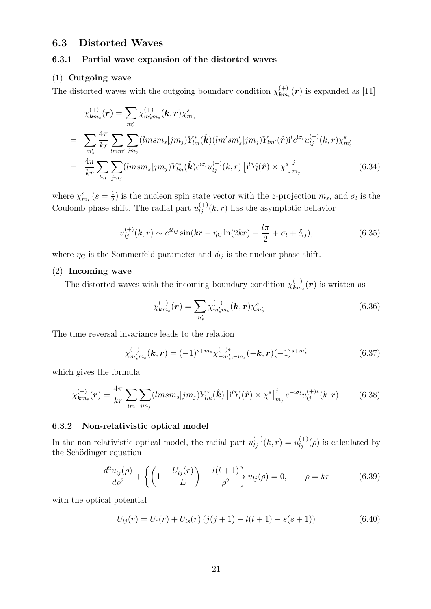### **6.3 Distorted Waves**

#### **6.3.1 Partial wave expansion of the distorted waves**

#### (1) **Outgoing wave**

The distorted waves with the outgoing boundary condition  $\chi_{km}^{(+)}$  $\binom{(+)}{km_s}$  *(r)* is expanded as [11]

$$
\chi_{km_s}^{(+)}(\mathbf{r}) = \sum_{m'_s} \chi_{m'_s m_s}^{(+)}(\mathbf{k}, \mathbf{r}) \chi_{m'_s}^s
$$
\n
$$
= \sum_{m'_s} \frac{4\pi}{kr} \sum_{lmm'} \sum_{jm_j} (lmsm_s|jm_j) Y_{lm}^*(\hat{\mathbf{k}}) (lm'sm'_s|jm_j) Y_{lm'}(\hat{\mathbf{r}})^{\dagger} e^{i\sigma_l} u_{lj}^{(+)}(k, r) \chi_{m'_s}^s
$$
\n
$$
= \frac{4\pi}{kr} \sum_{lm} \sum_{jm_j} (lmsm_s|jm_j) Y_{lm}^*(\hat{\mathbf{k}}) e^{i\sigma_l} u_{lj}^{(+)}(k, r) [i'Y_l(\hat{\mathbf{r}}) \times \chi^s]_{m_j}^j
$$
\n(6.34)

where  $\chi_{m_s}^s$  ( $s = \frac{1}{2}$  $\frac{1}{2}$ ) is the nucleon spin state vector with the *z*-projection  $m_s$ , and  $\sigma_l$  is the Coulomb phase shift. The radial part  $u_{lj}^{(+)}(k, r)$  has the asymptotic behavior

$$
u_{lj}^{(+)}(k,r) \sim e^{i\delta_{lj}} \sin(kr - \eta_c \ln(2kr) - \frac{l\pi}{2} + \sigma_l + \delta_{lj}),
$$
 (6.35)

where  $\eta_C$  is the Sommerfeld parameter and  $\delta_{lj}$  is the nuclear phase shift.

#### (2) **Incoming wave**

The distorted waves with the incoming boundary condition  $\chi^{(-)}_{km_s}(r)$  is written as

$$
\chi_{\mathbf{k}m_s}^{(-)}(\mathbf{r}) = \sum_{m'_s} \chi_{m'_s m_s}^{(-)}(\mathbf{k}, \mathbf{r}) \chi_{m'_s}^s \tag{6.36}
$$

The time reversal invariance leads to the relation

$$
\chi_{m'_s m_s}^{(-)}(\mathbf{k}, \mathbf{r}) = (-1)^{s+m_s} \chi_{-m'_s, -m_s}^{(+)*} (-\mathbf{k}, \mathbf{r}) (-1)^{s+m'_s}
$$
(6.37)

which gives the formula

$$
\chi_{\mathbf{k}m_s}^{(-)}(\mathbf{r}) = \frac{4\pi}{kr} \sum_{lm} \sum_{jm_j} (lmsm_s|jm_j) Y_{lm}^*(\hat{\mathbf{k}}) \left[ \mathbf{i}^l Y_l(\hat{\mathbf{r}}) \times \chi^s \right]_{m_j}^j e^{-i\sigma_l} u_{lj}^{(+)*}(k, r) \tag{6.38}
$$

#### **6.3.2 Non-relativistic optical model**

In the non-relativistic optical model, the radial part  $u_{lj}^{(+)}(k,r) = u_{lj}^{(+)}(\rho)$  is calculated by the Schödinger equation

$$
\frac{d^2 u_{lj}(\rho)}{d\rho^2} + \left\{ \left( 1 - \frac{U_{lj}(r)}{E} \right) - \frac{l(l+1)}{\rho^2} \right\} u_{lj}(\rho) = 0, \qquad \rho = kr \tag{6.39}
$$

with the optical potential

$$
U_{lj}(r) = U_c(r) + U_{ls}(r) (j(j+1) - l(l+1) - s(s+1))
$$
\n(6.40)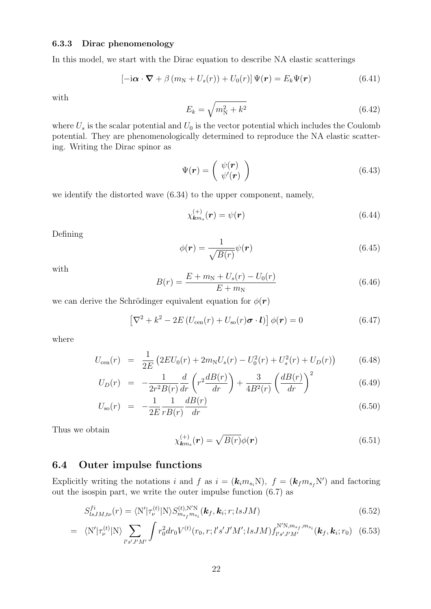#### **6.3.3 Dirac phenomenology**

In this model, we start with the Dirac equation to describe NA elastic scatterings

$$
\left[-i\boldsymbol{\alpha}\cdot\boldsymbol{\nabla}+\beta\left(m_{\rm N}+U_s(r)\right)+U_0(r)\right]\Psi(\boldsymbol{r})=E_k\Psi(\boldsymbol{r})\tag{6.41}
$$

with

$$
E_k = \sqrt{m_N^2 + k^2} \tag{6.42}
$$

where  $U_s$  is the scalar potential and  $U_0$  is the vector potential which includes the Coulomb potential. They are phenomenologically determined to reproduce the NA elastic scattering. Writing the Dirac spinor as

$$
\Psi(\mathbf{r}) = \begin{pmatrix} \psi(\mathbf{r}) \\ \psi'(\mathbf{r}) \end{pmatrix} \tag{6.43}
$$

we identify the distorted wave (6.34) to the upper component, namely,

$$
\chi_{\mathbf{k}m_s}^{(+)}(\mathbf{r}) = \psi(\mathbf{r}) \tag{6.44}
$$

Defining

$$
\phi(\mathbf{r}) = \frac{1}{\sqrt{B(r)}} \psi(\mathbf{r})
$$
\n(6.45)

with

$$
B(r) = \frac{E + m_N + U_s(r) - U_0(r)}{E + m_N}
$$
\n(6.46)

we can derive the Schrödinger equivalent equation for  $\phi(\mathbf{r})$ 

$$
\left[\nabla^2 + k^2 - 2E\left(U_{\text{cen}}(r) + U_{\text{so}}(r)\boldsymbol{\sigma} \cdot \boldsymbol{l}\right)\right]\phi(r) = 0\tag{6.47}
$$

where

$$
U_{\text{cen}}(r) = \frac{1}{2E} \left( 2EU_0(r) + 2m_N U_s(r) - U_0^2(r) + U_s^2(r) + U_D(r) \right) \tag{6.48}
$$

$$
U_D(r) = -\frac{1}{2r^2B(r)}\frac{d}{dr}\left(r^2\frac{dB(r)}{dr}\right) + \frac{3}{4B^2(r)}\left(\frac{dB(r)}{dr}\right)^2\tag{6.49}
$$

$$
U_{\rm so}(r) = -\frac{1}{2E} \frac{1}{rB(r)} \frac{dB(r)}{dr}
$$
\n(6.50)

Thus we obtain

$$
\chi_{\mathbf{k}m_s}^{(+)}(\mathbf{r}) = \sqrt{B(r)}\phi(\mathbf{r})
$$
\n(6.51)

## **6.4 Outer impulse functions**

Explicitly writing the notations *i* and *f* as  $i = (\mathbf{k}_i m_{s_i} N)$ ,  $f = (\mathbf{k}_f m_{s_f} N')$  and factoring out the isospin part, we write the outer impulse function (6.7) as

$$
S_{lsJM,t\nu}^{fi}(r) = \langle N'|\tau_{\nu}^{(t)}|N\rangle S_{m_{sf}m_{si}}^{(t),N'N}(\mathbf{k}_{f},\mathbf{k}_{i};r;lsJM)
$$
\n(6.52)

$$
= \langle N'|\tau_{\nu}^{(t)}|N\rangle \sum_{l's'J'M'} \int r_0^2 dr_0 V^{(t)}(r_0, r; l's'J'M'; l s J M) f_{l's'J'M'}^{N'N, m_{sf}, m_{s_i}}(\mathbf{k}_f, \mathbf{k}_i; r_0) \tag{6.53}
$$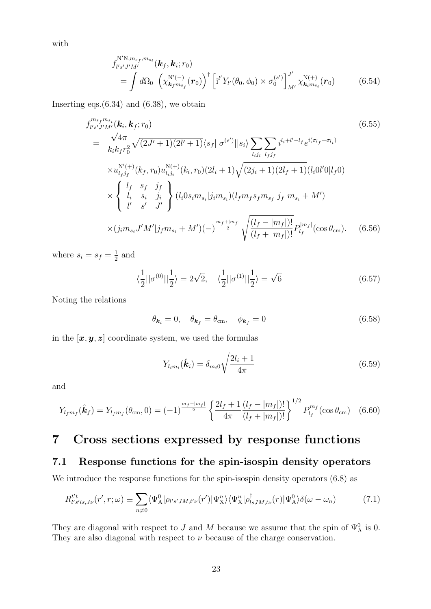with

$$
f_{l's'J'M'}^{N'N,m_{sf},m_{si}}(\mathbf{k}_{f},\mathbf{k}_{i};r_{0})
$$
  
= 
$$
\int d\Omega_{0} \left( \chi_{\mathbf{k}_{f}m_{sf}}^{N'(-)}(\mathbf{r}_{0}) \right)^{\dagger} \left[ i^{l'} Y_{l'}(\theta_{0},\phi_{0}) \times \sigma_{0}^{(s')} \right]_{M'}^{J'} \chi_{\mathbf{k}_{i}m_{si}}^{N(+)}(\mathbf{r}_{0})
$$
 (6.54)

Inserting eqs. $(6.34)$  and  $(6.38)$ , we obtain

$$
f_{l's'J'M'}^{m_{s_f}m_{s_i}}(\mathbf{k}_{i}, \mathbf{k}_{f}; r_{0})
$$
\n
$$
= \frac{\sqrt{4\pi}}{k_{i}k_{f}r_{0}^{2}}\sqrt{(2J'+1)(2l'+1)}\langle s_{f}||\sigma^{(s')}||s_{i}\rangle \sum_{l_{i}j_{i}}\sum_{l_{f}j_{f}}i^{l_{i}+l'-l_{f}}e^{i(\sigma_{l_{f}}+\sigma_{l_{i}})}
$$
\n
$$
\times u_{l_{f}j_{f}}^{N'(+)}(k_{f}, r_{0})u_{l_{i}j_{i}}^{N(+)}(k_{i}, r_{0})(2l_{i}+1)\sqrt{(2j_{i}+1)(2l_{f}+1)}(l_{i}0l'0|l_{f}0)
$$
\n
$$
\times \begin{cases} l_{f} & s_{f} & j_{f} \\ l_{i} & s_{i} & j_{i} \\ l' & s' & J' \end{cases} (l_{i}0s_{i}m_{s_{i}}|j_{i}m_{s_{i}})(l_{f}m_{f}s_{f}m_{s_{f}}|j_{f}m_{s_{i}}+M')
$$
\n
$$
\times (j_{i}m_{s_{i}}J'M'|j_{f}m_{s_{i}}+M')(-)^{\frac{m_{f}+|m_{f}|}{2}}\sqrt{\frac{(l_{f}-|m_{f}|)!}{(l_{f}+|m_{f}|)!}}P_{l_{f}}^{|m_{f}|}(\cos\theta_{cm}). \quad (6.56)
$$

where  $s_i = s_f = \frac{1}{2}$  $rac{1}{2}$  and

$$
\langle \frac{1}{2} || \sigma^{(0)} || \frac{1}{2} \rangle = 2\sqrt{2}, \quad \langle \frac{1}{2} || \sigma^{(1)} || \frac{1}{2} \rangle = \sqrt{6}
$$
 (6.57)

Noting the relations

$$
\theta_{\mathbf{k}_i} = 0, \quad \theta_{\mathbf{k}_f} = \theta_{\rm cm}, \quad \phi_{\mathbf{k}_f} = 0 \tag{6.58}
$$

in the  $[x, y, z]$  coordinate system, we used the formulas

$$
Y_{l_i m_i}(\hat{\bm{k}}_i) = \delta_{m_i 0} \sqrt{\frac{2l_i + 1}{4\pi}} \tag{6.59}
$$

and

$$
Y_{l_f m_f}(\hat{\boldsymbol{k}}_f) = Y_{l_f m_f}(\theta_{\text{cm}}, 0) = (-1)^{\frac{m_f + |m_f|}{2}} \left\{ \frac{2l_f + 1}{4\pi} \frac{(l_f - |m_f|)!}{(l_f + |m_f|)!} \right\}^{1/2} P_{l_f}^{m_f}(\cos \theta_{\text{cm}}) \tag{6.60}
$$

## **7 Cross sections expressed by response functions**

## **7.1 Response functions for the spin-isospin density operators**

We introduce the response functions for the spin-isospin density operators (6.8) as

$$
R_{l's'ls,J\nu}^{t't}(r',r;\omega) \equiv \sum_{n\neq 0} \langle \Psi_{\mathcal{A}}^0 | \rho_{l's'JM,t'\nu}(r') | \Psi_{\mathcal{X}}^n \rangle \langle \Psi_{\mathcal{X}}^n | \rho_{lsJM,t\nu}^\dagger(r) | \Psi_{\mathcal{A}}^0 \rangle \delta(\omega - \omega_n) \tag{7.1}
$$

They are diagonal with respect to *J* and *M* because we assume that the spin of  $\Psi_A^0$  is 0. They are also diagonal with respect to  $\nu$  because of the charge conservation.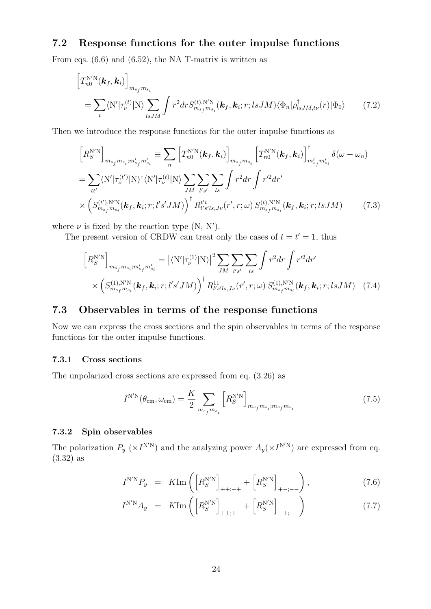## **7.2 Response functions for the outer impulse functions**

From eqs. (6.6) and (6.52), the NA T-matrix is written as

$$
\left[T_{n0}^{\text{N}'\text{N}}(\boldsymbol{k}_{f},\boldsymbol{k}_{i})\right]_{m_{s_{f}}m_{s_{i}}}
$$
\n
$$
=\sum_{t} \langle \text{N}'|\tau_{\nu}^{(t)}|\text{N}\rangle \sum_{lsJM} \int r^{2} dr S_{m_{s_{f}}m_{s_{i}}}^{(t),\text{N}'\text{N}}(\boldsymbol{k}_{f},\boldsymbol{k}_{i};r;lsJM)\langle \Phi_{n}|\rho_{lsJM,t\nu}^{\dagger}(r)|\Phi_{0}\rangle \qquad (7.2)
$$

Then we introduce the response functions for the outer impulse functions as

$$
\begin{split}\n\left[R_{S}^{\text{N}'\text{N}}\right]_{m_{s_{f}}m_{s_{i}};m'_{s_{f}}m'_{s_{i}}} &\equiv \sum_{n} \left[T_{n0}^{\text{N}'\text{N}}(\boldsymbol{k}_{f},\boldsymbol{k}_{i})\right]_{m_{s_{f}}m_{s_{i}}} \left[T_{n0}^{\text{N}'\text{N}}(\boldsymbol{k}_{f},\boldsymbol{k}_{i})\right]_{m'_{s_{f}}m'_{s_{i}}}^{\dagger} \delta(\omega - \omega_{n}) \\
&= \sum_{tt'} \langle \text{N}'|\tau_{\nu}^{(t')}|\text{N}\rangle^{\dagger} \langle \text{N}'|\tau_{\nu}^{(t)}|\text{N}\rangle \sum_{JM} \sum_{l's'} \sum_{ls} \int r^{2} dr \int r'^{2} dr' \\
&\times \left(S_{m_{s_{f}}m_{s_{i}}}^{(t'),\text{N}'\text{N}}(\boldsymbol{k}_{f},\boldsymbol{k}_{i};r;l's'M)\right)^{\dagger} R_{l's'ls,J\nu}^{t't}(r',r;\omega) S_{m_{s_{f}}m_{s_{i}}}^{(t),\text{N}'\text{N}}(\boldsymbol{k}_{f},\boldsymbol{k}_{i};r;l sJM)\n\end{split} \tag{7.3}
$$

where  $\nu$  is fixed by the reaction type  $(N, N')$ .

The present version of CRDW can treat only the cases of  $t = t' = 1$ , thus

$$
\[R_{S}^{\text{N'N}}\]_{m_{s_f}m_{s_i};m'_{s_f}m'_{s_i}} = |\langle N'|\tau_{\nu}^{(1)}|N\rangle|^2 \sum_{JM} \sum_{l's'} \sum_{ls} \int r^2 dr \int r'^2 dr' \times \left(S_{m_{s_f}m_{s_i}}^{(1),\text{N'N}}(\mathbf{k}_f, \mathbf{k}_i; r; l'sJM)\right)^{\dagger} R_{l's'ls,J\nu}^{11}(r', r; \omega) S_{m_{s_f}m_{s_i}}^{(1),\text{N'N}}(\mathbf{k}_f, \mathbf{k}_i; r; l sJM) \quad (7.4)
$$

## **7.3 Observables in terms of the response functions**

Now we can express the cross sections and the spin observables in terms of the response functions for the outer impulse functions.

#### **7.3.1 Cross sections**

The unpolarized cross sections are expressed from eq. (3.26) as

$$
I^{N'N}(\theta_{\rm cm}, \omega_{\rm cm}) = \frac{K}{2} \sum_{m_{s_f} m_{s_i}} \left[ R_S^{N'N} \right]_{m_{s_f} m_{s_i}; m_{s_f} m_{s_i}} \tag{7.5}
$$

#### **7.3.2 Spin observables**

The polarization  $P_y$  ( $\times I^{N/N}$ ) and the analyzing power  $A_y$ ( $\times I^{N/N}$ ) are expressed from eq. (3.32) as

$$
I^{N'N}P_y = K \text{Im} \left( \left[ R_S^{N'N} \right]_{++;-+} + \left[ R_S^{N'N} \right]_{+ -;--} \right), \tag{7.6}
$$

$$
I^{N'N}A_y = K \text{Im}\left(\left[R_S^{N'N}\right]_{++;+-} + \left[R_S^{N'N}\right]_{-+;--}\right) \tag{7.7}
$$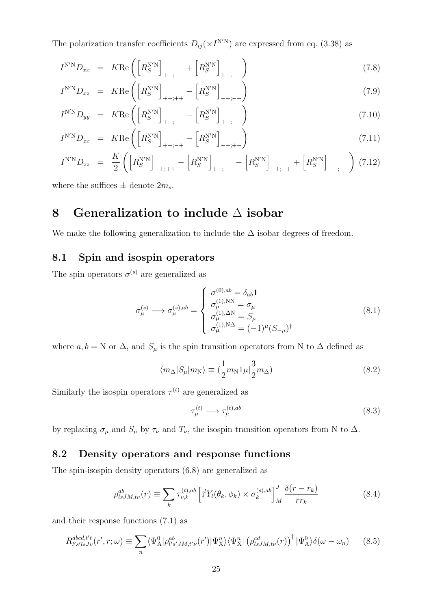The polarization transfer coefficients  $D_{ij}(\times I^{N'N})$  are expressed from eq. (3.38) as

$$
I^{\text{N'N}}D_{xx} = K \text{Re}\left(\left[R_S^{\text{N'N}}\right]_{++;--} + \left[R_S^{\text{N'N}}\right]_{+-;--}\right) \tag{7.8}
$$

$$
I^{N'N}D_{xz} = KRe\left(\left[R_S^{N'N}\right]_{+-;++}-\left[R_S^{N'N}\right]_{--;-+}\right)
$$
\n(7.9)

$$
I^{\text{N'N}}D_{yy} = KR\left(\left[R_S^{\text{N'N}}\right]_{++;--} - \left[R_S^{\text{N'N}}\right]_{+-;--}\right) \tag{7.10}
$$

$$
I^{N'N}D_{zx} = KRe\left(\left[R_S^{N'N}\right]_{++;-+}-\left[R_S^{N'N}\right]_{--;+-}\right)
$$
\n(7.11)

$$
I^{N'N}D_{zz} = \frac{K}{2} \left( \left[ R_S^{N'N} \right]_{++;++} - \left[ R_S^{N'N} \right]_{+-;+-} - \left[ R_S^{N'N} \right]_{-+;--} + \left[ R_S^{N'N} \right]_{--;--} \right) (7.12)
$$

where the suffices  $\pm$  denote  $2m_s$ .

## **8 Generalization to include** ∆ **isobar**

We make the following generalization to include the  $\Delta$  isobar degrees of freedom.

## **8.1 Spin and isospin operators**

The spin operators  $\sigma^{(s)}$  are generalized as

$$
\sigma_{\mu}^{(s)} \longrightarrow \sigma_{\mu}^{(s),ab} = \begin{cases}\n\sigma_{\mu}^{(0),ab} = \delta_{ab} \mathbf{1} \\
\sigma_{\mu}^{(1),\text{NN}} = \sigma_{\mu} \\
\sigma_{\mu}^{(1),\Delta\text{N}} = S_{\mu} \\
\sigma_{\mu}^{(1),\text{NN}} = (-1)^{\mu} (S_{-\mu})^{\dagger}\n\end{cases}
$$
\n(8.1)

where  $a, b = N$  or  $\Delta$ , and  $S_\mu$  is the spin transition operators from N to  $\Delta$  defined as

$$
\langle m_{\Delta} | S_{\mu} | m_{\rm N} \rangle \equiv (\frac{1}{2} m_{\rm N} 1 \mu | \frac{3}{2} m_{\Delta}) \tag{8.2}
$$

Similarly the isospin operators  $\tau^{(t)}$  are generalized as

$$
\tau_{\mu}^{(t)} \longrightarrow \tau_{\mu}^{(t),ab} \tag{8.3}
$$

by replacing  $\sigma_{\mu}$  and  $S_{\mu}$  by  $\tau_{\nu}$  and  $T_{\nu}$ , the isospin transition operators from N to  $\Delta$ .

### **8.2 Density operators and response functions**

The spin-isospin density operators (6.8) are generalized as

$$
\rho_{lsJM,t\nu}^{ab}(r) \equiv \sum_{k} \tau_{\nu,k}^{(t),ab} \left[ i^l Y_l(\theta_k, \phi_k) \times \sigma_k^{(s),ab} \right]_{M}^{J} \frac{\delta(r - r_k)}{r r_k}
$$
(8.4)

and their response functions (7.1) as

$$
R_{l's'lsJ\nu}^{abcd,t't}(r',r;\omega) \equiv \sum_{n} \langle \Psi_{\mathcal{A}}^{0} | \rho_{l's'JM,t'\nu}^{ab}(r') | \Psi_{\mathcal{X}}^{n} \rangle \langle \Psi_{\mathcal{X}}^{n} | \left( \rho_{lsJM,t\nu}^{cd}(r) \right)^{\dagger} | \Psi_{\mathcal{A}}^{0} \rangle \delta(\omega - \omega_{n}) \tag{8.5}
$$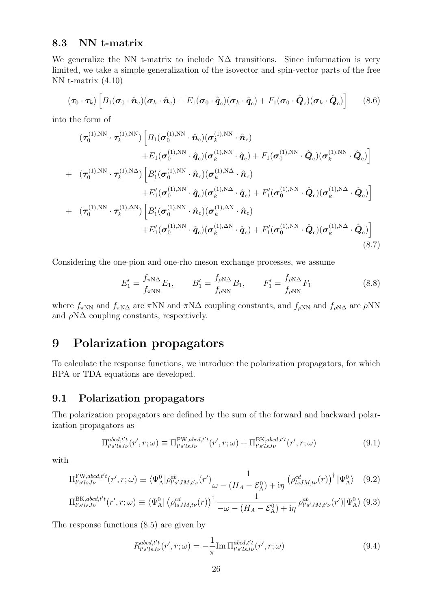### **8.3 NN t-matrix**

We generalize the NN t-matrix to include  $N\Delta$  transitions. Since information is very limited, we take a simple generalization of the isovector and spin-vector parts of the free NN t-matrix (4.10)

$$
(\boldsymbol{\tau}_0 \cdot \boldsymbol{\tau}_k) \left[ B_1(\boldsymbol{\sigma}_0 \cdot \hat{\boldsymbol{n}}_c)(\boldsymbol{\sigma}_k \cdot \hat{\boldsymbol{n}}_c) + E_1(\boldsymbol{\sigma}_0 \cdot \hat{\boldsymbol{q}}_c)(\boldsymbol{\sigma}_k \cdot \hat{\boldsymbol{q}}_c) + F_1(\boldsymbol{\sigma}_0 \cdot \hat{\boldsymbol{Q}}_c)(\boldsymbol{\sigma}_k \cdot \hat{\boldsymbol{Q}}_c) \right]
$$
(8.6)

into the form of

$$
(\tau_0^{(1),NN} \cdot \tau_k^{(1),NN}) \left[ B_1(\sigma_0^{(1),NN} \cdot \hat{n}_c)(\sigma_k^{(1),NN} \cdot \hat{n}_c) + E_1(\sigma_0^{(1),NN} \cdot \hat{q}_c)(\sigma_k^{(1),NN} \cdot \hat{q}_c) + F_1(\sigma_0^{(1),NN} \cdot \hat{Q}_c)(\sigma_k^{(1),NN} \cdot \hat{Q}_c) \right]
$$
  
+ 
$$
(\tau_0^{(1),NN} \cdot \tau_k^{(1),N\Delta}) \left[ B_1'(\sigma_0^{(1),NN} \cdot \hat{n}_c)(\sigma_k^{(1),N\Delta} \cdot \hat{n}_c) + B_1'(\sigma_0^{(1),NN} \cdot \hat{Q}_c)(\sigma_k^{(1),NN} \cdot \hat{Q}_c) \right]
$$
  
+ 
$$
(\tau_0^{(1),NN} \cdot \tau_k^{(1),\Delta N}) \left[ B_1'(\sigma_0^{(1),NN} \cdot \hat{n}_c)(\sigma_k^{(1),\Delta N} \cdot \hat{n}_c) + B_1'(\sigma_0^{(1),NN} \cdot \hat{Q}_c)(\sigma_k^{(1),N\Delta} \cdot \hat{Q}_c) \right]
$$
  
+ 
$$
E_1'(\sigma_0^{(1),NN} \cdot \hat{n}_c)(\sigma_k^{(1),\Delta N} \cdot \hat{n}_c)
$$
  
+ 
$$
E_1'(\sigma_0^{(1),NN} \cdot \hat{q}_c)(\sigma_k^{(1),\Delta N} \cdot \hat{q}_c) + F_1'(\sigma_0^{(1),NN} \cdot \hat{Q}_c)(\sigma_k^{(1),N\Delta} \cdot \hat{Q}_c) \right]
$$
  
(8.7)

Considering the one-pion and one-rho meson exchange processes, we assume

$$
E_1' = \frac{f_{\pi N\Delta}}{f_{\pi NN}} E_1, \qquad B_1' = \frac{f_{\rho N\Delta}}{f_{\rho NN}} B_1, \qquad F_1' = \frac{f_{\rho N\Delta}}{f_{\rho NN}} F_1 \tag{8.8}
$$

where  $f_{\pi NN}$  and  $f_{\pi N\Delta}$  are  $\pi NN$  and  $\pi N\Delta$  coupling constants, and  $f_{\rho NN}$  and  $f_{\rho N\Delta}$  are  $\rho NN$ and  $\rho N\Delta$  coupling constants, respectively.

## **9 Polarization propagators**

To calculate the response functions, we introduce the polarization propagators, for which RPA or TDA equations are developed.

## **9.1 Polarization propagators**

The polarization propagators are defined by the sum of the forward and backward polarization propagators as

$$
\Pi_{l's'lsJ\nu}^{abcd,t't}(r',r;\omega) \equiv \Pi_{l's'lsJ\nu}^{\text{FW},abcd,t't}(r',r;\omega) + \Pi_{l's'lsJ\nu}^{\text{BK},abcd,t't}(r',r;\omega)
$$
\n(9.1)

with

$$
\Pi_{l's'lsJ\nu}^{\text{FW},abcd,t't}(r',r;\omega) \equiv \langle \Psi_{\text{A}}^0 | \rho_{l's'JM,t'\nu}^{ab}(r') \frac{1}{\omega - (H_A - \mathcal{E}_{\text{A}}^0) + i\eta} \left( \rho_{lsJM,t\nu}^{cd}(r) \right)^{\dagger} |\Psi_{\text{A}}^0\rangle \tag{9.2}
$$

$$
\Pi_{l's'lsJ\nu}^{\text{BK},abcd,t't}(r',r;\omega) \equiv \langle \Psi_{\text{A}}^0 | \left( \rho_{lsJM,t\nu}^{cd}(r) \right)^{\dagger} \frac{1}{-\omega - (H_A - \mathcal{E}_{\text{A}}^0) + i\eta} \rho_{l's'JM,t'\nu}^{ab}(r') | \Psi_{\text{A}}^0 \rangle (9.3)
$$

The response functions (8.5) are given by

$$
R_{l's'lsJ\nu}^{abcd,t't}(r',r;\omega) = -\frac{1}{\pi} \text{Im} \Pi_{l's'lsJ\nu}^{abcd,t't}(r',r;\omega)
$$
\n(9.4)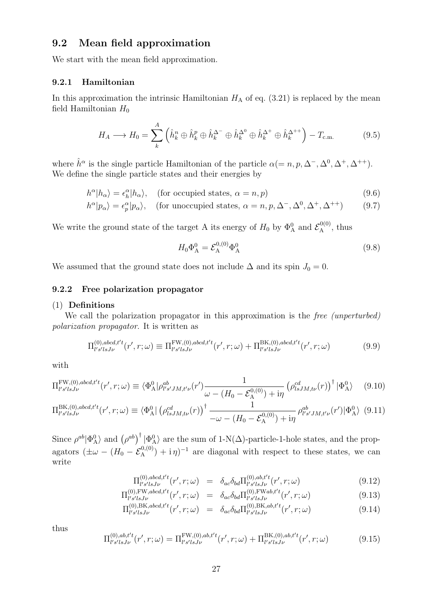### **9.2 Mean field approximation**

We start with the mean field approximation.

#### **9.2.1 Hamiltonian**

In this approximation the intrinsic Hamiltonian  $H_A$  of eq.  $(3.21)$  is replaced by the mean field Hamiltonian  $H_0$ 

$$
H_A \longrightarrow H_0 = \sum_{k}^{A} \left( \hat{h}_k^n \oplus \hat{h}_k^p \oplus \hat{h}_k^{\Delta^-} \oplus \hat{h}_k^{\Delta^0} \oplus \hat{h}_k^{\Delta^+} \oplus \hat{h}_k^{\Delta^{++}} \right) - T_{\text{c.m.}} \tag{9.5}
$$

where  $\hat{h}^{\alpha}$  is the single particle Hamiltonian of the particle  $\alpha (= n, p, \Delta^{-}, \Delta^{0}, \Delta^{+}, \Delta^{++})$ . We define the single particle states and their energies by

$$
h^{\alpha}|h_{\alpha}\rangle = \epsilon^{\alpha}_{h}|h_{\alpha}\rangle, \quad \text{(for occupied states, } \alpha = n, p)
$$
\n(9.6)

$$
h^{\alpha}|p_{\alpha}\rangle = \epsilon_p^{\alpha}|p_{\alpha}\rangle, \quad \text{(for unoccupied states, } \alpha = n, p, \Delta^-, \Delta^0, \Delta^+, \Delta^{++}) \tag{9.7}
$$

We write the ground state of the target A its energy of  $H_0$  by  $\Phi_A^0$  and  $\mathcal{E}_A^{0(0)}$  $\mathcal{L}_{\rm A}^{\rm O(O)}$ , thus

$$
H_0 \Phi_A^0 = \mathcal{E}_A^{0,(0)} \Phi_A^0 \tag{9.8}
$$

We assumed that the ground state does not include  $\Delta$  and its spin  $J_0 = 0$ .

#### **9.2.2 Free polarization propagator**

#### (1) **Definitions**

We call the polarization propagator in this approximation is the *free (unperturbed) polarization propagator*. It is written as

$$
\Pi_{l's'lsJ\nu}^{(0),abcd,t't}(r',r;\omega) \equiv \Pi_{l's'lsJ\nu}^{\text{FW},(0),abcd,t't}(r',r;\omega) + \Pi_{l's'lsJ\nu}^{\text{BK},(0),abcd,t't}(r',r;\omega)
$$
\n(9.9)

with

$$
\Pi_{l's'lsJ\nu}^{\text{FW},(0),abcd,t't}(r',r;\omega) \equiv \langle \Phi_{\text{A}}^0 | \rho_{l's'JM,t'\nu}^{ab}(r') \frac{1}{\omega - (H_0 - \mathcal{E}_{\text{A}}^{0,(0)}) + i\eta} \left( \rho_{lsJM,t\nu}^{cd}(r) \right)^{\dagger} | \Phi_{\text{A}}^0 \rangle \tag{9.10}
$$

$$
\Pi_{l's'lsJ\nu}^{\text{BK},(0),abcd,t't}(r',r;\omega) \equiv \langle \Phi_{\text{A}}^0 | \left( \rho_{lsJM,t\nu}^{cd}(r) \right)^{\dagger} \frac{1}{-\omega - (H_0 - \mathcal{E}_{\text{A}}^{0,(0)}) + i\eta} \rho_{l's'JM,t'\nu}^{ab}(r') | \Phi_{\text{A}}^0 \rangle \tag{9.11}
$$

Since  $\rho^{ab}|\Phi_{\rm A}^0\rangle$  and  $(\rho^{ab})^{\dagger}|\Phi_{\rm A}^0\rangle$  are the sum of 1-N( $\Delta$ )-particle-1-hole states, and the propagators  $(\pm \omega - (H_0 - \mathcal{E}_A^{0, (0)}) + i \eta)^{-1}$  are diagonal with respect to these states, we can write

$$
\Pi_{l's'lsJ\nu}^{(0),abcd,t't}(r',r;\omega) = \delta_{ac}\delta_{bd}\Pi_{l's'lsJ\nu}^{(0),ab,t't}(r',r;\omega)
$$
\n(9.12)

$$
\Pi_{l's'lsJ\nu}^{(0),\text{FW},abcd,t't}(r',r;\omega) = \delta_{ac}\delta_{bd}\Pi_{l's'lsJ\nu}^{(0),\text{FW}ab,t't}(r',r;\omega)
$$
\n(9.13)

$$
\Pi_{l's'lsJ\nu}^{(0),\text{BK},abcd,t't}(r',r;\omega) = \delta_{ac}\delta_{bd}\Pi_{l's'lsJ\nu}^{(0),\text{BK},ab,t't}(r',r;\omega)
$$
\n(9.14)

thus

$$
\Pi_{l's'lsJ\nu}^{(0),ab,t't}(r',r;\omega) = \Pi_{l's'lsJ\nu}^{\text{FW},(0),ab,t't}(r',r;\omega) + \Pi_{l's'lsJ\nu}^{\text{BK},(0),ab,t't}(r',r;\omega)
$$
(9.15)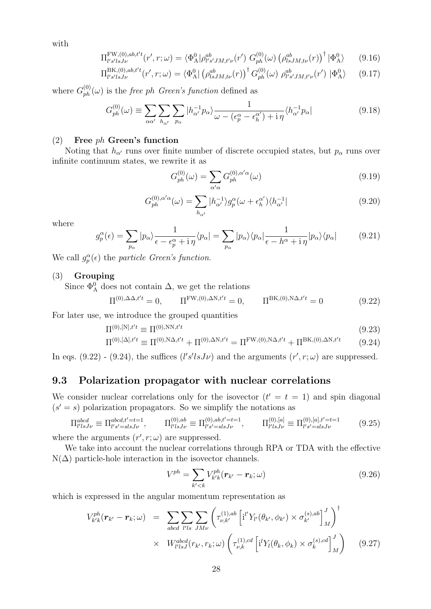with

$$
\Pi_{l's'lsJ\nu}^{\text{FW},(0),ab,t't}(r',r;\omega) = \langle \Phi_{\text{A}}^0 | \rho_{l's'JM,t'\nu}^{ab}(r') G_{ph}^{(0)}(\omega) (\rho_{lsJM,t\nu}^{ab}(r))^\dagger | \Phi_{\text{A}}^0 \rangle \tag{9.16}
$$

$$
\Pi_{l's'lsJ\nu}^{\text{BK},(0),ab,t't}(r',r;\omega) = \langle \Phi_{\text{A}}^0 | \left( \rho_{lsJM,t\nu}^{ab}(r) \right)^{\dagger} G_{ph}^{(0)}(\omega) \; \rho_{l's'JM,t'\nu}^{ab}(r') \; | \Phi_{\text{A}}^0 \rangle \tag{9.17}
$$

where  $G_{ph}^{(0)}(\omega)$  is the *free ph Green's function* defined as

$$
G_{ph}^{(0)}(\omega) \equiv \sum_{\alpha\alpha'} \sum_{h_{\alpha'}} \sum_{p_{\alpha}} |h_{\alpha'}^{-1}p_{\alpha}\rangle \frac{1}{\omega - (\epsilon_p^{\alpha} - \epsilon_h^{\alpha'}) + i\eta} \langle h_{\alpha'}^{-1}p_{\alpha}| \tag{9.18}
$$

#### (2) **Free** *ph* **Green's function**

Noting that  $h_{\alpha'}$  runs over finite number of discrete occupied states, but  $p_{\alpha}$  runs over infinite continuum states, we rewrite it as

$$
G_{ph}^{(0)}(\omega) = \sum_{\alpha'\alpha} G_{ph}^{(0),\alpha'\alpha}(\omega)
$$
\n(9.19)

$$
G_{ph}^{(0),\alpha'\alpha}(\omega) = \sum_{h_{\alpha'}} |h_{\alpha'}^{-1}\rangle g_p^{\alpha}(\omega + \epsilon_h^{\alpha'})\langle h_{\alpha'}^{-1}|
$$
\n(9.20)

where

$$
g_p^{\alpha}(\epsilon) = \sum_{p_{\alpha}} |p_{\alpha}\rangle \frac{1}{\epsilon - \epsilon_p^{\alpha} + i\eta} \langle p_{\alpha}| = \sum_{p_{\alpha}} |p_{\alpha}\rangle \langle p_{\alpha}| \frac{1}{\epsilon - h^{\alpha} + i\eta} |p_{\alpha}\rangle \langle p_{\alpha}| \qquad (9.21)
$$

We call  $g_p^{\alpha}(\epsilon)$  the *particle Green's function*.

#### (3) **Grouping**

Since  $\Phi_{\mathbf{A}}^0$  does not contain  $\Delta$ , we get the relations

$$
\Pi^{(0),\Delta\Delta,t't} = 0, \qquad \Pi^{\text{FW},(0),\Delta\text{N},t't} = 0, \qquad \Pi^{\text{BK},(0),\text{N}\Delta,t't} = 0 \tag{9.22}
$$

For later use, we introduce the grouped quantities

$$
\Pi^{(0),[N],t't} \equiv \Pi^{(0),NN,t't} \tag{9.23}
$$
\n
$$
\nabla^{(0),[N],t't} = \nabla^{(0),NN,t't} \nabla^{(0),NN,t't} \nabla^{EW(0),NN,t't} \nabla^{BK(0),NN,t't} \tag{9.23}
$$

$$
\Pi^{(0),[\Delta],t't} \equiv \Pi^{(0),\mathcal{N}\Delta,t't} + \Pi^{(0),\Delta\mathcal{N},t't} = \Pi^{\mathcal{FW},(0),\mathcal{N}\Delta,t't} + \Pi^{\mathcal{BK},(0),\Delta\mathcal{N},t't} \tag{9.24}
$$

In eqs. (9.22) - (9.24), the suffices  $(l's'lsJ\nu)$  and the arguments  $(r', r; \omega)$  are suppressed.

## **9.3 Polarization propagator with nuclear correlations**

We consider nuclear correlations only for the isovector  $(t' = t = 1)$  and spin diagonal  $(s' = s)$  polarization propagators. So we simplify the notations as

$$
\Pi_{l'lsJ\nu}^{abcd} \equiv \Pi_{l's'=slsJ\nu}^{abcd,t'=t=1}, \qquad \Pi_{l'lsJ\nu}^{(0),ab} \equiv \Pi_{l's'=slsJ\nu}^{(0),ab,t'=t=1}, \qquad \Pi_{l'lsJ\nu}^{(0),[a]} \equiv \Pi_{l's'=slsJ\nu}^{(0),[a],t'=t=1} \qquad (9.25)
$$

where the arguments  $(r', r; \omega)$  are suppressed.

We take into account the nuclear correlations through RPA or TDA with the effective  $N(\Delta)$  particle-hole interaction in the isovector channels.

$$
V^{ph} = \sum_{k' < k} V^{ph}_{k'k}(\boldsymbol{r}_{k'} - \boldsymbol{r}_k; \omega) \tag{9.26}
$$

)*†*

which is expressed in the angular momentum representation as

$$
V_{k'k}^{ph}(\boldsymbol{r}_{k'}-\boldsymbol{r}_{k};\omega) = \sum_{abcd} \sum_{l'ls} \sum_{JM\nu} \left( \tau_{\nu,k'}^{(1),ab} \left[ i'' Y_{l'}(\theta_{k'},\phi_{k'}) \times \sigma_{k'}^{(s),ab} \right]_{M}^{J} \right)^{\dagger} \times W_{l'lsJ}^{abcd}(r_{k'},r_{k};\omega) \left( \tau_{\nu,k}^{(1),cd} \left[ i' Y_{l}(\theta_{k},\phi_{k}) \times \sigma_{k}^{(s),cd} \right]_{M}^{J} \right) \tag{9.27}
$$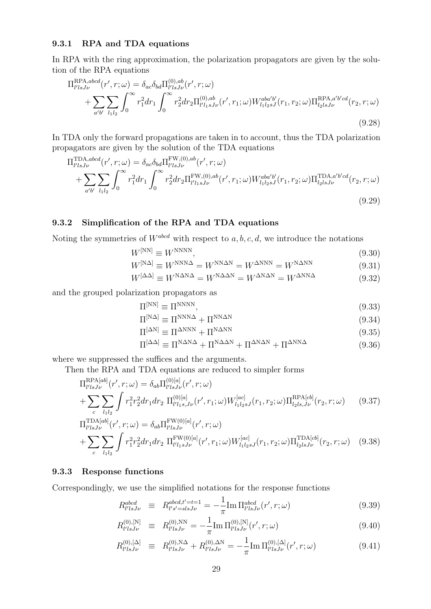#### **9.3.1 RPA and TDA equations**

In RPA with the ring approximation, the polarization propagators are given by the solution of the RPA equations

$$
\Pi_{l'lsJ\nu}^{RPA,abcd}(r',r;\omega) = \delta_{ac}\delta_{bd}\Pi_{l'lsJ\nu}^{(0),ab}(r',r;\omega) \n+ \sum_{a'b'} \sum_{l_1l_2} \int_0^\infty r_1^2 dr_1 \int_0^\infty r_2^2 dr_2 \Pi_{l'l_1sJ\nu}^{(0),ab}(r',r_1;\omega) W_{l_1l_2sJ}^{aba'b'}(r_1,r_2;\omega) \Pi_{l_2lsJ\nu}^{RPA,a'b'cd}(r_2,r;\omega)
$$
\n(9.28)

In TDA only the forward propagations are taken in to account, thus the TDA polarization propagators are given by the solution of the TDA equations

$$
\Pi_{l'lsJ\nu}^{\text{TDA},abcd}(r',r;\omega) = \delta_{ac}\delta_{bd} \Pi_{l'lsJ\nu}^{\text{FW},(0),ab}(r',r;\omega) \n+ \sum_{a'b'} \sum_{l_1l_2} \int_0^\infty r_1^2 dr_1 \int_0^\infty r_2^2 dr_2 \Pi_{l'l_1sJ\nu}^{\text{FW},(0),ab}(r',r_1;\omega) W_{l_1l_2sJ}^{aba'b'}(r_1,r_2;\omega) \Pi_{l_2lsJ\nu}^{\text{TDA},a'b'cd}(r_2,r;\omega)
$$
\n(9.29)

#### **9.3.2 Simplification of the RPA and TDA equations**

Noting the symmetries of *Wabcd* with respect to *a, b, c, d*, we introduce the notations

$$
W^{[NN]} \equiv W^{NNNN},\tag{9.30}
$$

$$
W^{[NA]} \equiv W^{NNN\Delta} = W^{NNN\Delta N} = W^{\Delta NNN} = W^{N\Delta NN}
$$
\n(9.31)

$$
W^{[\Delta\Delta]} \equiv W^{\text{N}\Delta\text{N}\Delta} = W^{\text{N}\Delta\Delta\text{N}} = W^{\Delta\text{N}\Delta\text{N}} = W^{\Delta\text{N}\text{N}\Delta} \tag{9.32}
$$

and the grouped polarization propagators as

$$
\Pi^{[NN]} \equiv \Pi^{NNNN},\tag{9.33}
$$

$$
\Pi^{[N\Delta]} \equiv \Pi^{NNN\Delta} + \Pi^{NN\Delta N} \tag{9.34}
$$

$$
\Pi^{[\Delta N]} \equiv \Pi^{\Delta NNN} + \Pi^{N\Delta NN} \tag{9.35}
$$

$$
\Pi^{[\Delta\Delta]} \equiv \Pi^{N\Delta N\Delta} + \Pi^{N\Delta\Delta N} + \Pi^{\Delta N\Delta N} + \Pi^{\Delta N N\Delta} \tag{9.36}
$$

where we suppressed the suffices and the arguments.

Then the RPA and TDA equations are reduced to simpler forms

$$
\Pi_{l'lsJ\nu}^{RPA[ab]}(r',r;\omega) = \delta_{ab} \Pi_{l'lsJ\nu}^{(0)[a]}(r',r;\omega)
$$
\n
$$
+ \sum_{c} \sum_{l_1l_2} \int r_1^2 r_2^2 dr_1 dr_2 \Pi_{l'l_1s,J\nu}^{(0)[a]}(r',r_1;\omega) W_{l_1l_2sJ}^{[ac]}(r_1,r_2;\omega) \Pi_{l_2ls,J\nu}^{RPA[cb]}(r_2,r;\omega) \tag{9.37}
$$
\n
$$
\text{FMA}[c]
$$

$$
\Pi_{l'lsJ\nu}^{\text{TDA}[ab]}(r',r;\omega) = \delta_{ab} \Pi_{l'lsJ\nu}^{\text{FW}(0)[a]}(r',r;\omega) \n+ \sum_{c} \sum_{l_1l_2} \int r_1^2 r_2^2 dr_1 dr_2 \Pi_{l'l_1sJ\nu}^{\text{FW}(0)[a]}(r',r_1;\omega) W_{l_1l_2sJ}^{[ac]}(r_1,r_2;\omega) \Pi_{l_2lsJ\nu}^{\text{TDA}[cb]}(r_2,r;\omega) \tag{9.38}
$$

#### **9.3.3 Response functions**

Correspondingly, we use the simplified notations for the response functions

$$
R_{l'lsJ\nu}^{abcd} \equiv R_{l's'=slsJ\nu}^{abcd,t'=t=1} = -\frac{1}{\pi} \text{Im} \Pi_{l'lsJ\nu}^{abcd}(r',r;\omega)
$$
 (9.39)

$$
R_{l'lsJ\nu}^{(0),[N]} \equiv R_{l'lsJ\nu}^{(0),\text{NN}} = -\frac{1}{\pi} \text{Im} \, \Pi_{l'lsJ\nu}^{(0),[N]}(r',r;\omega) \tag{9.40}
$$

$$
R_{l'lsJ\nu}^{(0),[\Delta]} \equiv R_{l'lsJ\nu}^{(0),\rm{N}\Delta} + R_{l'lsJ\nu}^{(0),\Delta\rm{N}} = -\frac{1}{\pi} \text{Im} \, \Pi_{l'lsJ\nu}^{(0),[\Delta]}(r',r;\omega) \tag{9.41}
$$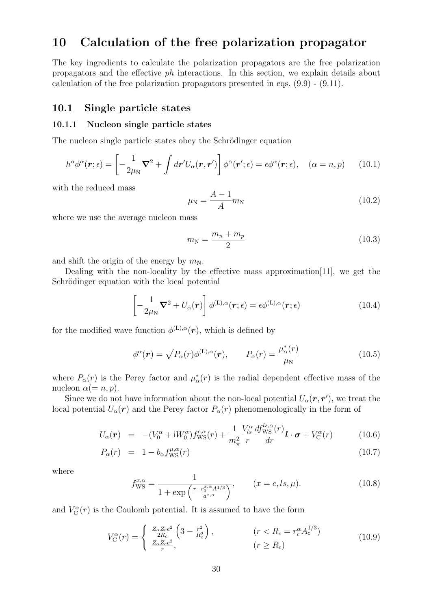## **10 Calculation of the free polarization propagator**

The key ingredients to calculate the polarization propagators are the free polarization propagators and the effective *ph* interactions. In this section, we explain details about calculation of the free polarization propagators presented in eqs. (9.9) - (9.11).

#### **10.1 Single particle states**

#### **10.1.1 Nucleon single particle states**

The nucleon single particle states obey the Schrödinger equation

$$
h^{\alpha}\phi^{\alpha}(\boldsymbol{r};\epsilon) = \left[ -\frac{1}{2\mu_{\rm N}}\boldsymbol{\nabla}^2 + \int d\boldsymbol{r}'U_{\alpha}(\boldsymbol{r},\boldsymbol{r}') \right] \phi^{\alpha}(\boldsymbol{r}';\epsilon) = \epsilon \phi^{\alpha}(\boldsymbol{r};\epsilon), \quad (\alpha = n, p) \qquad (10.1)
$$

with the reduced mass

$$
\mu_{\rm N} = \frac{A - 1}{A} m_{\rm N} \tag{10.2}
$$

where we use the average nucleon mass

$$
m_N = \frac{m_n + m_p}{2} \tag{10.3}
$$

and shift the origin of the energy by  $m_N$ .

Dealing with the non-locality by the effective mass approximation[11], we get the Schrödinger equation with the local potential

$$
\left[ -\frac{1}{2\mu_N} \nabla^2 + U_\alpha(\mathbf{r}) \right] \phi^{(L),\alpha}(\mathbf{r};\epsilon) = \epsilon \phi^{(L),\alpha}(\mathbf{r};\epsilon)
$$
\n(10.4)

for the modified wave function  $\phi^{(L),\alpha}(\mathbf{r})$ , which is defined by

$$
\phi^{\alpha}(\boldsymbol{r}) = \sqrt{P_{\alpha}(r)}\phi^{(\text{L}),\alpha}(\boldsymbol{r}), \qquad P_{\alpha}(r) = \frac{\mu_{\alpha}^{*}(r)}{\mu_{\text{N}}}
$$
(10.5)

where  $P_{\alpha}(r)$  is the Perey factor and  $\mu_{\alpha}^{*}(r)$  is the radial dependent effective mass of the nucleon  $\alpha (= n, p)$ .

Since we do not have information about the non-local potential  $U_{\alpha}(\mathbf{r}, \mathbf{r}')$ , we treat the local potential  $U_{\alpha}(\mathbf{r})$  and the Perey factor  $P_{\alpha}(r)$  phenomenologically in the form of

$$
U_{\alpha}(\boldsymbol{r}) = -(V_0^{\alpha} + iW_0^{\alpha})f_{\text{WS}}^{c,\alpha}(r) + \frac{1}{m_{\pi}^2} \frac{V_{ls}^{\alpha}}{r} \frac{df_{\text{WS}}^{ls,\alpha}(r)}{dr} \boldsymbol{l} \cdot \boldsymbol{\sigma} + V_C^{\alpha}(r) \qquad (10.6)
$$

$$
P_{\alpha}(r) = 1 - b_{\alpha} f_{\rm WS}^{\mu,\alpha}(r) \tag{10.7}
$$

where

$$
f_{\rm WS}^{x,\alpha} = \frac{1}{1 + \exp\left(\frac{r - r_0^{x,\alpha} A^{1/3}}{a^{x,\alpha}}\right)}, \qquad (x = c, ls, \mu). \tag{10.8}
$$

and  $V_C^{\alpha}(r)$  is the Coulomb potential. It is assumed to have the form

$$
V_{\rm C}^{\alpha}(r) = \begin{cases} \frac{Z_{\alpha}Z_{\rm c}e^{2}}{2R_{\rm c}} \left(3 - \frac{r^{2}}{R_{\rm c}^{2}}\right), & (r < R_{\rm c} = r_{\rm c}^{\alpha}A_{\rm c}^{1/3})\\ \frac{Z_{\alpha}Z_{\rm c}e^{2}}{r}, & (r \geq R_{\rm c}) \end{cases}
$$
\n
$$
(10.9)
$$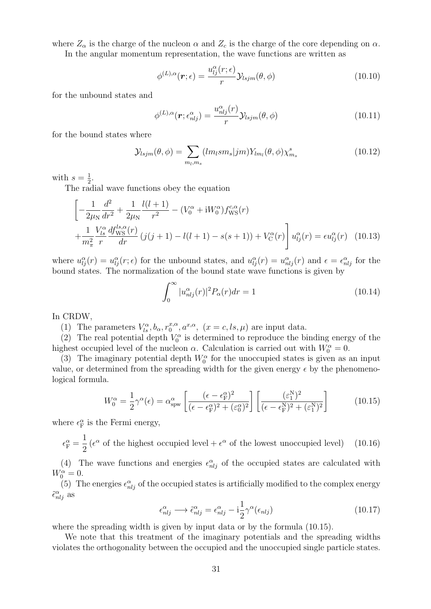where  $Z_{\alpha}$  is the charge of the nucleon  $\alpha$  and  $Z_c$  is the charge of the core depending on  $\alpha$ .

In the angular momentum representation, the wave functions are written as

$$
\phi^{(L),\alpha}(\boldsymbol{r};\epsilon) = \frac{u_{lj}^{\alpha}(r;\epsilon)}{r} \mathcal{Y}_{lsjm}(\theta,\phi)
$$
\n(10.10)

for the unbound states and

$$
\phi^{(L),\alpha}(\boldsymbol{r}; \epsilon_{nlj}^{\alpha}) = \frac{u_{nlj}^{\alpha}(r)}{r} \mathcal{Y}_{lsjm}(\theta, \phi)
$$
\n(10.11)

for the bound states where

$$
\mathcal{Y}_{lsjm}(\theta,\phi) = \sum_{m_l,m_s} (lm_lsm_s|jm)Y_{lm_l}(\theta,\phi)\chi^s_{m_s}
$$
\n(10.12)

with  $s=\frac{1}{2}$  $\frac{1}{2}$ .

The radial wave functions obey the equation

$$
\left[ -\frac{1}{2\mu_N} \frac{d^2}{dr^2} + \frac{1}{2\mu_N} \frac{l(l+1)}{r^2} - (V_0^{\alpha} + iW_0^{\alpha}) f_{\text{WS}}^{c,\alpha}(r) + \frac{1}{m_\pi^2} \frac{V_{ls}^{\alpha}}{r} \frac{df_{\text{WS}}^{l,s,\alpha}(r)}{dr} \left( j(j+1) - l(l+1) - s(s+1) \right) + V_C^{\alpha}(r) \right] u_{lj}^{\alpha}(r) = \epsilon u_{lj}^{\alpha}(r) \quad (10.13)
$$

where  $u_{ij}^{\alpha}(r) = u_{ij}^{\alpha}(r; \epsilon)$  for the unbound states, and  $u_{ij}^{\alpha}(r) = u_{nlj}^{\alpha}(r)$  and  $\epsilon = \epsilon_{nlj}^{\alpha}$  for the bound states. The normalization of the bound state wave functions is given by

$$
\int_0^\infty |u_{nlj}^\alpha(r)|^2 P_\alpha(r) dr = 1 \tag{10.14}
$$

In CRDW,

(1) The parameters  $V_{ls}^{\alpha}, b_{\alpha}, r_0^{x,\alpha}$  $a_0^{x,\alpha}, a^{x,\alpha}, (x = c, ls, \mu)$  are input data.

(2) The real potential depth  $V_0^{\alpha}$  is determined to reproduce the binding energy of the highest occupied level of the nucleon  $\alpha$ . Calculation is carried out with  $W_0^{\alpha} = 0$ .

(3) The imaginary potential depth  $W_0^{\alpha}$  for the unoccupied states is given as an input value, or determined from the spreading width for the given energy  $\epsilon$  by the phenomenological formula.

$$
W_0^{\alpha} = \frac{1}{2} \gamma^{\alpha}(\epsilon) = \alpha_{\text{spw}}^{\alpha} \left[ \frac{(\epsilon - \epsilon_{\text{F}}^{\alpha})^2}{(\epsilon - \epsilon_{\text{F}}^{\alpha})^2 + (\epsilon_0^{\alpha})^2} \right] \left[ \frac{(\epsilon_1^{\text{N}})^2}{(\epsilon - \epsilon_{\text{F}}^{\text{N}})^2 + (\epsilon_1^{\text{N}})^2} \right]
$$
(10.15)

where  $\epsilon_{\rm F}^{\alpha}$  is the Fermi energy,

 $\epsilon_{\rm F}^{\alpha} =$ 1 2  $(\epsilon^{\alpha}$  of the highest occupied level +  $\epsilon^{\alpha}$  of the lowest unoccupied level) (10.16)

(4) The wave functions and energies  $\epsilon_{nlj}^{\alpha}$  of the occupied states are calculated with  $W_0^{\alpha} = 0.$ 

(5) The energies  $\epsilon_{nlj}^{\alpha}$  of the occupied states is artificially modified to the complex energy  $\tilde{\epsilon}_{nlj}^{\alpha}$  as

$$
\epsilon_{nlj}^{\alpha} \longrightarrow \tilde{\epsilon}_{nlj}^{\alpha} = \epsilon_{nlj}^{\alpha} - i\frac{1}{2}\gamma^{\alpha}(\epsilon_{nlj})
$$
\n(10.17)

where the spreading width is given by input data or by the formula (10.15).

We note that this treatment of the imaginary potentials and the spreading widths violates the orthogonality between the occupied and the unoccupied single particle states.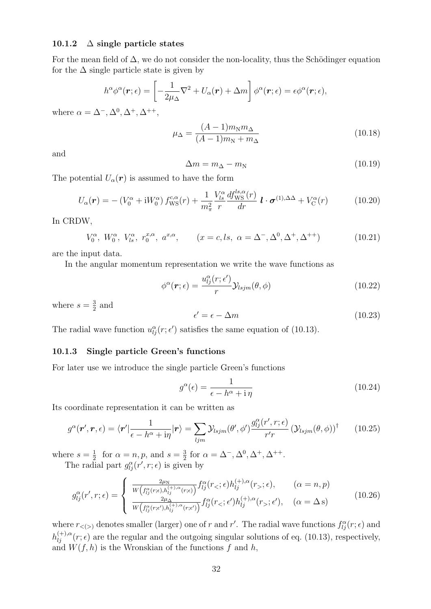#### **10.1.2** ∆ **single particle states**

For the mean field of  $\Delta$ , we do not consider the non-locality, thus the Schödinger equation for the  $\Delta$  single particle state is given by

$$
h^{\alpha}\phi^{\alpha}(\boldsymbol{r};\epsilon) = \left[-\frac{1}{2\mu_{\Delta}}\nabla^2 + U_{\alpha}(\boldsymbol{r}) + \Delta m\right]\phi^{\alpha}(\boldsymbol{r};\epsilon) = \epsilon\phi^{\alpha}(\boldsymbol{r};\epsilon),
$$

where  $\alpha = \Delta^{-}, \Delta^{0}, \Delta^{+}, \Delta^{++}$ ,

$$
\mu_{\Delta} = \frac{(A-1)m_N m_{\Delta}}{(A-1)m_N + m_{\Delta}} \tag{10.18}
$$

and

$$
\Delta m = m_{\Delta} - m_{\rm N} \tag{10.19}
$$

The potential  $U_{\alpha}(\mathbf{r})$  is assumed to have the form

$$
U_{\alpha}(\boldsymbol{r}) = -\left(V_0^{\alpha} + \mathrm{i}W_0^{\alpha}\right)f_{\text{WS}}^{c,\alpha}(r) + \frac{1}{m_{\pi}^2} \frac{V_{ls}^{\alpha}}{r} \frac{df_{\text{WS}}^{ls,\alpha}(r)}{dr} \boldsymbol{l} \cdot \boldsymbol{\sigma}^{(1),\Delta\Delta} + V_{\text{C}}^{\alpha}(r) \tag{10.20}
$$

In CRDW,

$$
V_0^{\alpha}, W_0^{\alpha}, V_{ls}^{\alpha}, r_0^{x,\alpha}, a^{x,\alpha}, \qquad (x = c, ls, \alpha = \Delta^-, \Delta^0, \Delta^+, \Delta^{++})
$$
 (10.21)

are the input data.

In the angular momentum representation we write the wave functions as

$$
\phi^{\alpha}(\boldsymbol{r};\epsilon) = \frac{u_{lj}^{\alpha}(r;\epsilon')}{r} \mathcal{Y}_{lsjm}(\theta,\phi)
$$
\n(10.22)

where  $s=\frac{3}{2}$  $\frac{3}{2}$  and

$$
\epsilon' = \epsilon - \Delta m \tag{10.23}
$$

The radial wave function  $u_{lj}^{\alpha}(r; \epsilon')$  satisfies the same equation of (10.13).

#### **10.1.3 Single particle Green's functions**

For later use we introduce the single particle Green's functions

$$
g^{\alpha}(\epsilon) = \frac{1}{\epsilon - h^{\alpha} + \mathrm{i}\,\eta} \tag{10.24}
$$

 $(10.26)$ 

Its coordinate representation it can be written as

$$
g^{\alpha}(\mathbf{r}',\mathbf{r},\epsilon) = \langle \mathbf{r}' | \frac{1}{\epsilon - h^{\alpha} + i\eta} | \mathbf{r} \rangle = \sum_{ljm} \mathcal{Y}_{lsjm}(\theta', \phi') \frac{g_{lj}^{\alpha}(r', r; \epsilon)}{r'r} \left(\mathcal{Y}_{lsjm}(\theta, \phi)\right)^{\dagger} \qquad (10.25)
$$

where  $s=\frac{1}{2}$  $\frac{1}{2}$  for  $\alpha = n, p$ , and  $s = \frac{3}{2}$  $\frac{3}{2}$  for  $\alpha = \Delta^{-}, \Delta^{0}, \Delta^{+}, \Delta^{++}.$ The radial part  $g_{lj}^{\alpha}(r', r; \epsilon)$  is given by

$$
g_{lj}^{\alpha}(r',r;\epsilon) = \begin{cases} \frac{2\mu_N}{W\left(f_{lj}^{\alpha}(r;\epsilon), h_{lj}^{(+),\alpha}(r;\epsilon)\right)} f_{lj}^{\alpha}(r_{<};\epsilon) h_{lj}^{(+),\alpha}(r_{>};\epsilon), & (\alpha = n, p) \\ \frac{2\mu_N}{W\left(f_{lj}^{\alpha}(r;\epsilon'), h_{lj}^{(+),\alpha}(r;\epsilon')\right)} f_{lj}^{\alpha}(r_{<};\epsilon') h_{lj}^{(+),\alpha}(r_{>};\epsilon'), & (\alpha = \Delta \text{ s}) \end{cases}
$$

where  $r_{lt}(>)}$  denotes smaller (larger) one of *r* and *r'*. The radial wave functions  $f_{lj}^{\alpha}(r; \epsilon)$  and  $h_{lj}^{(+),\alpha}(r;\epsilon)$  are the regular and the outgoing singular solutions of eq. (10.13), respectively, and  $W(f, h)$  is the Wronskian of the functions  $f$  and  $h$ ,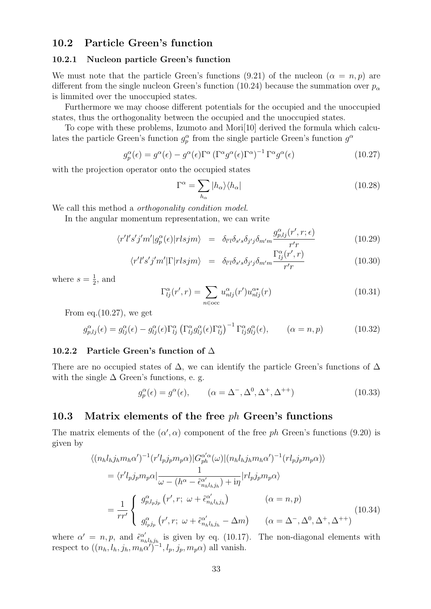### **10.2 Particle Green's function**

#### **10.2.1 Nucleon particle Green's function**

We must note that the particle Green's functions  $(9.21)$  of the nucleon  $(\alpha = n, p)$  are different from the single nucleon Green's function (10.24) because the summation over  $p_\alpha$ is limmited over the unoccupied states.

Furthermore we may choose different potentials for the occupied and the unoccupied states, thus the orthogonality between the occupied and the unoccupied states.

To cope with these problems, Izumoto and Mori[10] derived the formula which calculates the particle Green's function  $g_p^{\alpha}$  from the single particle Green's function  $g^{\alpha}$ 

$$
g_p^{\alpha}(\epsilon) = g^{\alpha}(\epsilon) - g^{\alpha}(\epsilon)\Gamma^{\alpha} (\Gamma^{\alpha} g^{\alpha}(\epsilon)\Gamma^{\alpha})^{-1} \Gamma^{\alpha} g^{\alpha}(\epsilon)
$$
 (10.27)

with the projection operator onto the occupied states

$$
\Gamma^{\alpha} = \sum_{h_{\alpha}} |h_{\alpha}\rangle\langle h_{\alpha}| \tag{10.28}
$$

We call this method a *orthogonality condition model*.

In the angular momentum representation, we can write

$$
\langle r'l's'j'm'|g_p^{\alpha}(\epsilon)|rlsjm\rangle = \delta_{l'l}\delta_{s's}\delta_{j'j}\delta_{m'm}\frac{g_{p,lj}^{\alpha}(r',r;\epsilon)}{r'r}
$$
(10.29)

$$
\langle r'l's'j'm'|\Gamma|rlsjm\rangle = \delta_{l'l}\delta_{s's}\delta_{j'j}\delta_{m'm}\frac{\Gamma_{lj}^{\alpha}(r',r)}{r'r}
$$
(10.30)

where  $s=\frac{1}{2}$  $\frac{1}{2}$ , and

$$
\Gamma_{lj}^{\alpha}(r',r) = \sum_{n \in \text{occ}} u_{nlj}^{\alpha}(r') u_{nlj}^{\alpha*}(r)
$$
\n(10.31)

From eq.  $(10.27)$ , we get

$$
g_{p,lj}^{\alpha}(\epsilon) = g_{lj}^{\alpha}(\epsilon) - g_{lj}^{\alpha}(\epsilon)\Gamma_{lj}^{\alpha} \left(\Gamma_{lj}^{\alpha}g_{lj}^{\alpha}(\epsilon)\Gamma_{lj}^{\alpha}\right)^{-1}\Gamma_{lj}^{\alpha}g_{lj}^{\alpha}(\epsilon), \qquad (\alpha = n, p)
$$
 (10.32)

#### **10.2.2 Particle Green's function of** ∆

There are no occupied states of  $\Delta$ , we can identify the particle Green's functions of  $\Delta$ with the single  $\Delta$  Green's functions, e. g.

$$
g_p^{\alpha}(\epsilon) = g^{\alpha}(\epsilon), \qquad (\alpha = \Delta^-, \Delta^0, \Delta^+, \Delta^{++})
$$
\n(10.33)

#### **10.3 Matrix elements of the free** *ph* **Green's functions**

The matrix elements of the  $(\alpha', \alpha)$  component of the free *ph* Green's functions (9.20) is given by

$$
\langle (n_h l_h j_h m_h \alpha')^{-1} (r' l_p j_p m_p \alpha) | G_{ph}^{\alpha' \alpha} (\omega) | (n_h l_h j_h m_h \alpha')^{-1} (r l_p j_p m_p \alpha) \rangle
$$
  
\n
$$
= \langle r' l_p j_p m_p \alpha | \frac{1}{\omega - (h^{\alpha} - \tilde{\epsilon}_{n_h l_h j_h}) + i\eta} | r l_p j_p m_p \alpha \rangle
$$
  
\n
$$
= \frac{1}{r r'} \begin{cases} g_{p,l_p j_p}^{\alpha} (r', r; \omega + \tilde{\epsilon}_{n_h l_h j_h}^{\alpha'}) & (\alpha = n, p) \\ g_{l_p j_p}^{\alpha} (r', r; \omega + \tilde{\epsilon}_{n_h l_h j_h}^{\alpha'} - \Delta m) & (\alpha = \Delta^{-}, \Delta^{0}, \Delta^{+}, \Delta^{++}) \end{cases}
$$
(10.34)

where  $\alpha' = n, p$ , and  $\tilde{\epsilon}_{n_h l_h j_{h}}^{\alpha'}$  is given by eq. (10.17). The non-diagonal elements with respect to  $((n_h, l_h, j_h, m_h \alpha')^{-1}, l_p, j_p, m_p \alpha)$  all vanish.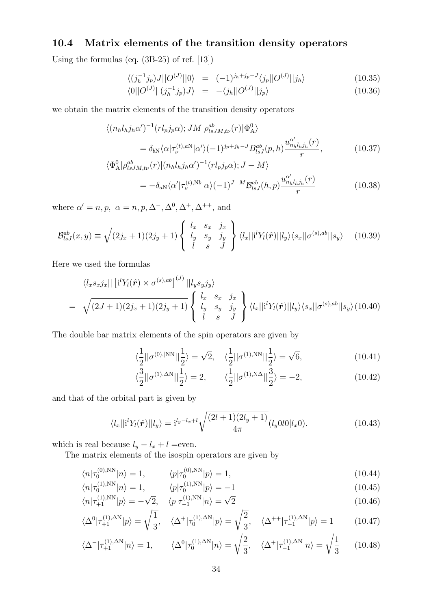## **10.4 Matrix elements of the transition density operators**

Using the formulas (eq. (3B-25) of ref. [13])

$$
\langle (j_h^{-1}j_p)J||O^{(J)}||0\rangle = (-1)^{j_h+j_p-J} \langle j_p ||O^{(J)}||j_h\rangle \tag{10.35}
$$

$$
\langle 0||O^{(J)}||(j_h^{-1}j_p)J\rangle = -\langle j_h||O^{(J)}||j_p\rangle \qquad (10.36)
$$

we obtain the matrix elements of the transition density operators

$$
\langle (n_h l_h j_h \alpha')^{-1} (r l_p j_p \alpha); JM | \rho_{lsJM,t\nu}^{ab}(r) | \Phi_{A}^0 \rangle
$$
  
=  $\delta_{bN} \langle \alpha | \tau_{\nu}^{(t),aN} | \alpha' \rangle (-1)^{j_p+j_h-J} B_{lsJ}^{ab}(p,h) \frac{u_{n_h l_h j_h}^{\alpha'}(r)}{r},$  (10.37)  
 $\langle \Phi_{A}^0 | \rho_{lsJM,t\nu}^{ab}(r) | (n_h l_h j_h \alpha')^{-1} (r l_p j_p \alpha); J - M \rangle$ 

$$
= -\delta_{aN} \langle \alpha' | \tau_{\nu}^{(t),Nb} | \alpha \rangle (-1)^{J-M} \mathcal{B}_{lsJ}^{ab}(h,p) \frac{u_{n_hl_hj_h}^{\alpha'}(r)}{r}
$$
(10.38)

where  $\alpha' = n, p, \alpha = n, p, \Delta^-, \Delta^0, \Delta^+, \Delta^{++}$ , and

$$
\mathcal{B}_{lsJ}^{ab}(x,y) \equiv \sqrt{(2j_x+1)(2j_y+1)} \begin{Bmatrix} l_x & s_x & j_x \\ l_y & s_y & j_y \\ l & s & J \end{Bmatrix} \langle l_x || \mathbf{i}^l Y_l(\hat{\mathbf{r}}) || l_y \rangle \langle s_x || \sigma^{(s),ab} || s_y \rangle \tag{10.39}
$$

Here we used the formulas

$$
\langle l_x s_x j_x || [i^l Y_l(\hat{\boldsymbol{r}}) \times \sigma^{(s),ab}]^{(J)} || l_y s_y j_y \rangle
$$
  
=  $\sqrt{(2J+1)(2j_x+1)(2j_y+1)} \begin{cases} l_x & s_x & j_x \\ l_y & s_y & j_y \\ l & s & J \end{cases} \langle l_x || i^l Y_l(\hat{\boldsymbol{r}}) || l_y \rangle \langle s_x || \sigma^{(s),ab} || s_y \rangle (10.40)$ 

The double bar matrix elements of the spin operators are given by

$$
\langle \frac{1}{2} || \sigma^{(0),|NN} || \frac{1}{2} \rangle = \sqrt{2}, \quad \langle \frac{1}{2} || \sigma^{(1),NN} || \frac{1}{2} \rangle = \sqrt{6}, \tag{10.41}
$$

$$
\langle \frac{3}{2} || \sigma^{(1),\Delta N} ||_2^1 \rangle = 2, \qquad \langle \frac{1}{2} || \sigma^{(1),\Delta N} ||_2^1 \rangle = -2, \tag{10.42}
$$

and that of the orbital part is given by

$$
\langle l_x || \mathbf{i}^l Y_l(\hat{\boldsymbol{r}}) || l_y \rangle = \mathbf{i}^{l_y - l_x + l} \sqrt{\frac{(2l+1)(2l_y + 1)}{4\pi}} (l_y 0 l 0 | l_x 0).
$$
 (10.43)

which is real because  $l_y - l_x + l$  =even.

The matrix elements of the isospin operators are given by

$$
\langle n|\tau_0^{(0),\text{NN}}|n\rangle = 1, \qquad \langle p|\tau_0^{(0),\text{NN}}|p\rangle = 1, \tag{10.44}
$$

$$
\langle n|\tau_0^{(1),\text{NN}}|n\rangle = 1, \qquad \langle p|\tau_0^{(1),\text{NN}}|p\rangle = -1 \tag{10.45}
$$

$$
\langle n|\tau_{+1}^{(1),\text{NN}}|p\rangle = -\sqrt{2}, \quad \langle p|\tau_{-1}^{(1),\text{NN}}|n\rangle = \sqrt{2}
$$
\n(10.46)

$$
\langle \Delta^0 | \tau_{+1}^{(1),\Delta N} | p \rangle = \sqrt{\frac{1}{3}}, \quad \langle \Delta^+ | \tau_0^{(1),\Delta N} | p \rangle = \sqrt{\frac{2}{3}}, \quad \langle \Delta^{++} | \tau_{-1}^{(1),\Delta N} | p \rangle = 1 \tag{10.47}
$$

$$
\langle \Delta^-|\tau_{+1}^{(1),\Delta N}|n\rangle = 1, \qquad \langle \Delta^0|\tau_0^{(1),\Delta N}|n\rangle = \sqrt{\frac{2}{3}}, \quad \langle \Delta^+|\tau_{-1}^{(1),\Delta N}|n\rangle = \sqrt{\frac{1}{3}} \qquad (10.48)
$$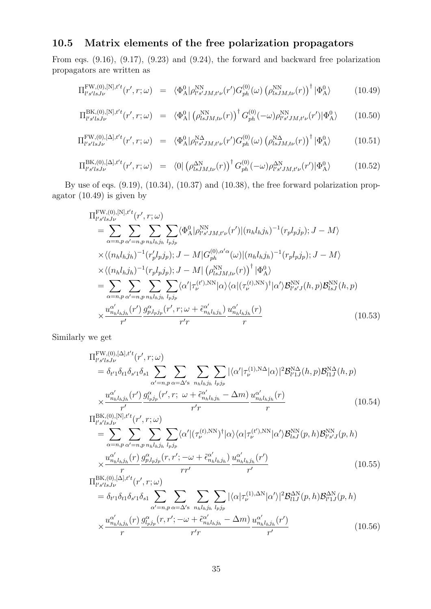## **10.5 Matrix elements of the free polarization propagators**

From eqs. (9.16), (9.17), (9.23) and (9.24), the forward and backward free polarization propagators are written as

$$
\Pi_{l's'lsJ\nu}^{\text{FW},(0),[N],t't}(r',r;\omega) = \langle \Phi_{\text{A}}^0 | \rho_{l's'JM,t'\nu}^{\text{NN}}(r') G_{ph}^{(0)}(\omega) \left( \rho_{lsJM,t\nu}^{\text{NN}}(r) \right)^{\dagger} | \Phi_{\text{A}}^0 \rangle \tag{10.49}
$$

$$
\Pi_{l's'lsJ\nu}^{\text{BK},(0),[N],t't}(r',r;\omega) = \langle \Phi_{\text{A}}^0 | (\rho_{lsJM,t\nu}^{\text{NN}}(r))^\dagger G_{ph}^{(0)}(-\omega) \rho_{l's'JM,t'\nu}^{\text{NN}}(r') | \Phi_{\text{A}}^0 \rangle \tag{10.50}
$$

$$
\Pi_{l's'lsJ\nu}^{\text{FW},(0),[\Delta],t't}(r',r;\omega) = \langle \Phi_{\text{A}}^0 | \rho_{l's'JM,t'\nu}^{\text{NA}}(r') G_{ph}^{(0)}(\omega) \left( \rho_{lsJM,t\nu}^{\text{NA}}(r) \right)^{\dagger} | \Phi_{\text{A}}^0 \rangle \tag{10.51}
$$

$$
\Pi_{l's'lsJ\nu}^{\text{BK},(0),[\Delta],t't}(r',r;\omega) = \langle 0 | \left( \rho_{lsJM,t\nu}^{\Delta N}(r) \right)^{\dagger} G_{ph}^{(0)}(-\omega) \rho_{l's'JM,t'\nu}^{\Delta N}(r') | \Phi_{\text{A}}^{0} \rangle \tag{10.52}
$$

By use of eqs. (9.19), (10.34), (10.37) and (10.38), the free forward polarization propagator (10.49) is given by

$$
\Pi_{l's'lsJ\nu}^{\text{FW},(0),[N],t't}(r',r;\omega)
$$
\n
$$
= \sum_{\alpha=n,p} \sum_{\alpha'=n,p} \sum_{n_{h}l_{h}j_{h}} \sum_{l_{p}j_{p}} \langle \Phi_{A}^{0}|\rho_{l's'JM,t'\nu}^{NN}(r')|(n_{h}l_{h}j_{h})^{-1}(r_{p}l_{p}j_{p}); J-M \rangle
$$
\n
$$
\times \langle (n_{h}l_{h}j_{h})^{-1}(r'_{p}l_{p}j_{p}); J-M|G_{ph}^{(0),\alpha'\alpha}(\omega)|(n_{h}l_{h}j_{h})^{-1}(r_{p}l_{p}j_{p}); J-M \rangle
$$
\n
$$
\times \langle (n_{h}l_{h}j_{h})^{-1}(r_{p}l_{p}j_{p}); J-M|(\rho_{lsJM,t\nu}^{NN}(r))^{\dagger}|\Phi_{A}^0 \rangle
$$
\n
$$
= \sum_{\alpha=n,p} \sum_{\alpha'=n,p} \sum_{n_{h}l_{h}j_{h}} \sum_{l_{p}j_{p}} \langle \alpha'|\tau_{\nu}^{(t'),NN}|\alpha\rangle \langle \alpha|(\tau_{\nu}^{(t),NN})^{\dagger}|\alpha'\rangle \mathcal{B}_{l's'J}^{NN}(h,p) \mathcal{B}_{lsJ}^{NN}(h,p)
$$
\n
$$
\times \frac{u_{n_{h}l_{h}j_{h}}^{\alpha'}(r')}{r'} \frac{g_{p,l_{p}j_{p}}^{\alpha'}(r',r;\omega+\tilde{\epsilon}_{n_{h}l_{h}j_{h}}^{\alpha'})}{r'r} \frac{u_{n_{h}l_{h}j_{h}}^{\alpha'}(r)}{r}
$$
\n(10.53)

Similarly we get

$$
\Pi_{l's'lsJ\nu}^{\text{FW},(0),[\Delta],t't}(r',r;\omega) \n= \delta_{t'1}\delta_{t1}\delta_{s'1}\delta_{s1} \sum_{\alpha'=n,p} \sum_{\alpha=\Delta's} \sum_{n_h l_h j_h} \sum_{l_p j_p} |\langle\alpha'|\tau_{\nu}^{(1),\text{NA}}|\alpha\rangle|^2 \mathcal{B}_{l'1J}^{\text{NA}}(h,p) \mathcal{B}_{l1J}^{\text{NA}}(h,p) \n\times \frac{u_{n_h l_h j_h}^{\alpha'}(r')}{r'} \frac{g_{l_p j_p}^{\alpha}(r',r; \omega + \tilde{\epsilon}_{n_h l_h j_h}^{\alpha'} - \Delta m)}{r'} \frac{u_{n_h l_h j_h}^{\alpha'}(r)}{r} \n\tag{10.54}
$$
\n
$$
\Pi_{l's'lsJ\nu}^{\text{BK},(0),[\text{N}],t't}(r',r;\omega) \n= \sum_{\alpha=n,p} \sum_{\alpha'=n,p} \sum_{n_h l_h j_h} \sum_{l_p j_p} \langle\alpha'|(\tau_{\nu}^{(t),\text{NN}})^\dagger|\alpha\rangle \langle\alpha|\tau_{\nu}^{(t'),\text{NN}}|\alpha'\rangle \mathcal{B}_{lsJ}^{\text{NN}}(p,h) \mathcal{B}_{l's'J}^{\text{NN}}(p,h) \n\times \frac{u_{n_h l_h j_h}^{\alpha'}(r)}{r} \frac{g_{p,l_p j_p}^{\alpha}(r,r';-\omega + \tilde{\epsilon}_{n_h l_h j_h}^{\alpha'})}{r'} \frac{u_{n_h l_h j_h}^{\alpha'}(r')}{r'} \n\tag{10.55}
$$
\n
$$
\Pi_{l's'lsJ\nu}^{\text{BK},(0),[\Delta],t't}(r',r;\omega) \n= \delta_{t'1}\delta_{t1}\delta_{s'1}\delta_{s1} \sum_{\alpha'=n,p} \sum_{\alpha=\Delta's} \sum_{n_h l_h j_h} \sum_{l_p j_p} |\langle\alpha|\tau_{\nu}^{(1),\Delta N}|\alpha'\rangle|^2 \mathcal{B}_{l1J}^{\Delta N}(p,h) \mathcal{B}_{l'1J}^{\Delta N}(p,h)
$$

$$
\times \frac{u_{n_h l_h j_h}^{\alpha'}}{r} \frac{g_{l_p j_p}^{\alpha}(r, r'; -\omega + \tilde{\epsilon}_{n_h l_h j_h}^{\alpha'}) - \Delta m)}{r' r} \frac{u_{n_h l_h j_h}^{\alpha'}}{r'}
$$
(10.56)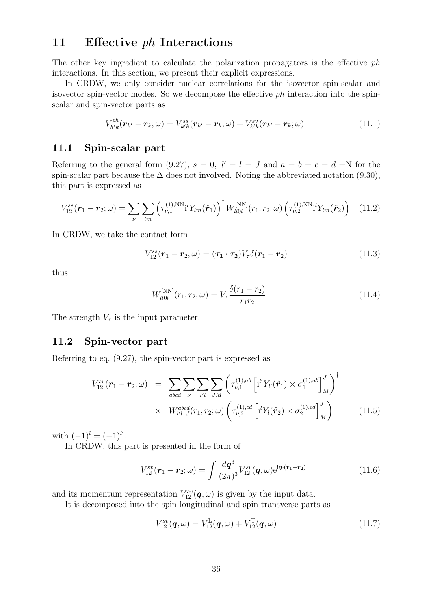## **11 Effective** *ph* **Interactions**

The other key ingredient to calculate the polarization propagators is the effective *ph* interactions. In this section, we present their explicit expressions.

In CRDW, we only consider nuclear correlations for the isovector spin-scalar and isovector spin-vector modes. So we decompose the effective *ph* interaction into the spinscalar and spin-vector parts as

$$
V_{k'k}^{ph}(\boldsymbol{r}_{k'}-\boldsymbol{r}_k;\omega)=V_{k'k}^{ss}(\boldsymbol{r}_{k'}-\boldsymbol{r}_k;\omega)+V_{k'k}^{sv}(\boldsymbol{r}_{k'}-\boldsymbol{r}_k;\omega)
$$
\n(11.1)

### **11.1 Spin-scalar part**

Referring to the general form (9.27),  $s = 0$ ,  $l' = l = J$  and  $a = b = c = d = N$  for the spin-scalar part because the  $\Delta$  does not involved. Noting the abbreviated notation (9.30), this part is expressed as

$$
V_{12}^{ss}(\boldsymbol{r}_1 - \boldsymbol{r}_2; \omega) = \sum_{\nu} \sum_{lm} \left( \tau_{\nu,1}^{(1),\text{NN}} \mathbf{i}^l Y_{lm}(\hat{\boldsymbol{r}}_1) \right)^{\dagger} W_{ll0l}^{[\text{NN}]}(r_1, r_2; \omega) \left( \tau_{\nu,2}^{(1),\text{NN}} \mathbf{i}^l Y_{lm}(\hat{\boldsymbol{r}}_2) \right) \tag{11.2}
$$

In CRDW, we take the contact form

$$
V_{12}^{ss}(\boldsymbol{r}_1-\boldsymbol{r}_2;\omega)=(\boldsymbol{\tau}_1\cdot\boldsymbol{\tau}_2)V_{\tau}\delta(\boldsymbol{r}_1-\boldsymbol{r}_2)
$$
\n(11.3)

thus

$$
W_{l\bar{l}0l}^{[NN]}(r_1, r_2; \omega) = V_{\tau} \frac{\delta(r_1 - r_2)}{r_1 r_2}
$$
\n(11.4)

The strength  $V_\tau$  is the input parameter.

#### **11.2 Spin-vector part**

Referring to eq. (9.27), the spin-vector part is expressed as

$$
V_{12}^{sv}(\mathbf{r}_1 - \mathbf{r}_2; \omega) = \sum_{abcd} \sum_{\nu} \sum_{l'l} \sum_{JM} \left( \tau_{\nu,1}^{(1),ab} \left[ i^l Y_{l'}(\hat{\mathbf{r}}_1) \times \sigma_1^{(1),ab} \right]_M^J \right)^{\dagger} \times W_{l'l1J}^{abcd}(r_1, r_2; \omega) \left( \tau_{\nu,2}^{(1),cd} \left[ i^l Y_l(\hat{\mathbf{r}}_2) \times \sigma_2^{(1),cd} \right]_M^J \right) \tag{11.5}
$$

with  $(-1)^l = (-1)^{l'}$ .

In CRDW, this part is presented in the form of

$$
V_{12}^{sv}(\mathbf{r}_1 - \mathbf{r}_2; \omega) = \int \frac{d\mathbf{q}^3}{(2\pi)^3} V_{12}^{sv}(\mathbf{q}, \omega) e^{i\mathbf{q} \cdot (\mathbf{r}_1 - \mathbf{r}_2)} \tag{11.6}
$$

and its momentum representation  $V_{12}^{sv}(\mathbf{q}, \omega)$  is given by the input data.

It is decomposed into the spin-longitudinal and spin-transverse parts as

$$
V_{12}^{sv}(\boldsymbol{q},\omega) = V_{12}^{\text{L}}(\boldsymbol{q},\omega) + V_{12}^{\text{T}}(\boldsymbol{q},\omega) \tag{11.7}
$$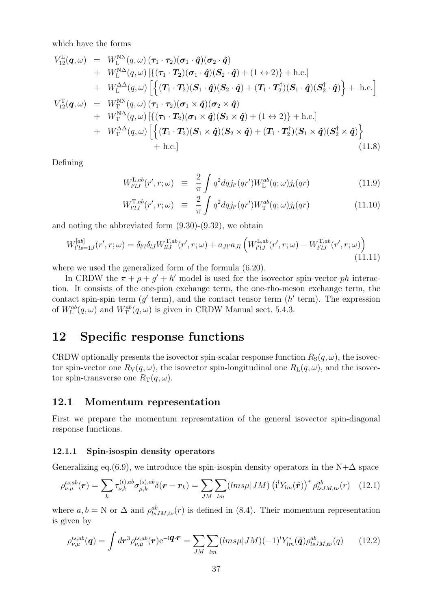which have the forms

$$
V_{12}^{\text{L}}(\boldsymbol{q},\omega) = W_{\text{L}}^{\text{NN}}(q,\omega) (\boldsymbol{\tau}_{1} \cdot \boldsymbol{\tau}_{2}) (\boldsymbol{\sigma}_{1} \cdot \hat{\boldsymbol{q}}) (\boldsymbol{\sigma}_{2} \cdot \hat{\boldsymbol{q}}) + W_{\text{L}}^{\text{NN}}(q,\omega) [\{(\boldsymbol{\tau}_{1} \cdot \boldsymbol{T}_{2})(\boldsymbol{\sigma}_{1} \cdot \hat{\boldsymbol{q}})(S_{2} \cdot \hat{\boldsymbol{q}}) + (1 \leftrightarrow 2)\} + \text{h.c.}] + W_{\text{L}}^{\Delta\Delta}(q,\omega) [\{(\boldsymbol{\tau}_{1} \cdot \boldsymbol{T}_{2})(S_{1} \cdot \hat{\boldsymbol{q}})(S_{2} \cdot \hat{\boldsymbol{q}}) + (\boldsymbol{T}_{1} \cdot \boldsymbol{T}_{2}^{\dagger})(S_{1} \cdot \hat{\boldsymbol{q}})(S_{2}^{\dagger} \cdot \hat{\boldsymbol{q}})\} + \text{h.c.}] V_{12}^{\text{T}}(\boldsymbol{q},\omega) = W_{\text{T}}^{\text{NN}}(q,\omega) (\boldsymbol{\tau}_{1} \cdot \boldsymbol{\tau}_{2}) (\boldsymbol{\sigma}_{1} \times \hat{\boldsymbol{q}}) (\boldsymbol{\sigma}_{2} \times \hat{\boldsymbol{q}}) + W_{\text{T}}^{\text{NN}}(q,\omega) [\{(\boldsymbol{\tau}_{1} \cdot \boldsymbol{T}_{2})(\boldsymbol{\sigma}_{1} \times \hat{\boldsymbol{q}})(S_{2} \times \hat{\boldsymbol{q}}) + (1 \leftrightarrow 2)\} + \text{h.c.}] + W_{\text{T}}^{\Delta\Delta}(q,\omega) [\{(\boldsymbol{T}_{1} \cdot \boldsymbol{T}_{2})(S_{1} \times \hat{\boldsymbol{q}})(S_{2} \times \hat{\boldsymbol{q}}) + (\boldsymbol{T}_{1} \cdot \boldsymbol{T}_{2}^{\dagger})(S_{1} \times \hat{\boldsymbol{q}})(S_{2}^{\dagger} \times \hat{\boldsymbol{q}}) \} + \text{h.c.}]
$$
(11.8)

Defining

$$
W_{l'lJ}^{\text{L},ab}(r',r;\omega) \equiv \frac{2}{\pi} \int q^2 dq j_{l'}(qr') W_{\text{L}}^{ab}(q;\omega) j_{l}(qr) \tag{11.9}
$$

$$
W_{l'lJ}^{\text{T},ab}(r',r;\omega) \equiv \frac{2}{\pi} \int q^2 dq j_{l'}(qr') W_{\text{T}}^{ab}(q;\omega) j_{l}(qr) \tag{11.10}
$$

and noting the abbreviated form (9.30)-(9.32), we obtain

$$
W_{l'ls=1J}^{[ab]}(r',r;\omega) = \delta_{l'l}\delta_{lJ}W_{llj}^{\mathrm{T},ab}(r',r;\omega) + a_{Jl'}a_{Jl} \left(W_{l'lJ}^{\mathrm{L},ab}(r',r;\omega) - W_{l'lJ}^{\mathrm{T},ab}(r',r;\omega)\right)
$$
\n(11.11)

where we used the generalized form of the formula (6.20).

In CRDW the  $\pi + \rho + g' + h'$  model is used for the isovector spin-vector *ph* interaction. It consists of the one-pion exchange term, the one-rho-meson exchange term, the contact spin-spin term  $(g'$  term), and the contact tensor term  $(h'$  term). The expression of  $W_L^{ab}(q,\omega)$  and  $W_T^{ab}(q,\omega)$  is given in CRDW Manual sect. 5.4.3.

## **12 Specific response functions**

CRDW optionally presents the isovector spin-scalar response function  $R_S(q,\omega)$ , the isovector spin-vector one  $R_V(q,\omega)$ , the isovector spin-longitudinal one  $R_L(q,\omega)$ , and the isovector spin-transverse one  $R_T(q,\omega)$ .

### **12.1 Momentum representation**

First we prepare the momentum representation of the general isovector spin-diagonal response functions.

#### **12.1.1 Spin-isospin density operators**

Generalizing eq.(6.9), we introduce the spin-isospin density operators in the N+ $\Delta$  space

$$
\rho_{\nu,\mu}^{ts,ab}(\mathbf{r}) = \sum_{k} \tau_{\nu,k}^{(t),ab} \sigma_{\mu,k}^{(s),ab} \delta(\mathbf{r} - \mathbf{r}_k) = \sum_{JM} \sum_{lm} (lms\mu |JM) (\mathbf{i}^l Y_{lm}(\hat{\mathbf{r}}))^* \rho_{lsJM,t\nu}^{ab}(\mathbf{r}) \quad (12.1)
$$

where  $a, b = N$  or  $\Delta$  and  $\rho_{lsJM,t\nu}^{ab}(r)$  is defined in (8.4). Their momentum representation is given by

$$
\rho_{\nu,\mu}^{ts,ab}(\mathbf{q}) = \int d\mathbf{r}^3 \rho_{\nu,\mu}^{ts,ab}(\mathbf{r}) e^{-i\mathbf{q} \cdot \mathbf{r}} = \sum_{JM} \sum_{lm} (lms\mu |JM) (-1)^l Y_{lm}^*(\hat{\mathbf{q}}) \rho_{lsJM,t\nu}^{ab}(q) \qquad (12.2)
$$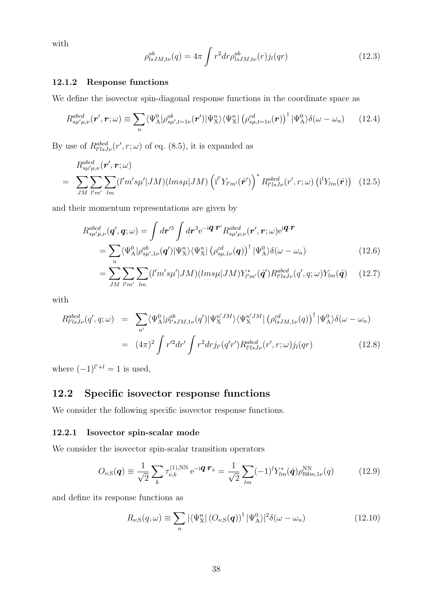with

$$
\rho_{lsJM,t\nu}^{ab}(q) = 4\pi \int r^2 dr \rho_{lsJM,t\nu}^{ab}(r) j_l(qr) \tag{12.3}
$$

#### **12.1.2 Response functions**

We define the isovector spin-diagonal response functions in the coordinate space as

$$
R_{s\mu'\mu,\nu}^{abcd}(\mathbf{r}',\mathbf{r};\omega) \equiv \sum_{n} \langle \Psi_{A}^{0} | \rho_{s\mu'\!,t=1\nu}^{ab}(\mathbf{r}') | \Psi_{X}^{n} \rangle \langle \Psi_{X}^{n} | (\rho_{s\mu,t=1\nu}^{cd}(\mathbf{r}))^{\dagger} | \Psi_{A}^{0} \rangle \delta(\omega - \omega_{n}) \qquad (12.4)
$$

By use of  $R_{l'lsJ\nu}^{abcd}(r',r;\omega)$  of eq. (8.5), it is expanded as

$$
R_{s\mu'\mu,\nu}^{abcd}(\mathbf{r}',\mathbf{r};\omega)
$$
\n
$$
= \sum_{JM} \sum_{l'm'} \sum_{lm} (l'm's\mu'|JM)(lms\mu|JM) \left(\mathrm{i}^{l'} Y_{l'm'}(\hat{\mathbf{r}}')\right)^* R_{l'lsJ\nu}^{abcd}(\mathbf{r}',\mathbf{r};\omega) \left(\mathrm{i}^{l} Y_{lm}(\hat{\mathbf{r}})\right) \tag{12.5}
$$

and their momentum representations are given by

$$
R_{s\mu'\mu,\nu}^{abcd}(\boldsymbol{q}',\boldsymbol{q};\omega) = \int d\boldsymbol{r}'^3 \int d\boldsymbol{r}^3 e^{-i\boldsymbol{q}\cdot\boldsymbol{r}'} R_{s\mu'\mu,\nu}^{abcd}(\boldsymbol{r}',\boldsymbol{r};\omega) e^{i\boldsymbol{q}\cdot\boldsymbol{r}} = \sum_n \langle \Psi_\mathrm{A}^0 | \rho_{s\mu',1\nu}^{ab}(\boldsymbol{q}') | \Psi_\mathrm{X}^n \rangle \langle \Psi_\mathrm{X}^n | (\rho_{s\mu,1\nu}^{cd}(\boldsymbol{q}))^\dagger | \Psi_\mathrm{A}^0 \rangle \delta(\omega - \omega_n)
$$
(12.6)

$$
= \sum_{JM} \sum_{l'm'} \sum_{lm} (l'm's\mu'|JM)(lms\mu|JM) Y^*_{l'm'}(\hat{\boldsymbol{q}}') R^{abcd}_{l'lsJ\nu}(q',q;\omega) Y_{lm}(\hat{\boldsymbol{q}}) \qquad (12.7)
$$

with

$$
R_{l'lsJ\nu}^{abcd}(q',q;\omega) = \sum_{n'} \langle \Psi_{\mathcal{A}}^{0} | \rho_{l'sJM,1\nu}^{ab}(q') | \Psi_{\mathcal{X}}^{n'JM} \rangle \langle \Psi_{\mathcal{X}}^{n'JM} | (\rho_{lsJM,1\nu}^{cd}(q))^{\dagger} | \Psi_{\mathcal{A}}^{0} \rangle \delta(\omega - \omega_{n})
$$
  

$$
= (4\pi)^{2} \int r'^{2} dr' \int r^{2} dr j_{l'}(q'r') R_{l'lsJ\nu}^{abcd}(r',r;\omega) j_{l}(qr) \qquad (12.8)
$$

where  $(-1)^{l'+l} = 1$  is used,

## **12.2 Specific isovector response functions**

We consider the following specific isovector response functions.

#### **12.2.1 Isovector spin-scalar mode**

We consider the isovector spin-scalar transition operators

$$
O_{\nu,S}(\boldsymbol{q}) \equiv \frac{1}{\sqrt{2}} \sum_{k} \tau_{\nu,k}^{(1),\text{NN}} e^{-i\boldsymbol{q} \cdot \boldsymbol{r}_k} = \frac{1}{\sqrt{2}} \sum_{lm} (-1)^l Y_{lm}^*(\hat{\boldsymbol{q}}) \rho_{l0lm,1\nu}^{\text{NN}}(q) \tag{12.9}
$$

and define its response functions as

$$
R_{\nu,\mathrm{S}}(q,\omega) \equiv \sum_{n} |\langle \Psi_{\mathrm{X}}^{n} | (O_{\nu,\mathrm{S}}(q))^{\dagger} | \Psi_{\mathrm{A}}^{0} \rangle|^{2} \delta(\omega - \omega_{n}) \tag{12.10}
$$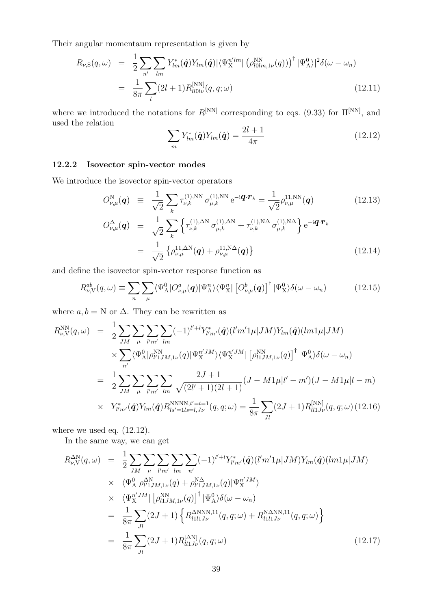Their angular momentaum representation is given by

$$
R_{\nu,S}(q,\omega) = \frac{1}{2} \sum_{n'} \sum_{lm} Y_{lm}^*(\hat{q}) Y_{lm}(\hat{q}) |\langle \Psi_X^{n'lm} | (\rho_{l0lm,1\nu}^{NN}(q)) \rangle^{\dagger} |\Psi_{A}^{0}\rangle|^2 \delta(\omega - \omega_n)
$$
  

$$
= \frac{1}{8\pi} \sum_{l} (2l+1) R_{l10l\nu}^{[NN]}(q,q;\omega)
$$
(12.11)

where we introduced the notations for  $R^{[NN]}$  corresponding to eqs. (9.33) for  $\Pi^{[NN]}$ , and used the relation

$$
\sum_{m} Y_{lm}^*(\hat{\boldsymbol{q}}) Y_{lm}(\hat{\boldsymbol{q}}) = \frac{2l+1}{4\pi} \tag{12.12}
$$

#### **12.2.2 Isovector spin-vector modes**

We introduce the isovector spin-vector operators

$$
O_{\nu,\mu}^{N}(\boldsymbol{q}) = \frac{1}{\sqrt{2}} \sum_{k} \tau_{\nu,k}^{(1),NN} \sigma_{\mu,k}^{(1),NN} e^{-i\boldsymbol{q} \cdot \boldsymbol{r}_{k}} = \frac{1}{\sqrt{2}} \rho_{\nu,\mu}^{11,NN}(\boldsymbol{q}) \qquad (12.13)
$$
  
\n
$$
O_{\nu,\mu}^{\Delta}(\boldsymbol{q}) = \frac{1}{\sqrt{2}} \sum_{k} \left\{ \tau_{\nu,k}^{(1),\Delta N} \sigma_{\mu,k}^{(1),\Delta N} + \tau_{\nu,k}^{(1),N\Delta} \sigma_{\mu,k}^{(1),N\Delta} \right\} e^{-i\boldsymbol{q} \cdot \boldsymbol{r}_{k}}
$$
  
\n
$$
= \frac{1}{\sqrt{2}} \left\{ \rho_{\nu,\mu}^{11,\Delta N}(\boldsymbol{q}) + \rho_{\nu,\mu}^{11,N\Delta}(\boldsymbol{q}) \right\} \qquad (12.14)
$$

and define the isovector spin-vector response function as

$$
R_{\nu,\mathcal{V}}^{ab}(q,\omega) \equiv \sum_{n} \sum_{\mu} \langle \Psi_{\mathcal{A}}^{0} | O_{\nu,\mu}^{a}(q) | \Psi_{\mathcal{A}}^{n} \rangle \langle \Psi_{\mathcal{X}}^{n} | \left[ O_{\nu,\mu}^{b}(q) \right]^{\dagger} | \Psi_{\mathcal{X}}^{0} \rangle \delta(\omega - \omega_{n}) \tag{12.15}
$$

where  $a, b = N$  or  $\Delta$ . They can be rewritten as

$$
R_{\nu,V}^{\rm NN}(q,\omega) = \frac{1}{2} \sum_{JM} \sum_{\mu} \sum_{l'm'} \sum_{lm} (-1)^{l'+l} Y_{l'm'}^*(\hat{q}) (l'm'1\mu |JM) Y_{lm}(\hat{q}) (lm1\mu |JM)
$$
  

$$
\times \sum_{n'} \langle \Psi_{\rm A}^0 | \rho_{l'1JM,1\nu}^{\rm NN}(q) | \Psi_{\rm X}^{n'JM} \rangle \langle \Psi_{\rm X}^{n'JM} | [\rho_{l1JM,1\nu}^{\rm NN}(q)]^{\dagger} | \Psi_{\rm A}^0 \rangle \delta(\omega - \omega_n)
$$
  

$$
= \frac{1}{2} \sum_{JM} \sum_{\mu} \sum_{l'm'} \sum_{lm} \frac{2J+1}{\sqrt{(2l'+1)(2l+1)}} (J - M1\mu |l'-m')(J - M1\mu |l-m)
$$
  

$$
\times Y_{l'm'}^*(\hat{q}) Y_{lm}(\hat{q}) R_{ls'=1ls=l,J\nu}^{\rm NNNN,t'=t=1} (q,q;\omega) = \frac{1}{8\pi} \sum_{Jl} (2J+1) R_{ll1J\nu}^{\rm [NN]}(q,q;\omega) (12.16)
$$

where we used eq. (12.12).

In the same way, we can get

$$
R_{\nu,V}^{\Delta N}(q,\omega) = \frac{1}{2} \sum_{JM} \sum_{\mu} \sum_{l'm'} \sum_{lm} (-1)^{l'+l} Y_{l'm'}^{*}(\hat{q}) (l'm'1\mu |JM) Y_{lm}(\hat{q}) (lm1\mu |JM)
$$
  
\n
$$
\times \langle \Psi_{\mathcal{A}}^{0} | \rho_{l'1JM,1\nu}^{\Delta N}(q) + \rho_{l'1JM,1\nu}^{\Delta N}(q) | \Psi_{\mathcal{X}}^{n'JM} \rangle
$$
  
\n
$$
\times \langle \Psi_{\mathcal{X}}^{n'JM} | [\rho_{l1JM,1\nu}^{\Delta N}(q)]^{\dagger} | \Psi_{\mathcal{A}}^{0} \rangle \delta(\omega - \omega_{n})
$$
  
\n
$$
= \frac{1}{8\pi} \sum_{Jl} (2J+1) \left\{ R_{l1l1J\nu}^{\Delta N N N,11}(q,q;\omega) + R_{l1l1J\nu}^{\Delta N N N,11}(q,q;\omega) \right\}
$$
  
\n
$$
= \frac{1}{8\pi} \sum_{Jl} (2J+1) R_{l11J\nu}^{[\Delta N]}(q,q;\omega)
$$
(12.17)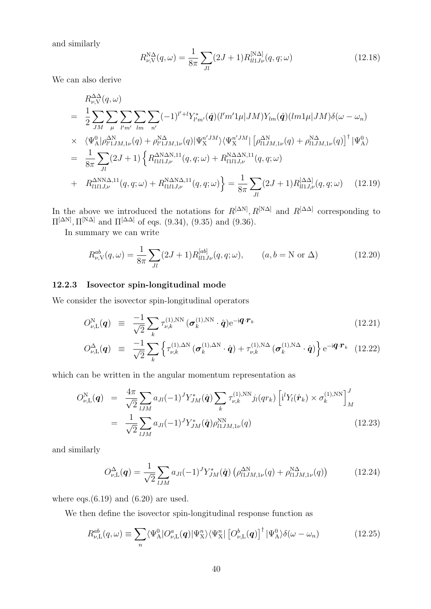and similarly

$$
R_{\nu,V}^{\rm N\Delta}(q,\omega) = \frac{1}{8\pi} \sum_{Jl} (2J+1) R_{ll1J\nu}^{\rm [N\Delta]}(q,q;\omega)
$$
 (12.18)

We can also derive

$$
R_{\nu,\mathrm{V}}^{\Delta\Delta}(q,\omega)
$$
\n
$$
= \frac{1}{2} \sum_{JM} \sum_{\mu} \sum_{\nu'm'} \sum_{lm} \sum_{n'} (-1)^{l'+l} Y_{l'm'}^*(\hat{q}) (l'm'1\mu |JM) Y_{lm}(\hat{q}) (lm1\mu |JM) \delta(\omega - \omega_n)
$$
\n
$$
\times \langle \Psi_{\mathrm{A}}^0 | \rho_{l'1JM,1\nu}^{\Delta\mathrm{N}}(q) + \rho_{l'1JM,1\nu}^{\mathrm{N}\Delta}(q) | \Psi_{\mathrm{X}}^{n'JM} \rangle \langle \Psi_{\mathrm{X}}^{n'JM} | [\rho_{l1JM,1\nu}^{\Delta\mathrm{N}}(q) + \rho_{l1JM,1\nu}^{\mathrm{N}\Delta}(q)]^{\dagger} | \Psi_{\mathrm{A}}^0 \rangle
$$
\n
$$
= \frac{1}{8\pi} \sum_{Jl} (2J+1) \left\{ R_{l1l1J,\nu}^{\Delta\mathrm{N}\Delta\mathrm{N},11}(q,q;\omega) + R_{l1l1J,\nu}^{\mathrm{N}\Delta\Delta\mathrm{N},11}(q,q;\omega)
$$
\n
$$
+ R_{l1l1J,\nu}^{\Delta\mathrm{NN}\Delta,11}(q,q;\omega) + R_{l1l1J,\nu}^{\mathrm{N}\Delta\mathrm{N}\Delta,11}(q,q;\omega) \right\} = \frac{1}{8\pi} \sum_{Jl} (2J+1) R_{l1lJ,\nu}^{[\Delta\Delta]}(q,q;\omega) \qquad (12.19)
$$

In the above we introduced the notations for  $R^{[\Delta N]}$ ,  $R^{[\text{NA}]}$  and  $R^{[\Delta \Delta]}$  corresponding to  $\Pi^{[\Delta N]}$ ,  $\Pi^{[\mathbf{N}\Delta]}$  and  $\Pi^{[\Delta\Delta]}$  of eqs. (9.34), (9.35) and (9.36).

In summary we can write

$$
R_{\nu,V}^{ab}(q,\omega) = \frac{1}{8\pi} \sum_{Jl} (2J+1) R_{ll1J\nu}^{[ab]}(q,q;\omega), \qquad (a,b=\text{N or } \Delta)
$$
 (12.20)

#### **12.2.3 Isovector spin-longitudinal mode**

We consider the isovector spin-longitudinal operators

$$
O_{\nu,\mathrm{L}}^{\mathrm{N}}(\boldsymbol{q}) \equiv \frac{-1}{\sqrt{2}} \sum_{k} \tau_{\nu,k}^{(1),\mathrm{NN}} (\boldsymbol{\sigma}_{k}^{(1),\mathrm{NN}} \cdot \hat{\boldsymbol{q}}) e^{-i\boldsymbol{q} \cdot \boldsymbol{r}_{k}} \qquad (12.21)
$$

$$
O_{\nu,\mathrm{L}}^{\Delta}(\boldsymbol{q}) \equiv \frac{-1}{\sqrt{2}} \sum_{k} \left\{ \tau_{\nu,k}^{(1),\Delta N} \left( \boldsymbol{\sigma}_{k}^{(1),\Delta N} \cdot \hat{\boldsymbol{q}} \right) + \tau_{\nu,k}^{(1),N\Delta} \left( \boldsymbol{\sigma}_{k}^{(1),N\Delta} \cdot \hat{\boldsymbol{q}} \right) \right\} e^{-i \boldsymbol{q} \cdot \boldsymbol{r}_{k}} \quad (12.22)
$$

which can be written in the angular momentum representation as

$$
O_{\nu,L}^{N}(\boldsymbol{q}) = \frac{4\pi}{\sqrt{2}} \sum_{lJM} a_{Jl} (-1)^J Y_{JM}^*(\hat{\boldsymbol{q}}) \sum_{k} \tau_{\nu,k}^{(1),NN} j_l(qr_k) \left[ i^l Y_l(\hat{\boldsymbol{r}}_k) \times \sigma_k^{(1),NN} \right]_{M}^{J}
$$
  
= 
$$
\frac{1}{\sqrt{2}} \sum_{lJM} a_{Jl} (-1)^J Y_{JM}^*(\hat{\boldsymbol{q}}) \rho_{l1JM,1\nu}^{NN}(q)
$$
(12.23)

and similarly

$$
O_{\nu,\mathrm{L}}^{\Delta}(\mathbf{q}) = \frac{1}{\sqrt{2}} \sum_{lJM} a_{Jl} (-1)^J Y^*_{JM}(\hat{\mathbf{q}}) \left( \rho_{l1JM,1\nu}^{\Delta N}(q) + \rho_{l1JM,1\nu}^{N\Delta}(q) \right) \tag{12.24}
$$

where eqs. $(6.19)$  and  $(6.20)$  are used.

We then define the isovector spin-longitudinal response function as

$$
R_{\nu,\mathcal{L}}^{ab}(q,\omega) \equiv \sum_{n} \langle \Psi_{\mathcal{A}}^{0} | O_{\nu,\mathcal{L}}^{a}(q) | \Psi_{\mathcal{X}}^{n} \rangle \langle \Psi_{\mathcal{X}}^{n} | \left[ O_{\nu,\mathcal{L}}^{b}(q) \right]^{\dagger} | \Psi_{\mathcal{A}}^{0} \rangle \delta(\omega - \omega_{n}) \tag{12.25}
$$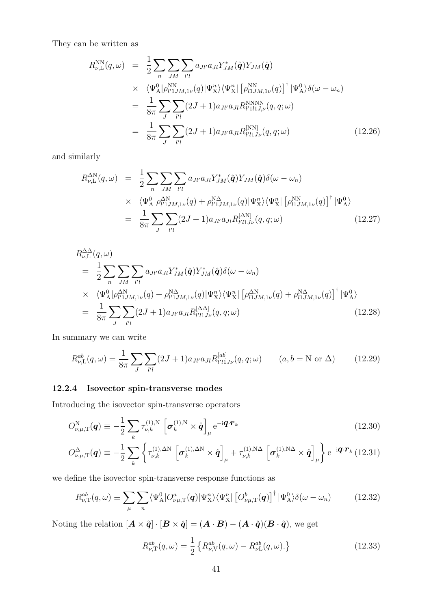They can be written as

$$
R_{\nu,\mathrm{L}}^{\mathrm{NN}}(q,\omega) = \frac{1}{2} \sum_{n} \sum_{JM} \sum_{l'l} a_{Jl'} a_{Jl} Y_{JM}^*(\hat{\mathbf{q}}) Y_{JM}(\hat{\mathbf{q}})
$$
  
 
$$
\times \langle \Psi_{\mathrm{A}}^0 | \rho_{l'1JM,1\nu}^{\mathrm{NN}}(q) | \Psi_{\mathrm{X}}^n \rangle \langle \Psi_{\mathrm{X}}^n | [\rho_{l1JM,1\nu}^{\mathrm{NN}}(q)]^\dagger | \Psi_{\mathrm{A}}^0 \rangle \delta(\omega - \omega_n)
$$
  
 
$$
= \frac{1}{8\pi} \sum_{J} \sum_{l'l} (2J+1) a_{Jl'} a_{Jl} R_{l'l1J,\nu}^{\mathrm{NNNN}}(q,q;\omega)
$$
  
 
$$
= \frac{1}{8\pi} \sum_{J} \sum_{l'l} (2J+1) a_{Jl'} a_{Jl} R_{l'l1J\nu}^{\mathrm{NNN}}(q,q;\omega) \qquad (12.26)
$$

and similarly

$$
R_{\nu,\mathcal{L}}^{\Delta N}(q,\omega) = \frac{1}{2} \sum_{n} \sum_{JM} \sum_{l'l} a_{Jl'} a_{Jl} Y_{JM}^*(\hat{\mathbf{q}}) Y_{JM}(\hat{\mathbf{q}}) \delta(\omega - \omega_n)
$$
  
 
$$
\times \langle \Psi_{\mathcal{A}}^0 | \rho_{l'1JM,1\nu}^{\Delta N}(q) + \rho_{l'1JM,1\nu}^{\Delta \Delta}(q) | \Psi_{\mathcal{X}}^n \rangle \langle \Psi_{\mathcal{X}}^n | [\rho_{l1JM,1\nu}^{\Delta N}(q)]^\dagger | \Psi_{\mathcal{A}}^0 \rangle
$$
  
 
$$
= \frac{1}{8\pi} \sum_{J} \sum_{l'l} (2J+1) a_{Jl'} a_{Jl} R_{l'l1J\nu}^{[\Delta N]}(q,q;\omega) \qquad (12.27)
$$

$$
R_{\nu,\mathcal{L}}^{\Delta\Delta}(q,\omega)
$$
\n
$$
= \frac{1}{2} \sum_{n} \sum_{JM} \sum_{l'l} a_{Jl'} a_{Jl'} \sum_{j}^{*} a_{j'l} a_{Jl'} \hat{q} Y_{JM}^{*}(\hat{q}) \delta(\omega - \omega_{n})
$$
\n
$$
\times \langle \Psi_{\mathcal{A}}^{0} | \rho_{l'1JM,1\nu}^{\Delta N}(q) + \rho_{l'1JM,1\nu}^{\Delta\Delta}(q) | \Psi_{\mathcal{X}}^{n} \rangle \langle \Psi_{\mathcal{X}}^{n} | [\rho_{l1JM,1\nu}^{\Delta N}(q) + \rho_{l1JM,1\nu}^{\Delta\Delta}(q)]^{\dagger} | \Psi_{\mathcal{A}}^{0} \rangle
$$
\n
$$
= \frac{1}{8\pi} \sum_{J} \sum_{l'l} (2J+1) a_{Jl'} a_{Jl} R_{l'l1J\nu}^{[\Delta\Delta]}(q,q;\omega) \qquad (12.28)
$$

In summary we can write

$$
R_{\nu,\mathcal{L}}^{ab}(q,\omega) = \frac{1}{8\pi} \sum_{J} \sum_{l'l} (2J+1) a_{Jl'} a_{Jl} R_{l'l1J\nu}^{[ab]}(q,q;\omega) \qquad (a,b=\mathcal{N} \text{ or } \Delta) \tag{12.29}
$$

## **12.2.4 Isovector spin-transverse modes**

Introducing the isovector spin-transverse operators

$$
O_{\nu,\mu,\mathrm{T}}^{\mathrm{N}}(\boldsymbol{q}) \equiv -\frac{1}{2} \sum_{k} \tau_{\nu,k}^{(1),\mathrm{N}} \left[ \boldsymbol{\sigma}_{k}^{(1),\mathrm{N}} \times \hat{\boldsymbol{q}} \right]_{\mu} e^{-i\boldsymbol{q} \cdot \boldsymbol{r}_{k}}
$$
(12.30)

$$
O_{\nu,\mu,\mathrm{T}}^{\Delta}(\boldsymbol{q}) \equiv -\frac{1}{2} \sum_{k} \left\{ \tau_{\nu,k}^{(1),\Delta N} \left[ \boldsymbol{\sigma}_{k}^{(1),\Delta N} \times \hat{\boldsymbol{q}} \right]_{\mu} + \tau_{\nu,k}^{(1),\mathrm{N}\Delta} \left[ \boldsymbol{\sigma}_{k}^{(1),\mathrm{N}\Delta} \times \hat{\boldsymbol{q}} \right]_{\mu} \right\} e^{-i \boldsymbol{q} \cdot \boldsymbol{r}_{k}} (12.31)
$$

we define the isovector spin-transverse response functions as

$$
R_{\nu,\text{T}}^{ab}(q,\omega) \equiv \sum_{\mu} \sum_{n} \langle \Psi_{\text{A}}^{0} | O_{\nu\mu,\text{T}}^{a}(q) | \Psi_{\text{X}}^{n} \rangle \langle \Psi_{\text{X}}^{n} | \left[ O_{\nu\mu,\text{T}}^{b}(q) \right]^{\dagger} | \Psi_{\text{A}}^{0} \rangle \delta(\omega - \omega_{n}) \tag{12.32}
$$

Noting the relation  $[\mathbf{A} \times \hat{\mathbf{q}}] \cdot [\mathbf{B} \times \hat{\mathbf{q}}] = (\mathbf{A} \cdot \mathbf{B}) - (\mathbf{A} \cdot \hat{\mathbf{q}})(\mathbf{B} \cdot \hat{\mathbf{q}})$ , we get

$$
R_{\nu,\text{T}}^{ab}(q,\omega) = \frac{1}{2} \left\{ R_{\nu,\text{V}}^{ab}(q,\omega) - R_{\nu\text{L}}^{ab}(q,\omega) \right\} \tag{12.33}
$$